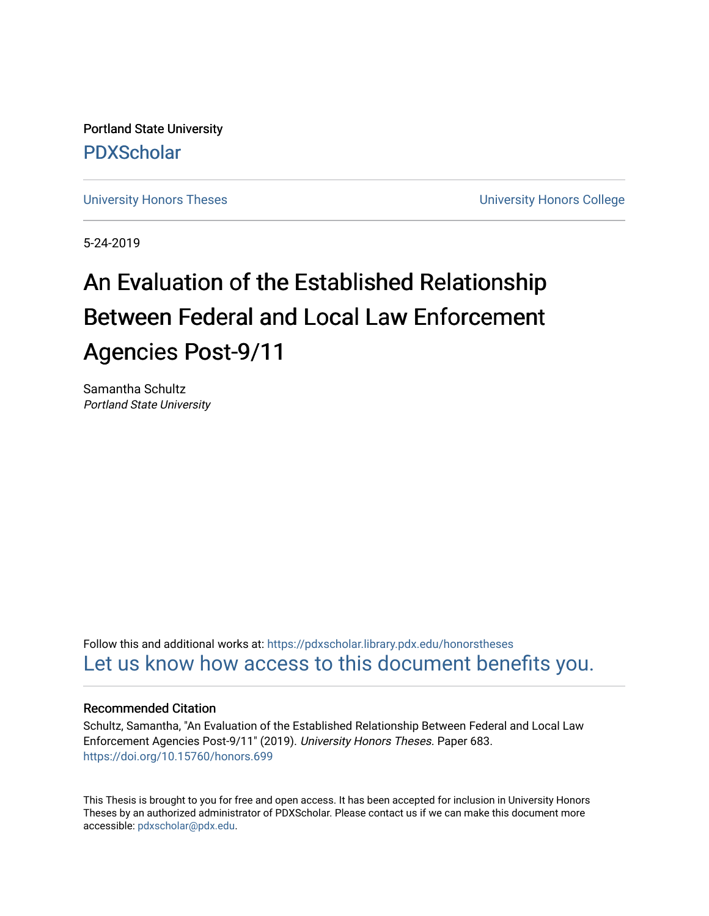Portland State University [PDXScholar](https://pdxscholar.library.pdx.edu/)

[University Honors Theses](https://pdxscholar.library.pdx.edu/honorstheses) **University Honors College** 

5-24-2019

# An Evaluation of the Established Relationship Between Federal and Local Law Enforcement Agencies Post-9/11

Samantha Schultz Portland State University

Follow this and additional works at: [https://pdxscholar.library.pdx.edu/honorstheses](https://pdxscholar.library.pdx.edu/honorstheses?utm_source=pdxscholar.library.pdx.edu%2Fhonorstheses%2F683&utm_medium=PDF&utm_campaign=PDFCoverPages)  [Let us know how access to this document benefits you.](http://library.pdx.edu/services/pdxscholar-services/pdxscholar-feedback/) 

# Recommended Citation

Schultz, Samantha, "An Evaluation of the Established Relationship Between Federal and Local Law Enforcement Agencies Post-9/11" (2019). University Honors Theses. Paper 683. <https://doi.org/10.15760/honors.699>

This Thesis is brought to you for free and open access. It has been accepted for inclusion in University Honors Theses by an authorized administrator of PDXScholar. Please contact us if we can make this document more accessible: [pdxscholar@pdx.edu.](mailto:pdxscholar@pdx.edu)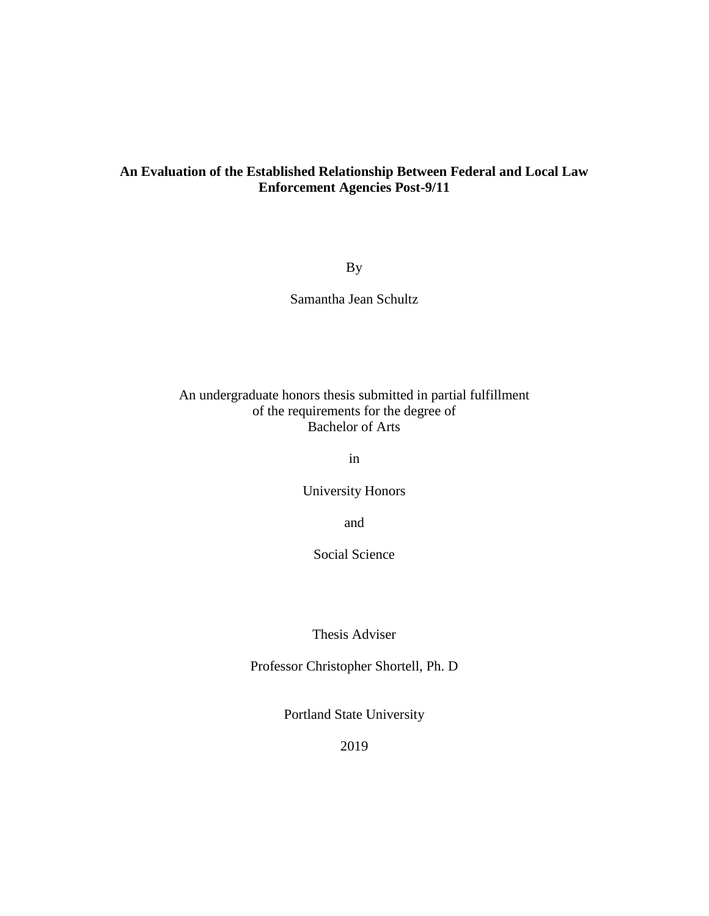# **An Evaluation of the Established Relationship Between Federal and Local Law Enforcement Agencies Post-9/11**

By

Samantha Jean Schultz

# An undergraduate honors thesis submitted in partial fulfillment of the requirements for the degree of Bachelor of Arts

in

University Honors

and

Social Science

Thesis Adviser

Professor Christopher Shortell, Ph. D

Portland State University

2019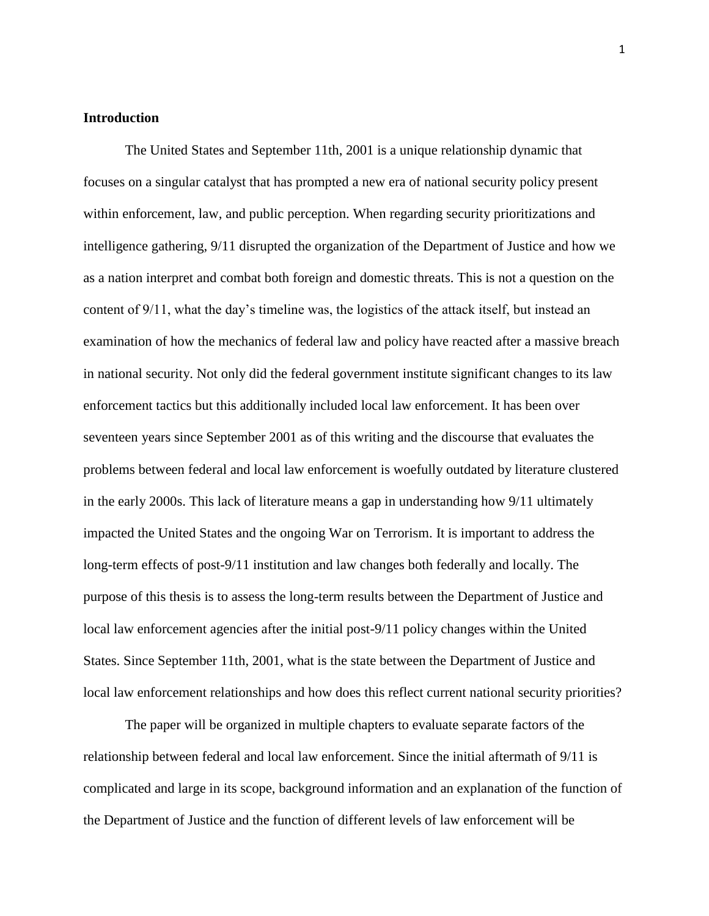#### **Introduction**

The United States and September 11th, 2001 is a unique relationship dynamic that focuses on a singular catalyst that has prompted a new era of national security policy present within enforcement, law, and public perception. When regarding security prioritizations and intelligence gathering, 9/11 disrupted the organization of the Department of Justice and how we as a nation interpret and combat both foreign and domestic threats. This is not a question on the content of 9/11, what the day's timeline was, the logistics of the attack itself, but instead an examination of how the mechanics of federal law and policy have reacted after a massive breach in national security. Not only did the federal government institute significant changes to its law enforcement tactics but this additionally included local law enforcement. It has been over seventeen years since September 2001 as of this writing and the discourse that evaluates the problems between federal and local law enforcement is woefully outdated by literature clustered in the early 2000s. This lack of literature means a gap in understanding how 9/11 ultimately impacted the United States and the ongoing War on Terrorism. It is important to address the long-term effects of post-9/11 institution and law changes both federally and locally. The purpose of this thesis is to assess the long-term results between the Department of Justice and local law enforcement agencies after the initial post-9/11 policy changes within the United States. Since September 11th, 2001, what is the state between the Department of Justice and local law enforcement relationships and how does this reflect current national security priorities?

The paper will be organized in multiple chapters to evaluate separate factors of the relationship between federal and local law enforcement. Since the initial aftermath of 9/11 is complicated and large in its scope, background information and an explanation of the function of the Department of Justice and the function of different levels of law enforcement will be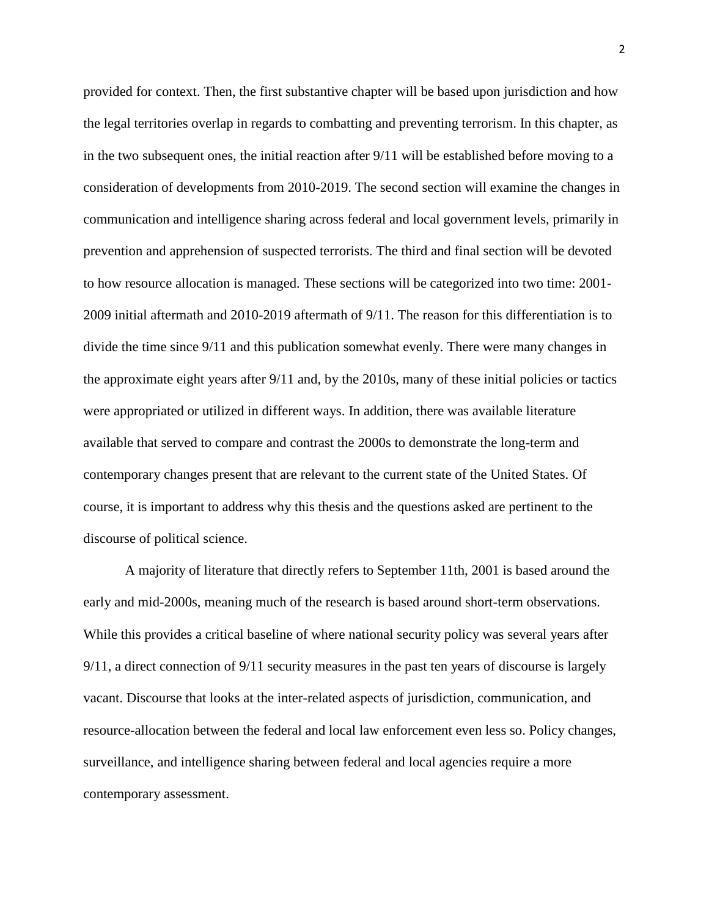provided for context. Then, the first substantive chapter will be based upon jurisdiction and how the legal territories overlap in regards to combatting and preventing terrorism. In this chapter, as in the two subsequent ones, the initial reaction after 9/11 will be established before moving to a consideration of developments from 2010-2019. The second section will examine the changes in communication and intelligence sharing across federal and local government levels, primarily in prevention and apprehension of suspected terrorists. The third and final section will be devoted to how resource allocation is managed. These sections will be categorized into two time: 2001- 2009 initial aftermath and 2010-2019 aftermath of 9/11. The reason for this differentiation is to divide the time since 9/11 and this publication somewhat evenly. There were many changes in the approximate eight years after 9/11 and, by the 2010s, many of these initial policies or tactics were appropriated or utilized in different ways. In addition, there was available literature available that served to compare and contrast the 2000s to demonstrate the long-term and contemporary changes present that are relevant to the current state of the United States. Of course, it is important to address why this thesis and the questions asked are pertinent to the discourse of political science.

A majority of literature that directly refers to September 11th, 2001 is based around the early and mid-2000s, meaning much of the research is based around short-term observations. While this provides a critical baseline of where national security policy was several years after 9/11, a direct connection of 9/11 security measures in the past ten years of discourse is largely vacant. Discourse that looks at the inter-related aspects of jurisdiction, communication, and resource-allocation between the federal and local law enforcement even less so. Policy changes, surveillance, and intelligence sharing between federal and local agencies require a more contemporary assessment.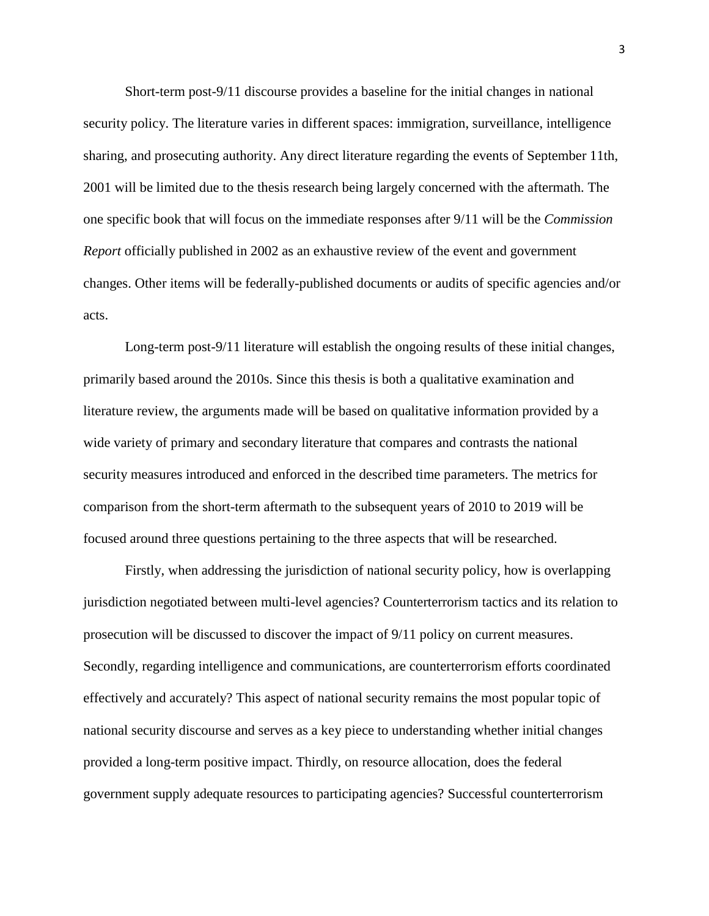Short-term post-9/11 discourse provides a baseline for the initial changes in national security policy. The literature varies in different spaces: immigration, surveillance, intelligence sharing, and prosecuting authority. Any direct literature regarding the events of September 11th, 2001 will be limited due to the thesis research being largely concerned with the aftermath. The one specific book that will focus on the immediate responses after 9/11 will be the *Commission Report* officially published in 2002 as an exhaustive review of the event and government changes. Other items will be federally-published documents or audits of specific agencies and/or acts.

Long-term post-9/11 literature will establish the ongoing results of these initial changes, primarily based around the 2010s. Since this thesis is both a qualitative examination and literature review, the arguments made will be based on qualitative information provided by a wide variety of primary and secondary literature that compares and contrasts the national security measures introduced and enforced in the described time parameters. The metrics for comparison from the short-term aftermath to the subsequent years of 2010 to 2019 will be focused around three questions pertaining to the three aspects that will be researched.

Firstly, when addressing the jurisdiction of national security policy, how is overlapping jurisdiction negotiated between multi-level agencies? Counterterrorism tactics and its relation to prosecution will be discussed to discover the impact of 9/11 policy on current measures. Secondly, regarding intelligence and communications, are counterterrorism efforts coordinated effectively and accurately? This aspect of national security remains the most popular topic of national security discourse and serves as a key piece to understanding whether initial changes provided a long-term positive impact. Thirdly, on resource allocation, does the federal government supply adequate resources to participating agencies? Successful counterterrorism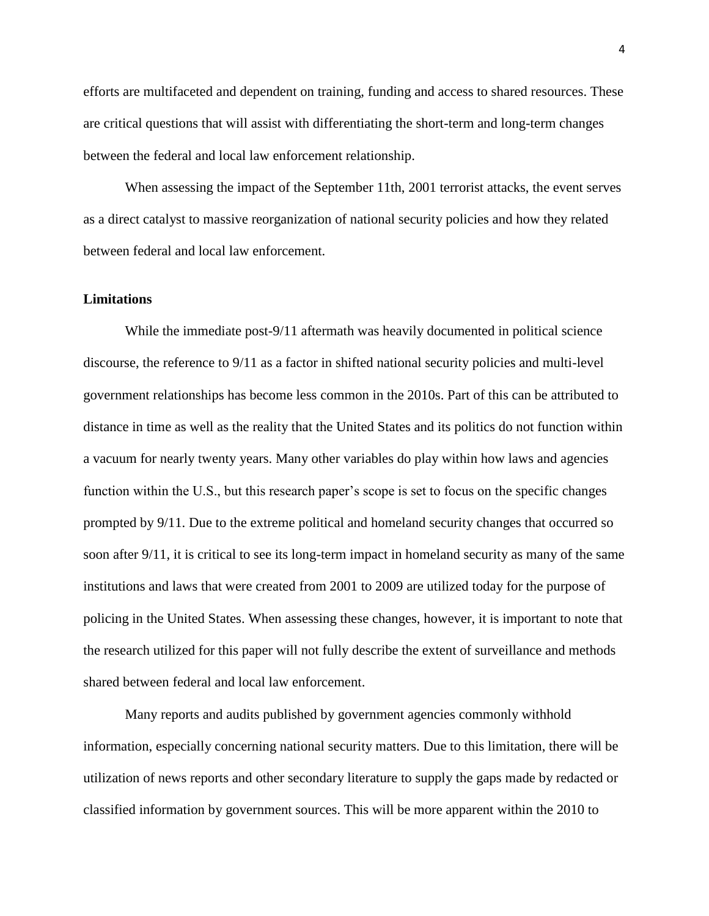efforts are multifaceted and dependent on training, funding and access to shared resources. These are critical questions that will assist with differentiating the short-term and long-term changes between the federal and local law enforcement relationship.

When assessing the impact of the September 11th, 2001 terrorist attacks, the event serves as a direct catalyst to massive reorganization of national security policies and how they related between federal and local law enforcement.

# **Limitations**

While the immediate post-9/11 aftermath was heavily documented in political science discourse, the reference to 9/11 as a factor in shifted national security policies and multi-level government relationships has become less common in the 2010s. Part of this can be attributed to distance in time as well as the reality that the United States and its politics do not function within a vacuum for nearly twenty years. Many other variables do play within how laws and agencies function within the U.S., but this research paper's scope is set to focus on the specific changes prompted by 9/11. Due to the extreme political and homeland security changes that occurred so soon after 9/11, it is critical to see its long-term impact in homeland security as many of the same institutions and laws that were created from 2001 to 2009 are utilized today for the purpose of policing in the United States. When assessing these changes, however, it is important to note that the research utilized for this paper will not fully describe the extent of surveillance and methods shared between federal and local law enforcement.

Many reports and audits published by government agencies commonly withhold information, especially concerning national security matters. Due to this limitation, there will be utilization of news reports and other secondary literature to supply the gaps made by redacted or classified information by government sources. This will be more apparent within the 2010 to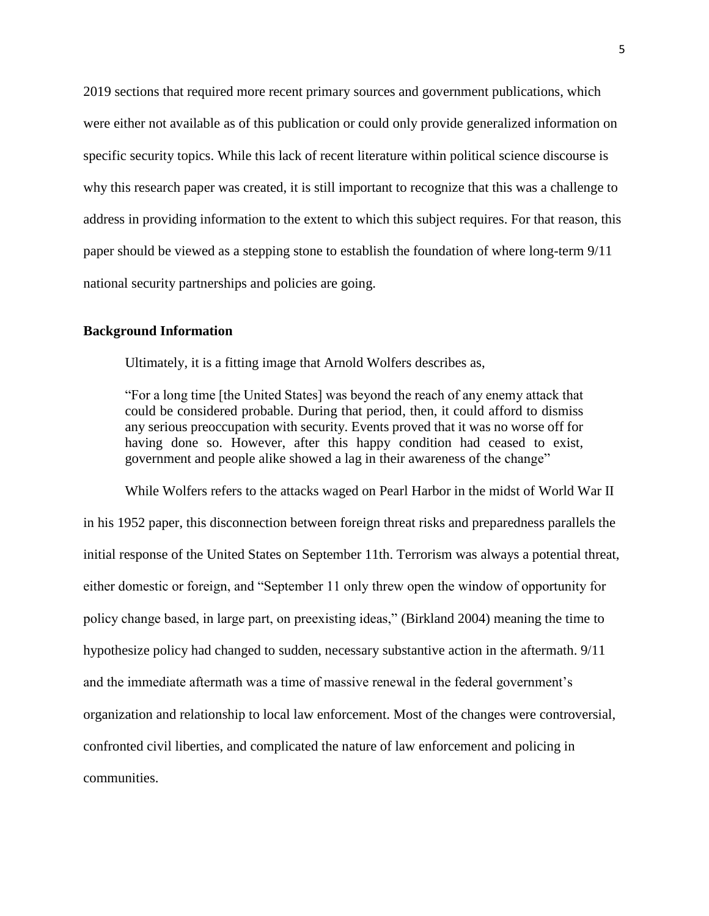2019 sections that required more recent primary sources and government publications, which were either not available as of this publication or could only provide generalized information on specific security topics. While this lack of recent literature within political science discourse is why this research paper was created, it is still important to recognize that this was a challenge to address in providing information to the extent to which this subject requires. For that reason, this paper should be viewed as a stepping stone to establish the foundation of where long-term 9/11 national security partnerships and policies are going.

# **Background Information**

Ultimately, it is a fitting image that Arnold Wolfers describes as,

"For a long time [the United States] was beyond the reach of any enemy attack that could be considered probable. During that period, then, it could afford to dismiss any serious preoccupation with security. Events proved that it was no worse off for having done so. However, after this happy condition had ceased to exist, government and people alike showed a lag in their awareness of the change"

While Wolfers refers to the attacks waged on Pearl Harbor in the midst of World War II in his 1952 paper, this disconnection between foreign threat risks and preparedness parallels the initial response of the United States on September 11th. Terrorism was always a potential threat, either domestic or foreign, and "September 11 only threw open the window of opportunity for policy change based, in large part, on preexisting ideas," (Birkland 2004) meaning the time to hypothesize policy had changed to sudden, necessary substantive action in the aftermath. 9/11 and the immediate aftermath was a time of massive renewal in the federal government's organization and relationship to local law enforcement. Most of the changes were controversial, confronted civil liberties, and complicated the nature of law enforcement and policing in communities.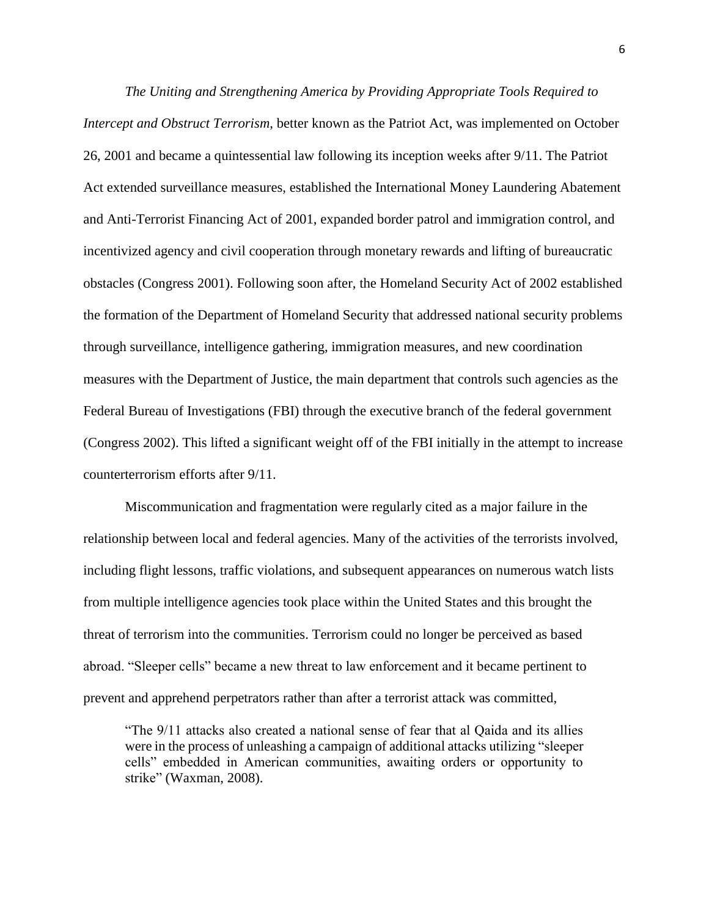*The Uniting and Strengthening America by Providing Appropriate Tools Required to Intercept and Obstruct Terrorism*, better known as the Patriot Act, was implemented on October 26, 2001 and became a quintessential law following its inception weeks after 9/11. The Patriot Act extended surveillance measures, established the International Money Laundering Abatement and Anti-Terrorist Financing Act of 2001, expanded border patrol and immigration control, and incentivized agency and civil cooperation through monetary rewards and lifting of bureaucratic obstacles (Congress 2001). Following soon after, the Homeland Security Act of 2002 established the formation of the Department of Homeland Security that addressed national security problems through surveillance, intelligence gathering, immigration measures, and new coordination measures with the Department of Justice, the main department that controls such agencies as the Federal Bureau of Investigations (FBI) through the executive branch of the federal government (Congress 2002). This lifted a significant weight off of the FBI initially in the attempt to increase counterterrorism efforts after 9/11.

Miscommunication and fragmentation were regularly cited as a major failure in the relationship between local and federal agencies. Many of the activities of the terrorists involved, including flight lessons, traffic violations, and subsequent appearances on numerous watch lists from multiple intelligence agencies took place within the United States and this brought the threat of terrorism into the communities. Terrorism could no longer be perceived as based abroad. "Sleeper cells" became a new threat to law enforcement and it became pertinent to prevent and apprehend perpetrators rather than after a terrorist attack was committed,

"The 9/11 attacks also created a national sense of fear that al Qaida and its allies were in the process of unleashing a campaign of additional attacks utilizing "sleeper cells" embedded in American communities, awaiting orders or opportunity to strike" (Waxman, 2008).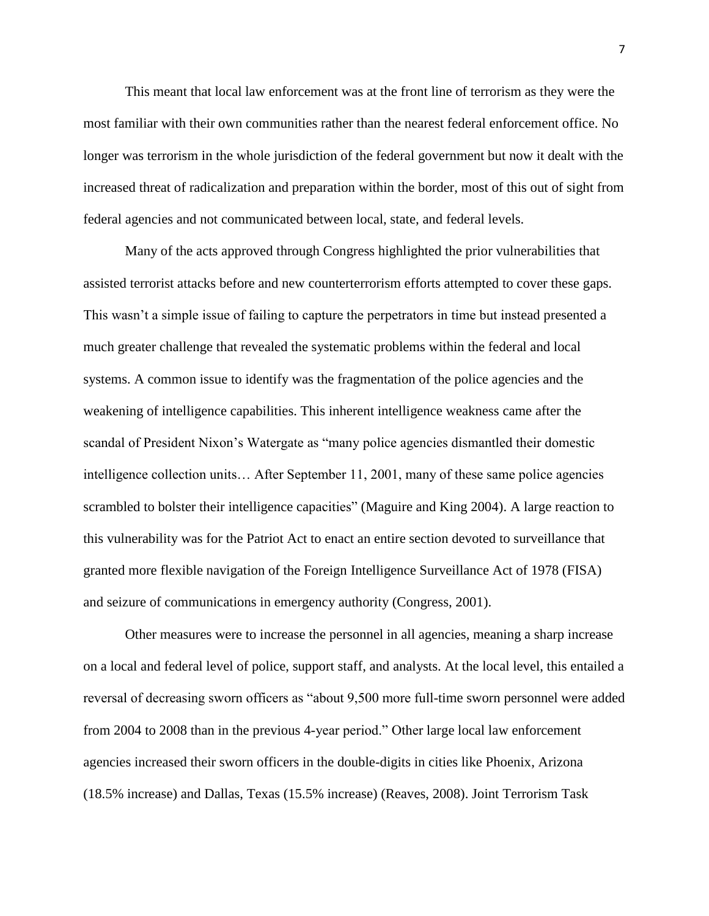This meant that local law enforcement was at the front line of terrorism as they were the most familiar with their own communities rather than the nearest federal enforcement office. No longer was terrorism in the whole jurisdiction of the federal government but now it dealt with the increased threat of radicalization and preparation within the border, most of this out of sight from federal agencies and not communicated between local, state, and federal levels.

Many of the acts approved through Congress highlighted the prior vulnerabilities that assisted terrorist attacks before and new counterterrorism efforts attempted to cover these gaps. This wasn't a simple issue of failing to capture the perpetrators in time but instead presented a much greater challenge that revealed the systematic problems within the federal and local systems. A common issue to identify was the fragmentation of the police agencies and the weakening of intelligence capabilities. This inherent intelligence weakness came after the scandal of President Nixon's Watergate as "many police agencies dismantled their domestic intelligence collection units… After September 11, 2001, many of these same police agencies scrambled to bolster their intelligence capacities" (Maguire and King 2004). A large reaction to this vulnerability was for the Patriot Act to enact an entire section devoted to surveillance that granted more flexible navigation of the Foreign Intelligence Surveillance Act of 1978 (FISA) and seizure of communications in emergency authority (Congress, 2001).

Other measures were to increase the personnel in all agencies, meaning a sharp increase on a local and federal level of police, support staff, and analysts. At the local level, this entailed a reversal of decreasing sworn officers as "about 9,500 more full-time sworn personnel were added from 2004 to 2008 than in the previous 4-year period." Other large local law enforcement agencies increased their sworn officers in the double-digits in cities like Phoenix, Arizona (18.5% increase) and Dallas, Texas (15.5% increase) (Reaves, 2008). Joint Terrorism Task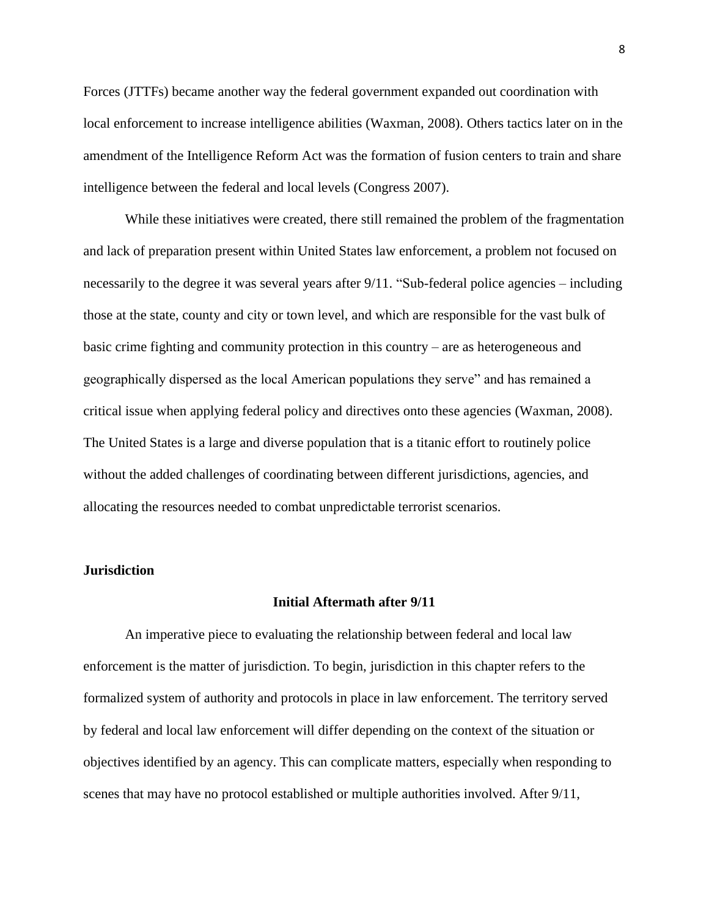Forces (JTTFs) became another way the federal government expanded out coordination with local enforcement to increase intelligence abilities (Waxman, 2008). Others tactics later on in the amendment of the Intelligence Reform Act was the formation of fusion centers to train and share intelligence between the federal and local levels (Congress 2007).

While these initiatives were created, there still remained the problem of the fragmentation and lack of preparation present within United States law enforcement, a problem not focused on necessarily to the degree it was several years after 9/11. "Sub-federal police agencies – including those at the state, county and city or town level, and which are responsible for the vast bulk of basic crime fighting and community protection in this country – are as heterogeneous and geographically dispersed as the local American populations they serve" and has remained a critical issue when applying federal policy and directives onto these agencies (Waxman, 2008). The United States is a large and diverse population that is a titanic effort to routinely police without the added challenges of coordinating between different jurisdictions, agencies, and allocating the resources needed to combat unpredictable terrorist scenarios.

#### **Jurisdiction**

#### **Initial Aftermath after 9/11**

An imperative piece to evaluating the relationship between federal and local law enforcement is the matter of jurisdiction. To begin, jurisdiction in this chapter refers to the formalized system of authority and protocols in place in law enforcement. The territory served by federal and local law enforcement will differ depending on the context of the situation or objectives identified by an agency. This can complicate matters, especially when responding to scenes that may have no protocol established or multiple authorities involved. After 9/11,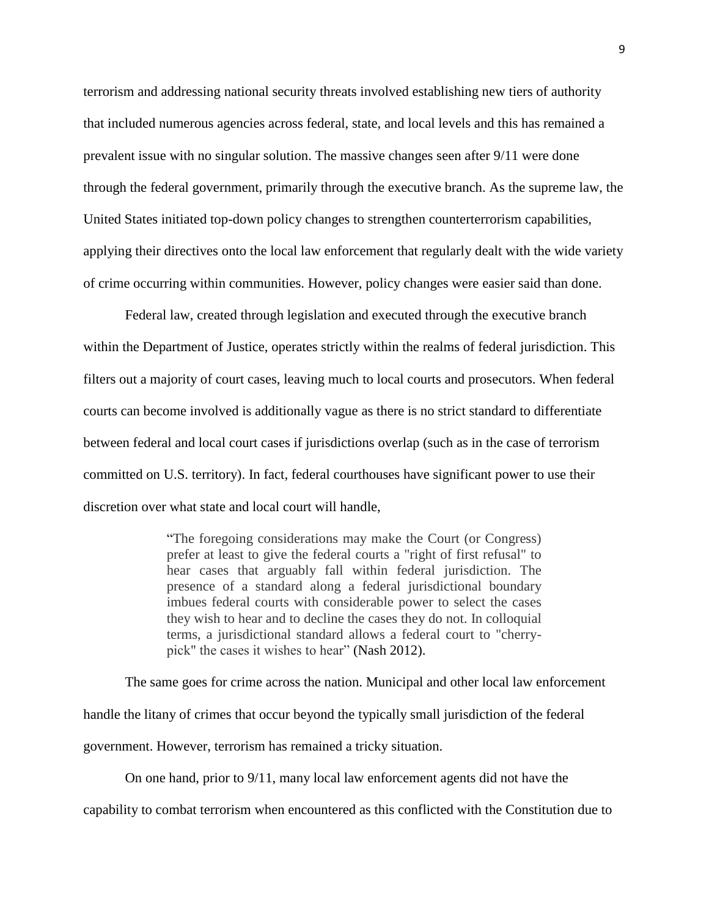terrorism and addressing national security threats involved establishing new tiers of authority that included numerous agencies across federal, state, and local levels and this has remained a prevalent issue with no singular solution. The massive changes seen after 9/11 were done through the federal government, primarily through the executive branch. As the supreme law, the United States initiated top-down policy changes to strengthen counterterrorism capabilities, applying their directives onto the local law enforcement that regularly dealt with the wide variety of crime occurring within communities. However, policy changes were easier said than done.

Federal law, created through legislation and executed through the executive branch within the Department of Justice, operates strictly within the realms of federal jurisdiction. This filters out a majority of court cases, leaving much to local courts and prosecutors. When federal courts can become involved is additionally vague as there is no strict standard to differentiate between federal and local court cases if jurisdictions overlap (such as in the case of terrorism committed on U.S. territory). In fact, federal courthouses have significant power to use their discretion over what state and local court will handle,

> "The foregoing considerations may make the Court (or Congress) prefer at least to give the federal courts a "right of first refusal" to hear cases that arguably fall within federal jurisdiction. The presence of a standard along a federal jurisdictional boundary imbues federal courts with considerable power to select the cases they wish to hear and to decline the cases they do not. In colloquial terms, a jurisdictional standard allows a federal court to "cherrypick" the cases it wishes to hear" (Nash 2012).

The same goes for crime across the nation. Municipal and other local law enforcement handle the litany of crimes that occur beyond the typically small jurisdiction of the federal government. However, terrorism has remained a tricky situation.

On one hand, prior to 9/11, many local law enforcement agents did not have the

capability to combat terrorism when encountered as this conflicted with the Constitution due to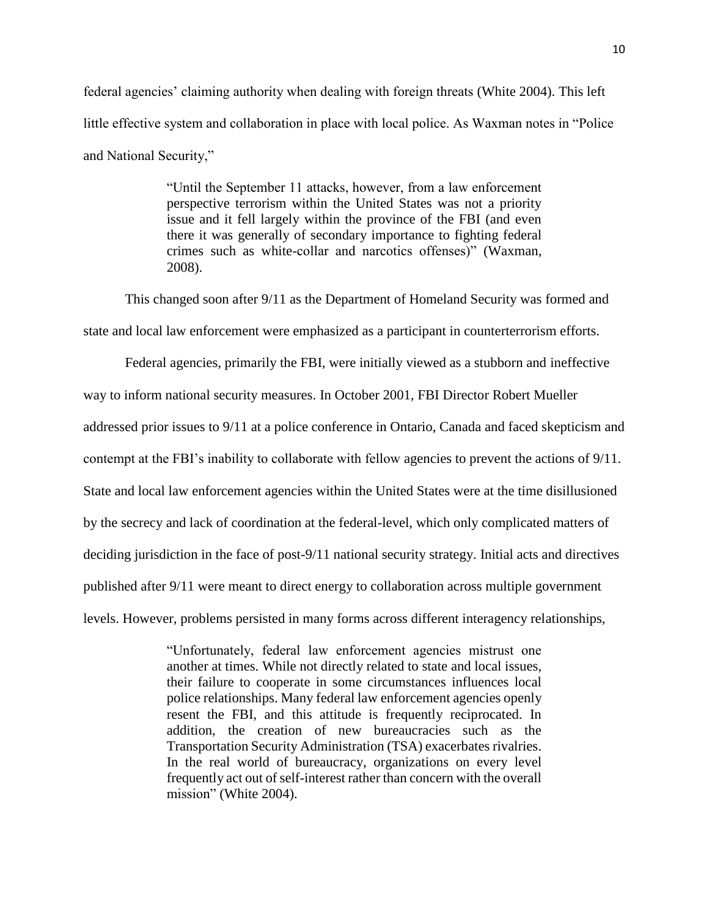federal agencies' claiming authority when dealing with foreign threats (White 2004). This left little effective system and collaboration in place with local police. As Waxman notes in "Police and National Security,"

> "Until the September 11 attacks, however, from a law enforcement perspective terrorism within the United States was not a priority issue and it fell largely within the province of the FBI (and even there it was generally of secondary importance to fighting federal crimes such as white-collar and narcotics offenses)" (Waxman, 2008).

This changed soon after 9/11 as the Department of Homeland Security was formed and state and local law enforcement were emphasized as a participant in counterterrorism efforts.

Federal agencies, primarily the FBI, were initially viewed as a stubborn and ineffective way to inform national security measures. In October 2001, FBI Director Robert Mueller addressed prior issues to 9/11 at a police conference in Ontario, Canada and faced skepticism and contempt at the FBI's inability to collaborate with fellow agencies to prevent the actions of 9/11. State and local law enforcement agencies within the United States were at the time disillusioned by the secrecy and lack of coordination at the federal-level, which only complicated matters of deciding jurisdiction in the face of post-9/11 national security strategy. Initial acts and directives published after 9/11 were meant to direct energy to collaboration across multiple government levels. However, problems persisted in many forms across different interagency relationships,

> "Unfortunately, federal law enforcement agencies mistrust one another at times. While not directly related to state and local issues, their failure to cooperate in some circumstances influences local police relationships. Many federal law enforcement agencies openly resent the FBI, and this attitude is frequently reciprocated. In addition, the creation of new bureaucracies such as the Transportation Security Administration (TSA) exacerbates rivalries. In the real world of bureaucracy, organizations on every level frequently act out of self-interest rather than concern with the overall mission" (White 2004).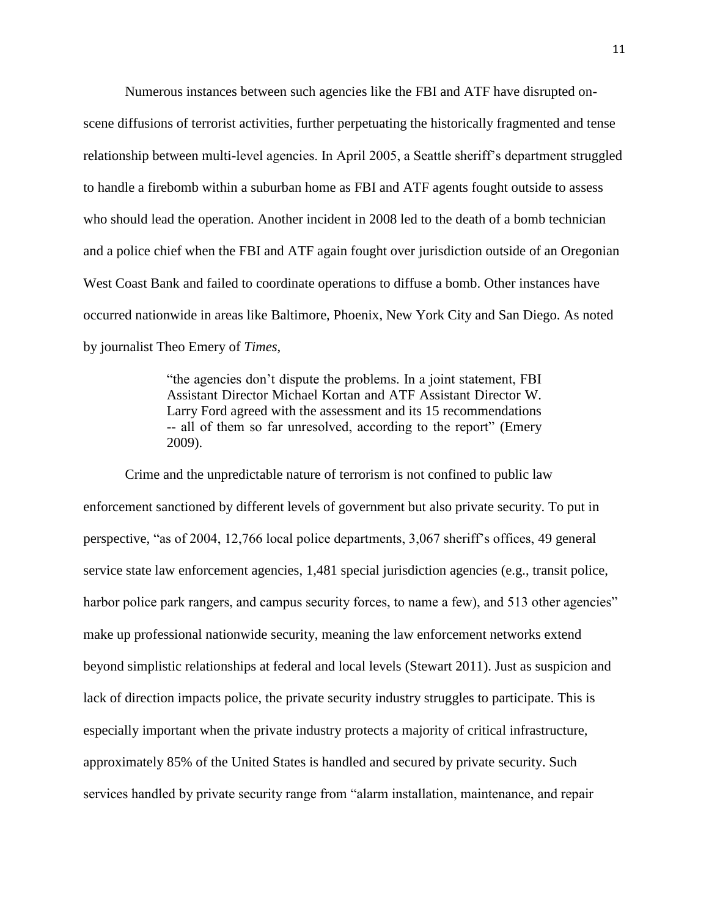Numerous instances between such agencies like the FBI and ATF have disrupted onscene diffusions of terrorist activities, further perpetuating the historically fragmented and tense relationship between multi-level agencies. In April 2005, a Seattle sheriff's department struggled to handle a firebomb within a suburban home as FBI and ATF agents fought outside to assess who should lead the operation. Another incident in 2008 led to the death of a bomb technician and a police chief when the FBI and ATF again fought over jurisdiction outside of an Oregonian West Coast Bank and failed to coordinate operations to diffuse a bomb. Other instances have occurred nationwide in areas like Baltimore, Phoenix, New York City and San Diego. As noted by journalist Theo Emery of *Times*,

> "the agencies don't dispute the problems. In a joint statement, FBI Assistant Director Michael Kortan and ATF Assistant Director W. Larry Ford agreed with the assessment and its 15 recommendations -- all of them so far unresolved, according to the report" (Emery 2009).

Crime and the unpredictable nature of terrorism is not confined to public law enforcement sanctioned by different levels of government but also private security. To put in perspective, "as of 2004, 12,766 local police departments, 3,067 sheriff's offices, 49 general service state law enforcement agencies, 1,481 special jurisdiction agencies (e.g., transit police, harbor police park rangers, and campus security forces, to name a few), and 513 other agencies" make up professional nationwide security, meaning the law enforcement networks extend beyond simplistic relationships at federal and local levels (Stewart 2011). Just as suspicion and lack of direction impacts police, the private security industry struggles to participate. This is especially important when the private industry protects a majority of critical infrastructure, approximately 85% of the United States is handled and secured by private security. Such services handled by private security range from "alarm installation, maintenance, and repair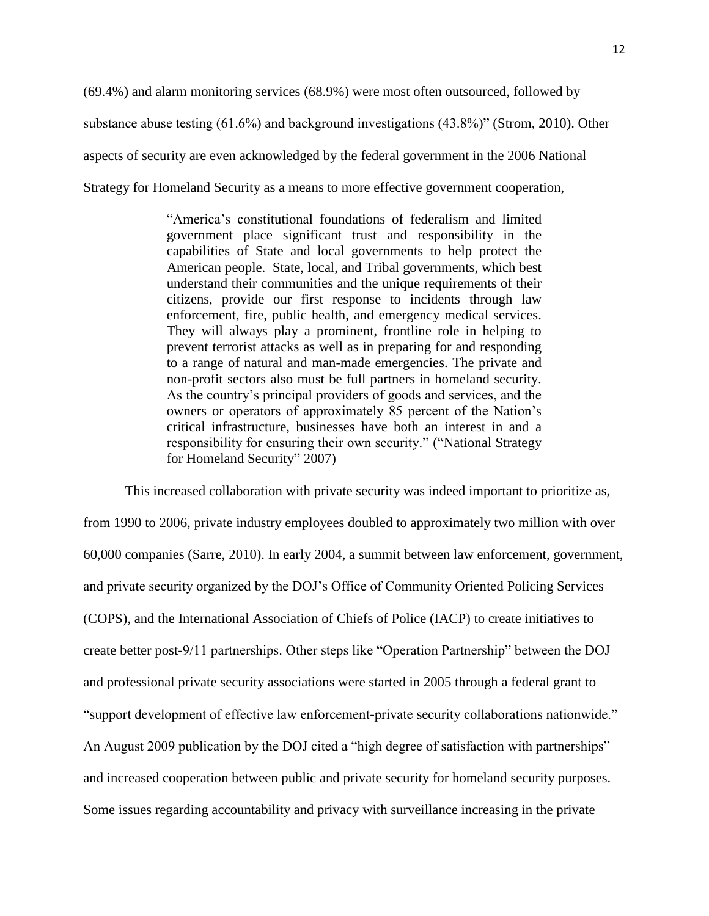(69.4%) and alarm monitoring services (68.9%) were most often outsourced, followed by substance abuse testing (61.6%) and background investigations (43.8%)" (Strom, 2010). Other aspects of security are even acknowledged by the federal government in the 2006 National Strategy for Homeland Security as a means to more effective government cooperation,

> "America's constitutional foundations of federalism and limited government place significant trust and responsibility in the capabilities of State and local governments to help protect the American people. State, local, and Tribal governments, which best understand their communities and the unique requirements of their citizens, provide our first response to incidents through law enforcement, fire, public health, and emergency medical services. They will always play a prominent, frontline role in helping to prevent terrorist attacks as well as in preparing for and responding to a range of natural and man-made emergencies. The private and non-profit sectors also must be full partners in homeland security. As the country's principal providers of goods and services, and the owners or operators of approximately 85 percent of the Nation's critical infrastructure, businesses have both an interest in and a responsibility for ensuring their own security." ("National Strategy for Homeland Security" 2007)

This increased collaboration with private security was indeed important to prioritize as, from 1990 to 2006, private industry employees doubled to approximately two million with over 60,000 companies (Sarre, 2010). In early 2004, a summit between law enforcement, government, and private security organized by the DOJ's Office of Community Oriented Policing Services (COPS), and the International Association of Chiefs of Police (IACP) to create initiatives to create better post-9/11 partnerships. Other steps like "Operation Partnership" between the DOJ and professional private security associations were started in 2005 through a federal grant to "support development of effective law enforcement-private security collaborations nationwide." An August 2009 publication by the DOJ cited a "high degree of satisfaction with partnerships" and increased cooperation between public and private security for homeland security purposes. Some issues regarding accountability and privacy with surveillance increasing in the private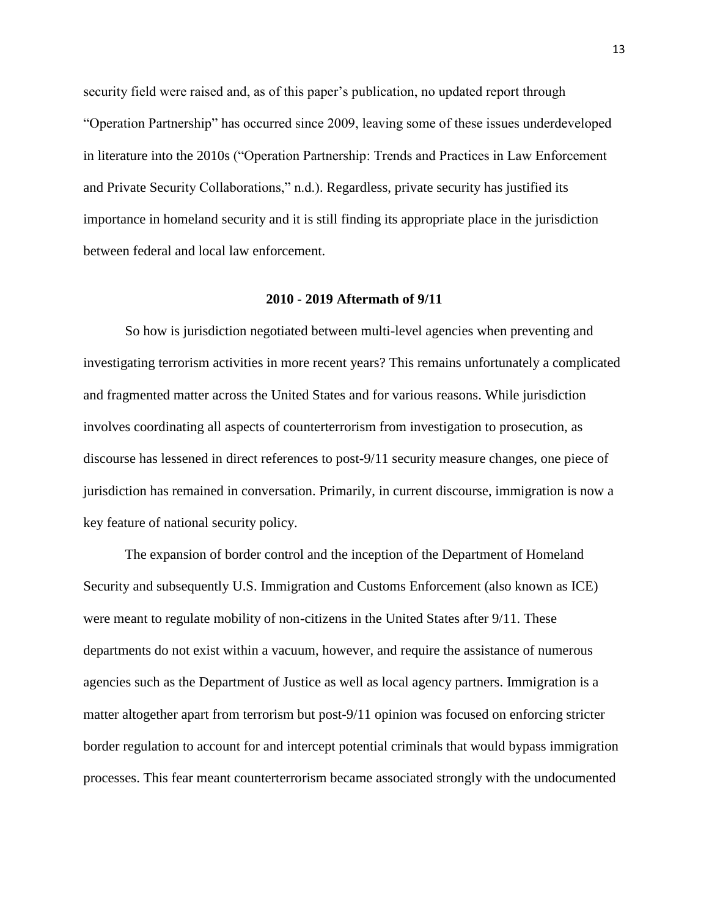security field were raised and, as of this paper's publication, no updated report through "Operation Partnership" has occurred since 2009, leaving some of these issues underdeveloped in literature into the 2010s ("Operation Partnership: Trends and Practices in Law Enforcement and Private Security Collaborations," n.d.). Regardless, private security has justified its importance in homeland security and it is still finding its appropriate place in the jurisdiction between federal and local law enforcement.

#### **2010 - 2019 Aftermath of 9/11**

So how is jurisdiction negotiated between multi-level agencies when preventing and investigating terrorism activities in more recent years? This remains unfortunately a complicated and fragmented matter across the United States and for various reasons. While jurisdiction involves coordinating all aspects of counterterrorism from investigation to prosecution, as discourse has lessened in direct references to post-9/11 security measure changes, one piece of jurisdiction has remained in conversation. Primarily, in current discourse, immigration is now a key feature of national security policy.

The expansion of border control and the inception of the Department of Homeland Security and subsequently U.S. Immigration and Customs Enforcement (also known as ICE) were meant to regulate mobility of non-citizens in the United States after 9/11. These departments do not exist within a vacuum, however, and require the assistance of numerous agencies such as the Department of Justice as well as local agency partners. Immigration is a matter altogether apart from terrorism but post-9/11 opinion was focused on enforcing stricter border regulation to account for and intercept potential criminals that would bypass immigration processes. This fear meant counterterrorism became associated strongly with the undocumented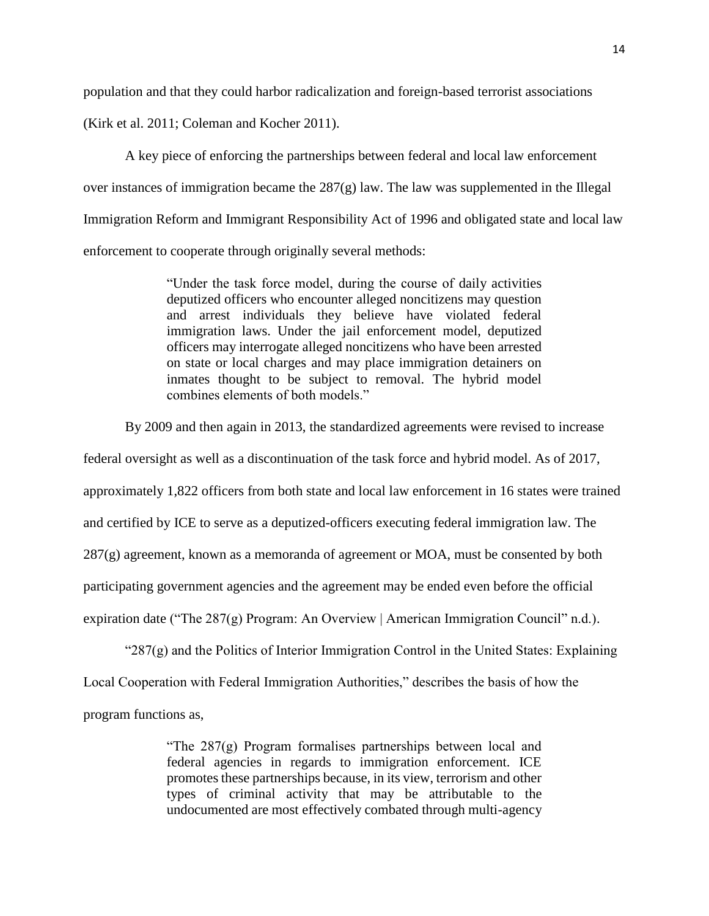population and that they could harbor radicalization and foreign-based terrorist associations

(Kirk et al. 2011; Coleman and Kocher 2011).

A key piece of enforcing the partnerships between federal and local law enforcement over instances of immigration became the  $287(g)$  law. The law was supplemented in the Illegal Immigration Reform and Immigrant Responsibility Act of 1996 and obligated state and local law enforcement to cooperate through originally several methods:

> "Under the task force model, during the course of daily activities deputized officers who encounter alleged noncitizens may question and arrest individuals they believe have violated federal immigration laws. Under the jail enforcement model, deputized officers may interrogate alleged noncitizens who have been arrested on state or local charges and may place immigration detainers on inmates thought to be subject to removal. The hybrid model combines elements of both models."

By 2009 and then again in 2013, the standardized agreements were revised to increase

federal oversight as well as a discontinuation of the task force and hybrid model. As of 2017, approximately 1,822 officers from both state and local law enforcement in 16 states were trained and certified by ICE to serve as a deputized-officers executing federal immigration law. The  $287(g)$  agreement, known as a memoranda of agreement or MOA, must be consented by both participating government agencies and the agreement may be ended even before the official expiration date ("The 287(g) Program: An Overview | American Immigration Council" n.d.).

" $287(g)$  and the Politics of Interior Immigration Control in the United States: Explaining

Local Cooperation with Federal Immigration Authorities," describes the basis of how the

program functions as,

"The 287(g) Program formalises partnerships between local and federal agencies in regards to immigration enforcement. ICE promotes these partnerships because, in its view, terrorism and other types of criminal activity that may be attributable to the undocumented are most effectively combated through multi-agency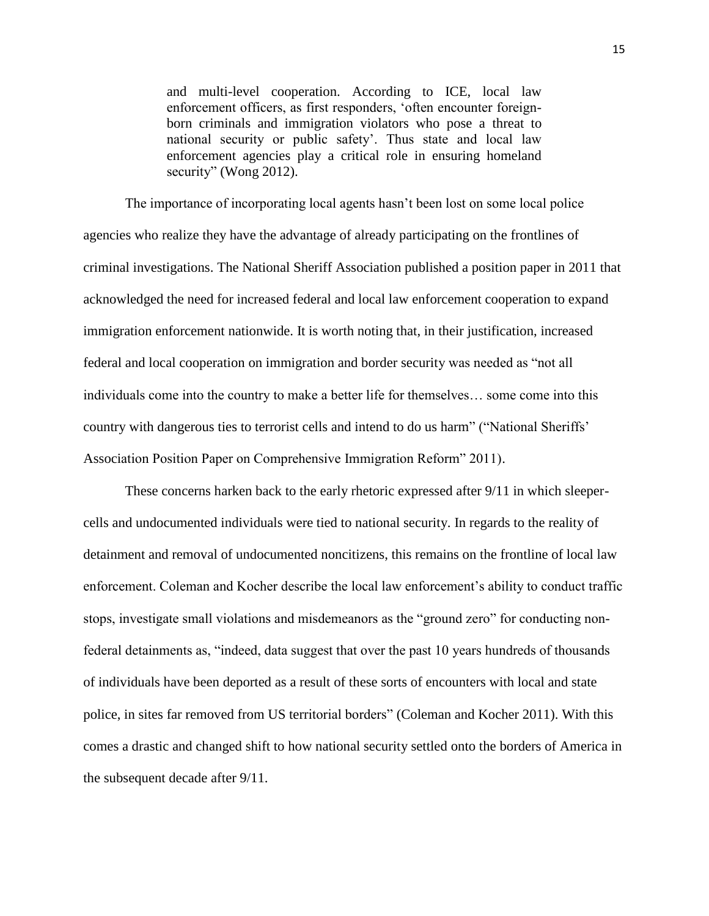and multi-level cooperation. According to ICE, local law enforcement officers, as first responders, 'often encounter foreignborn criminals and immigration violators who pose a threat to national security or public safety'. Thus state and local law enforcement agencies play a critical role in ensuring homeland security" (Wong 2012).

The importance of incorporating local agents hasn't been lost on some local police agencies who realize they have the advantage of already participating on the frontlines of criminal investigations. The National Sheriff Association published a position paper in 2011 that acknowledged the need for increased federal and local law enforcement cooperation to expand immigration enforcement nationwide. It is worth noting that, in their justification, increased federal and local cooperation on immigration and border security was needed as "not all individuals come into the country to make a better life for themselves… some come into this country with dangerous ties to terrorist cells and intend to do us harm" ("National Sheriffs' Association Position Paper on Comprehensive Immigration Reform" 2011).

These concerns harken back to the early rhetoric expressed after 9/11 in which sleepercells and undocumented individuals were tied to national security. In regards to the reality of detainment and removal of undocumented noncitizens, this remains on the frontline of local law enforcement. Coleman and Kocher describe the local law enforcement's ability to conduct traffic stops, investigate small violations and misdemeanors as the "ground zero" for conducting nonfederal detainments as, "indeed, data suggest that over the past 10 years hundreds of thousands of individuals have been deported as a result of these sorts of encounters with local and state police, in sites far removed from US territorial borders" (Coleman and Kocher 2011). With this comes a drastic and changed shift to how national security settled onto the borders of America in the subsequent decade after 9/11.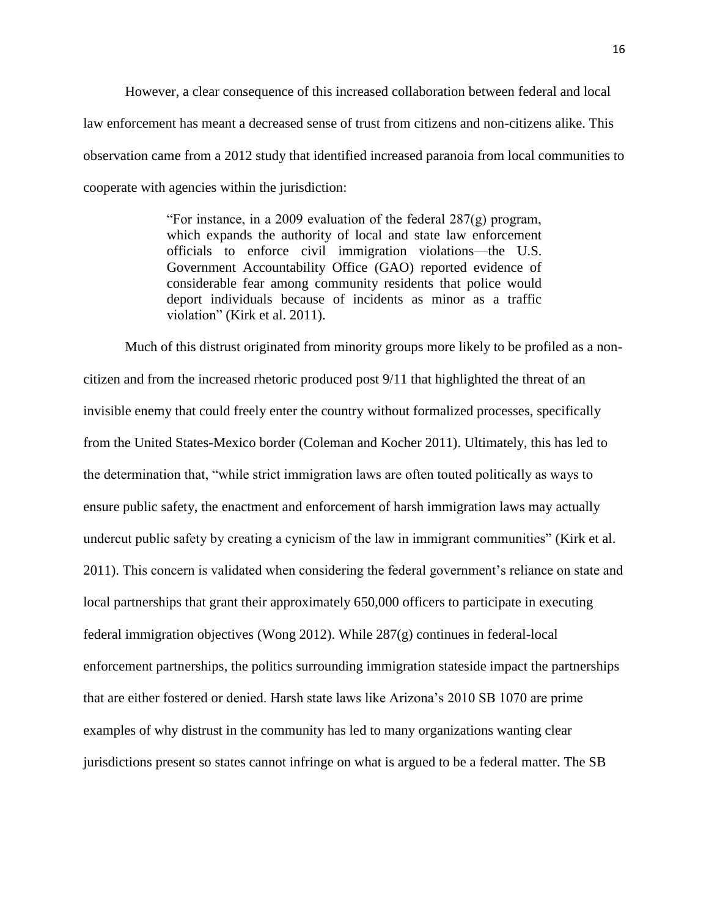However, a clear consequence of this increased collaboration between federal and local law enforcement has meant a decreased sense of trust from citizens and non-citizens alike. This observation came from a 2012 study that identified increased paranoia from local communities to cooperate with agencies within the jurisdiction:

> "For instance, in a 2009 evaluation of the federal 287(g) program, which expands the authority of local and state law enforcement officials to enforce civil immigration violations—the U.S. Government Accountability Office (GAO) reported evidence of considerable fear among community residents that police would deport individuals because of incidents as minor as a traffic violation" (Kirk et al. 2011).

Much of this distrust originated from minority groups more likely to be profiled as a noncitizen and from the increased rhetoric produced post 9/11 that highlighted the threat of an invisible enemy that could freely enter the country without formalized processes, specifically from the United States-Mexico border (Coleman and Kocher 2011). Ultimately, this has led to the determination that, "while strict immigration laws are often touted politically as ways to ensure public safety, the enactment and enforcement of harsh immigration laws may actually undercut public safety by creating a cynicism of the law in immigrant communities" (Kirk et al. 2011). This concern is validated when considering the federal government's reliance on state and local partnerships that grant their approximately 650,000 officers to participate in executing federal immigration objectives (Wong 2012). While 287(g) continues in federal-local enforcement partnerships, the politics surrounding immigration stateside impact the partnerships that are either fostered or denied. Harsh state laws like Arizona's 2010 SB 1070 are prime examples of why distrust in the community has led to many organizations wanting clear jurisdictions present so states cannot infringe on what is argued to be a federal matter. The SB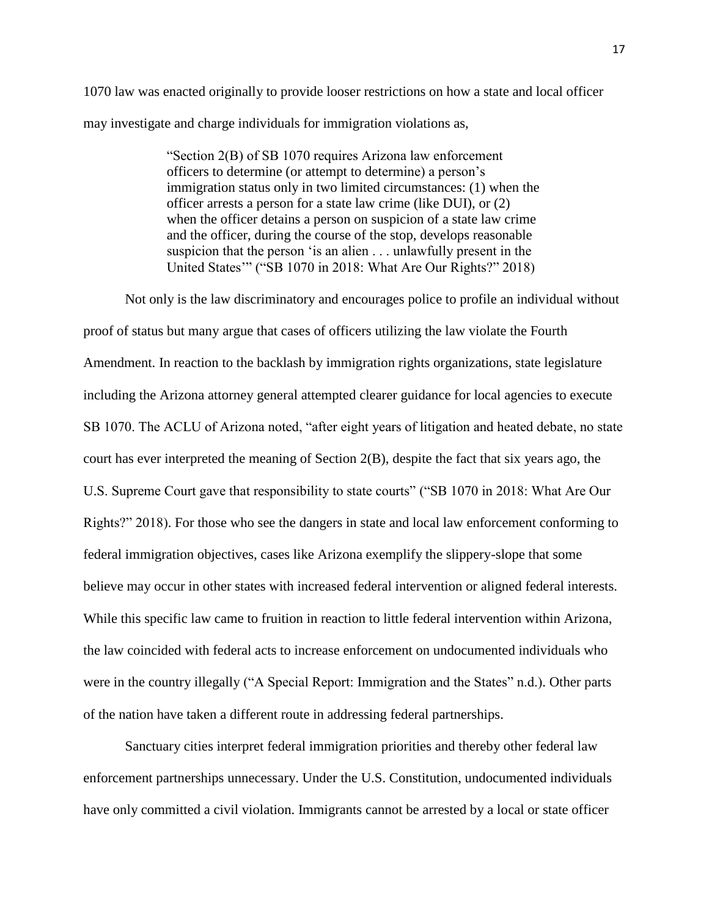1070 law was enacted originally to provide looser restrictions on how a state and local officer may investigate and charge individuals for immigration violations as,

> "Section 2(B) of SB 1070 requires Arizona law enforcement officers to determine (or attempt to determine) a person's immigration status only in two limited circumstances: (1) when the officer arrests a person for a state law crime (like DUI), or (2) when the officer detains a person on suspicion of a state law crime and the officer, during the course of the stop, develops reasonable suspicion that the person 'is an alien . . . unlawfully present in the United States'" ("SB 1070 in 2018: What Are Our Rights?" 2018)

Not only is the law discriminatory and encourages police to profile an individual without proof of status but many argue that cases of officers utilizing the law violate the Fourth Amendment. In reaction to the backlash by immigration rights organizations, state legislature including the Arizona attorney general attempted clearer guidance for local agencies to execute SB 1070. The ACLU of Arizona noted, "after eight years of litigation and heated debate, no state court has ever interpreted the meaning of Section 2(B), despite the fact that six years ago, the U.S. Supreme Court gave that responsibility to state courts" ("SB 1070 in 2018: What Are Our Rights?" 2018). For those who see the dangers in state and local law enforcement conforming to federal immigration objectives, cases like Arizona exemplify the slippery-slope that some believe may occur in other states with increased federal intervention or aligned federal interests. While this specific law came to fruition in reaction to little federal intervention within Arizona, the law coincided with federal acts to increase enforcement on undocumented individuals who were in the country illegally ("A Special Report: Immigration and the States" n.d.). Other parts of the nation have taken a different route in addressing federal partnerships.

Sanctuary cities interpret federal immigration priorities and thereby other federal law enforcement partnerships unnecessary. Under the U.S. Constitution, undocumented individuals have only committed a civil violation. Immigrants cannot be arrested by a local or state officer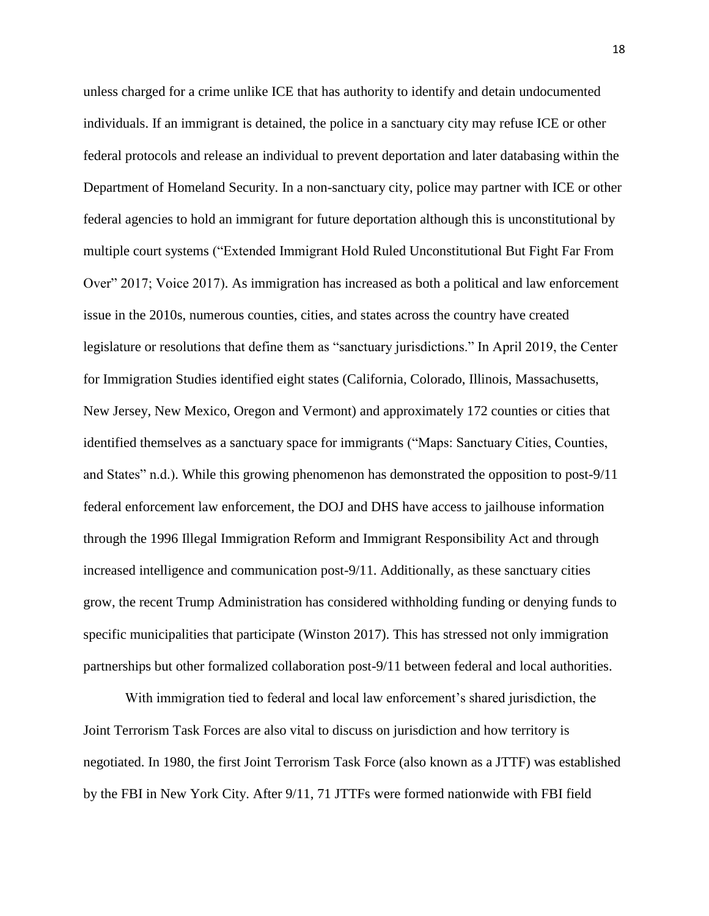unless charged for a crime unlike ICE that has authority to identify and detain undocumented individuals. If an immigrant is detained, the police in a sanctuary city may refuse ICE or other federal protocols and release an individual to prevent deportation and later databasing within the Department of Homeland Security. In a non-sanctuary city, police may partner with ICE or other federal agencies to hold an immigrant for future deportation although this is unconstitutional by multiple court systems ("Extended Immigrant Hold Ruled Unconstitutional But Fight Far From Over" 2017; Voice 2017). As immigration has increased as both a political and law enforcement issue in the 2010s, numerous counties, cities, and states across the country have created legislature or resolutions that define them as "sanctuary jurisdictions." In April 2019, the Center for Immigration Studies identified eight states (California, Colorado, Illinois, Massachusetts, New Jersey, New Mexico, Oregon and Vermont) and approximately 172 counties or cities that identified themselves as a sanctuary space for immigrants ("Maps: Sanctuary Cities, Counties, and States" n.d.). While this growing phenomenon has demonstrated the opposition to post-9/11 federal enforcement law enforcement, the DOJ and DHS have access to jailhouse information through the 1996 Illegal Immigration Reform and Immigrant Responsibility Act and through increased intelligence and communication post-9/11. Additionally, as these sanctuary cities grow, the recent Trump Administration has considered withholding funding or denying funds to specific municipalities that participate (Winston 2017). This has stressed not only immigration partnerships but other formalized collaboration post-9/11 between federal and local authorities.

With immigration tied to federal and local law enforcement's shared jurisdiction, the Joint Terrorism Task Forces are also vital to discuss on jurisdiction and how territory is negotiated. In 1980, the first Joint Terrorism Task Force (also known as a JTTF) was established by the FBI in New York City. After 9/11, 71 JTTFs were formed nationwide with FBI field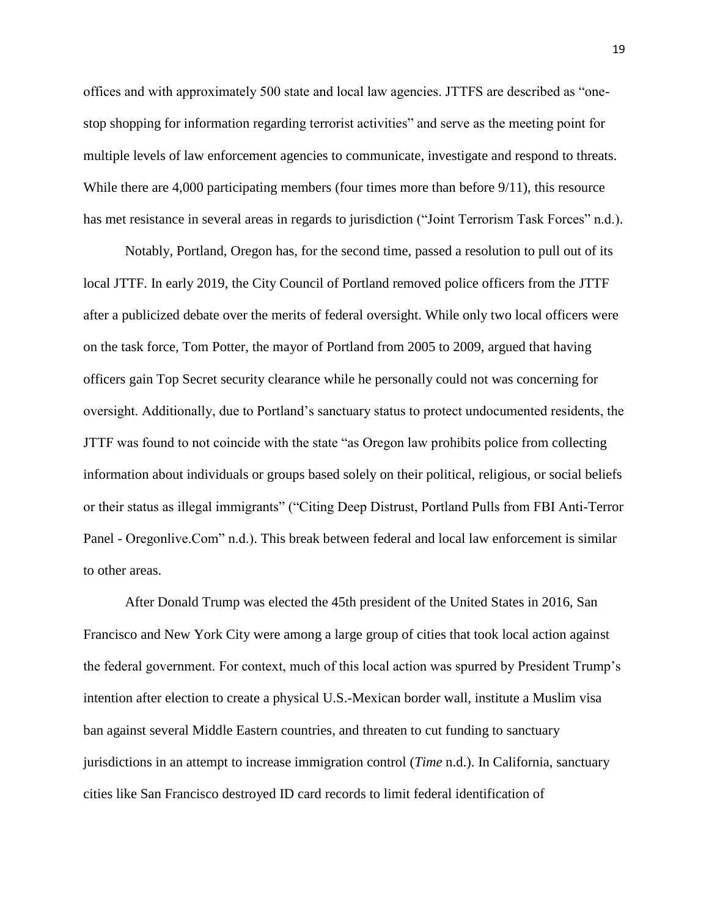offices and with approximately 500 state and local law agencies. JTTFS are described as "onestop shopping for information regarding terrorist activities" and serve as the meeting point for multiple levels of law enforcement agencies to communicate, investigate and respond to threats. While there are 4,000 participating members (four times more than before  $9/11$ ), this resource has met resistance in several areas in regards to jurisdiction ("Joint Terrorism Task Forces" n.d.).

Notably, Portland, Oregon has, for the second time, passed a resolution to pull out of its local JTTF. In early 2019, the City Council of Portland removed police officers from the JTTF after a publicized debate over the merits of federal oversight. While only two local officers were on the task force, Tom Potter, the mayor of Portland from 2005 to 2009, argued that having officers gain Top Secret security clearance while he personally could not was concerning for oversight. Additionally, due to Portland's sanctuary status to protect undocumented residents, the JTTF was found to not coincide with the state "as Oregon law prohibits police from collecting information about individuals or groups based solely on their political, religious, or social beliefs or their status as illegal immigrants" ("Citing Deep Distrust, Portland Pulls from FBI Anti-Terror Panel - Oregonlive.Com" n.d.). This break between federal and local law enforcement is similar to other areas.

After Donald Trump was elected the 45th president of the United States in 2016, San Francisco and New York City were among a large group of cities that took local action against the federal government. For context, much of this local action was spurred by President Trump's intention after election to create a physical U.S.-Mexican border wall, institute a Muslim visa ban against several Middle Eastern countries, and threaten to cut funding to sanctuary jurisdictions in an attempt to increase immigration control (*Time* n.d.). In California, sanctuary cities like San Francisco destroyed ID card records to limit federal identification of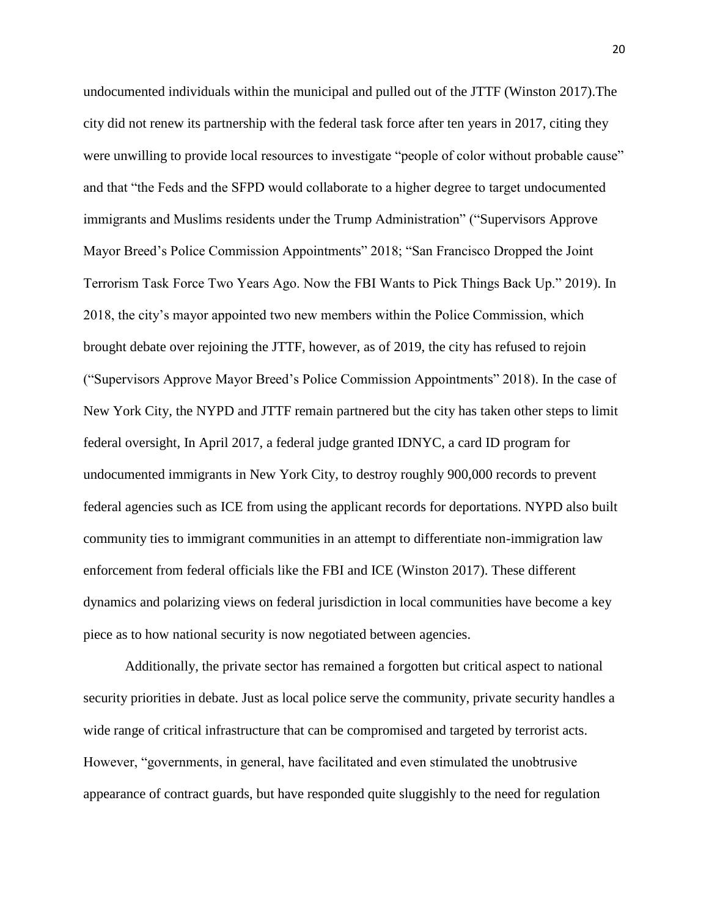undocumented individuals within the municipal and pulled out of the JTTF (Winston 2017).The city did not renew its partnership with the federal task force after ten years in 2017, citing they were unwilling to provide local resources to investigate "people of color without probable cause" and that "the Feds and the SFPD would collaborate to a higher degree to target undocumented immigrants and Muslims residents under the Trump Administration" ("Supervisors Approve Mayor Breed's Police Commission Appointments" 2018; "San Francisco Dropped the Joint Terrorism Task Force Two Years Ago. Now the FBI Wants to Pick Things Back Up." 2019). In 2018, the city's mayor appointed two new members within the Police Commission, which brought debate over rejoining the JTTF, however, as of 2019, the city has refused to rejoin ("Supervisors Approve Mayor Breed's Police Commission Appointments" 2018). In the case of New York City, the NYPD and JTTF remain partnered but the city has taken other steps to limit federal oversight, In April 2017, a federal judge granted IDNYC, a card ID program for undocumented immigrants in New York City, to destroy roughly 900,000 records to prevent federal agencies such as ICE from using the applicant records for deportations. NYPD also built community ties to immigrant communities in an attempt to differentiate non-immigration law enforcement from federal officials like the FBI and ICE (Winston 2017). These different dynamics and polarizing views on federal jurisdiction in local communities have become a key piece as to how national security is now negotiated between agencies.

Additionally, the private sector has remained a forgotten but critical aspect to national security priorities in debate. Just as local police serve the community, private security handles a wide range of critical infrastructure that can be compromised and targeted by terrorist acts. However, "governments, in general, have facilitated and even stimulated the unobtrusive appearance of contract guards, but have responded quite sluggishly to the need for regulation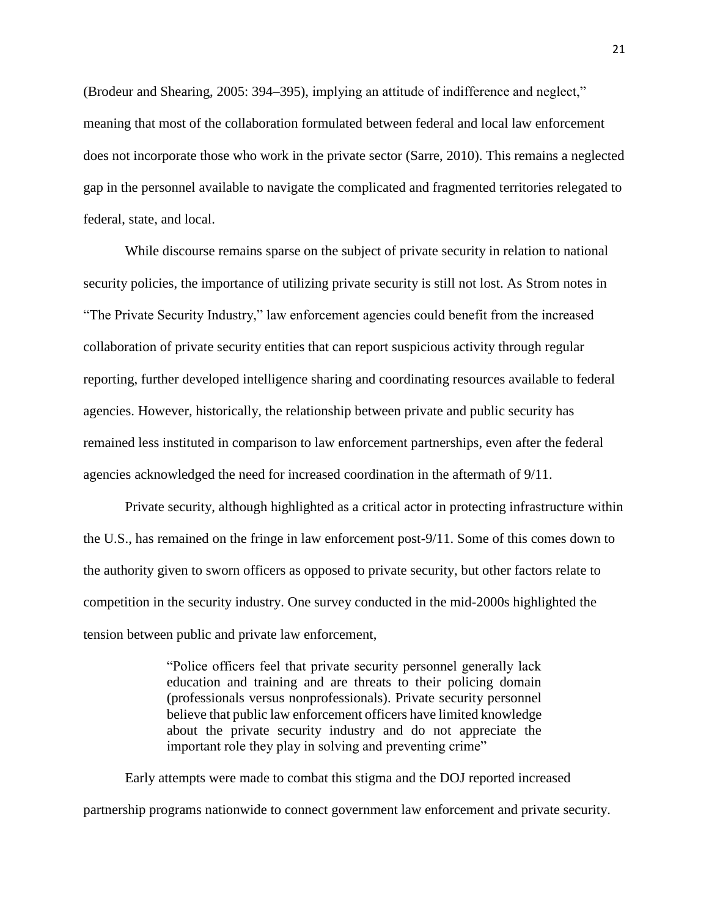(Brodeur and Shearing, 2005: 394–395), implying an attitude of indifference and neglect," meaning that most of the collaboration formulated between federal and local law enforcement does not incorporate those who work in the private sector (Sarre, 2010). This remains a neglected gap in the personnel available to navigate the complicated and fragmented territories relegated to federal, state, and local.

While discourse remains sparse on the subject of private security in relation to national security policies, the importance of utilizing private security is still not lost. As Strom notes in "The Private Security Industry," law enforcement agencies could benefit from the increased collaboration of private security entities that can report suspicious activity through regular reporting, further developed intelligence sharing and coordinating resources available to federal agencies. However, historically, the relationship between private and public security has remained less instituted in comparison to law enforcement partnerships, even after the federal agencies acknowledged the need for increased coordination in the aftermath of 9/11.

Private security, although highlighted as a critical actor in protecting infrastructure within the U.S., has remained on the fringe in law enforcement post-9/11. Some of this comes down to the authority given to sworn officers as opposed to private security, but other factors relate to competition in the security industry. One survey conducted in the mid-2000s highlighted the tension between public and private law enforcement,

> "Police officers feel that private security personnel generally lack education and training and are threats to their policing domain (professionals versus nonprofessionals). Private security personnel believe that public law enforcement officers have limited knowledge about the private security industry and do not appreciate the important role they play in solving and preventing crime"

Early attempts were made to combat this stigma and the DOJ reported increased partnership programs nationwide to connect government law enforcement and private security.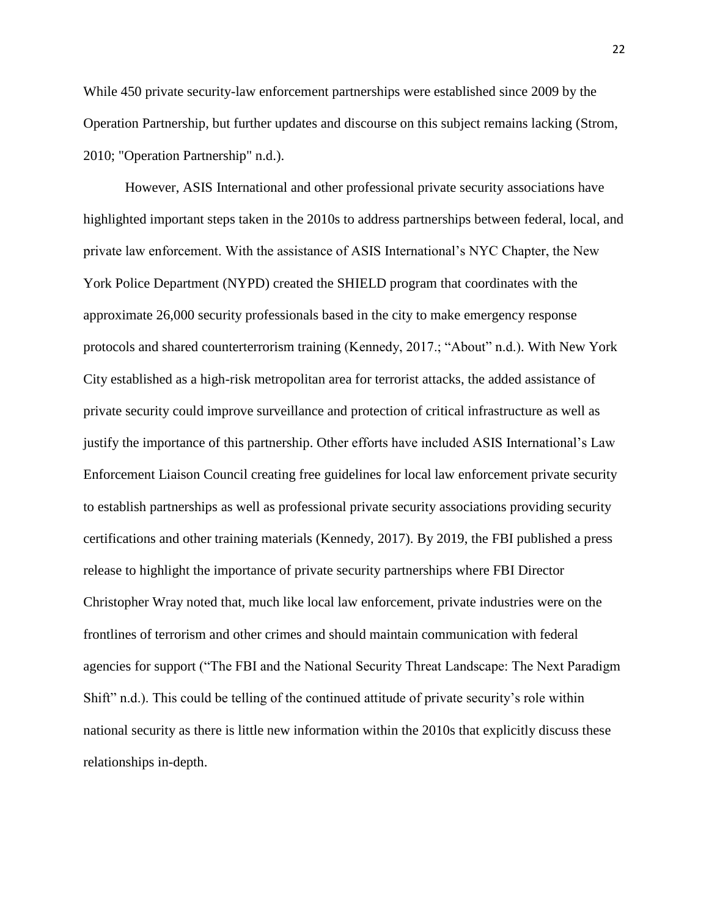While 450 private security-law enforcement partnerships were established since 2009 by the Operation Partnership, but further updates and discourse on this subject remains lacking (Strom, 2010; "Operation Partnership" n.d.).

However, ASIS International and other professional private security associations have highlighted important steps taken in the 2010s to address partnerships between federal, local, and private law enforcement. With the assistance of ASIS International's NYC Chapter, the New York Police Department (NYPD) created the SHIELD program that coordinates with the approximate 26,000 security professionals based in the city to make emergency response protocols and shared counterterrorism training (Kennedy, 2017.; "About" n.d.). With New York City established as a high-risk metropolitan area for terrorist attacks, the added assistance of private security could improve surveillance and protection of critical infrastructure as well as justify the importance of this partnership. Other efforts have included ASIS International's Law Enforcement Liaison Council creating free guidelines for local law enforcement private security to establish partnerships as well as professional private security associations providing security certifications and other training materials (Kennedy, 2017). By 2019, the FBI published a press release to highlight the importance of private security partnerships where FBI Director Christopher Wray noted that, much like local law enforcement, private industries were on the frontlines of terrorism and other crimes and should maintain communication with federal agencies for support ("The FBI and the National Security Threat Landscape: The Next Paradigm Shift" n.d.). This could be telling of the continued attitude of private security's role within national security as there is little new information within the 2010s that explicitly discuss these relationships in-depth.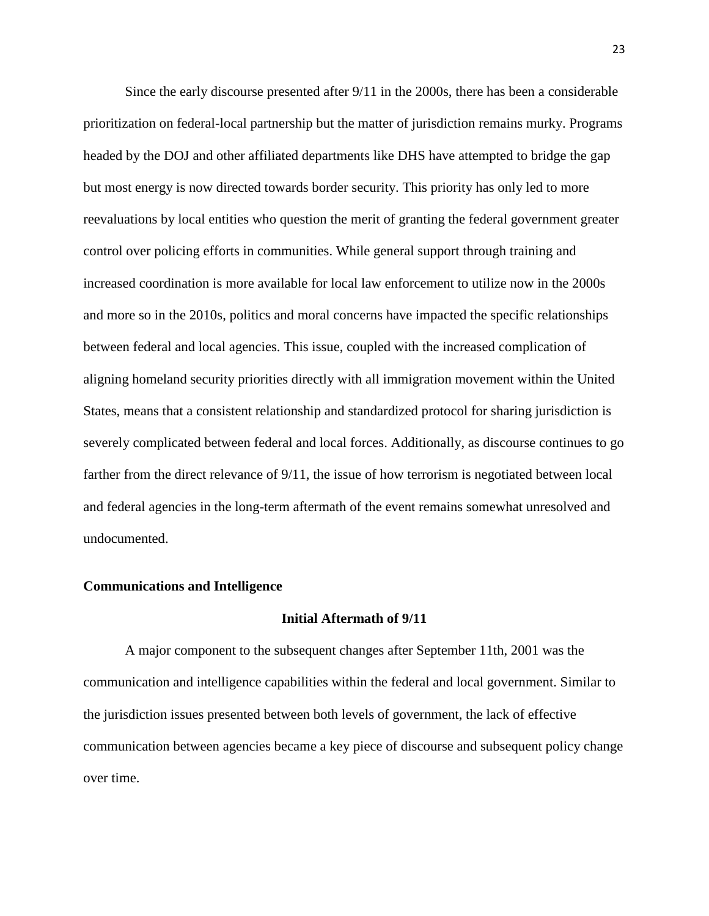Since the early discourse presented after 9/11 in the 2000s, there has been a considerable prioritization on federal-local partnership but the matter of jurisdiction remains murky. Programs headed by the DOJ and other affiliated departments like DHS have attempted to bridge the gap but most energy is now directed towards border security. This priority has only led to more reevaluations by local entities who question the merit of granting the federal government greater control over policing efforts in communities. While general support through training and increased coordination is more available for local law enforcement to utilize now in the 2000s and more so in the 2010s, politics and moral concerns have impacted the specific relationships between federal and local agencies. This issue, coupled with the increased complication of aligning homeland security priorities directly with all immigration movement within the United States, means that a consistent relationship and standardized protocol for sharing jurisdiction is severely complicated between federal and local forces. Additionally, as discourse continues to go farther from the direct relevance of 9/11, the issue of how terrorism is negotiated between local and federal agencies in the long-term aftermath of the event remains somewhat unresolved and undocumented.

#### **Communications and Intelligence**

### **Initial Aftermath of 9/11**

A major component to the subsequent changes after September 11th, 2001 was the communication and intelligence capabilities within the federal and local government. Similar to the jurisdiction issues presented between both levels of government, the lack of effective communication between agencies became a key piece of discourse and subsequent policy change over time.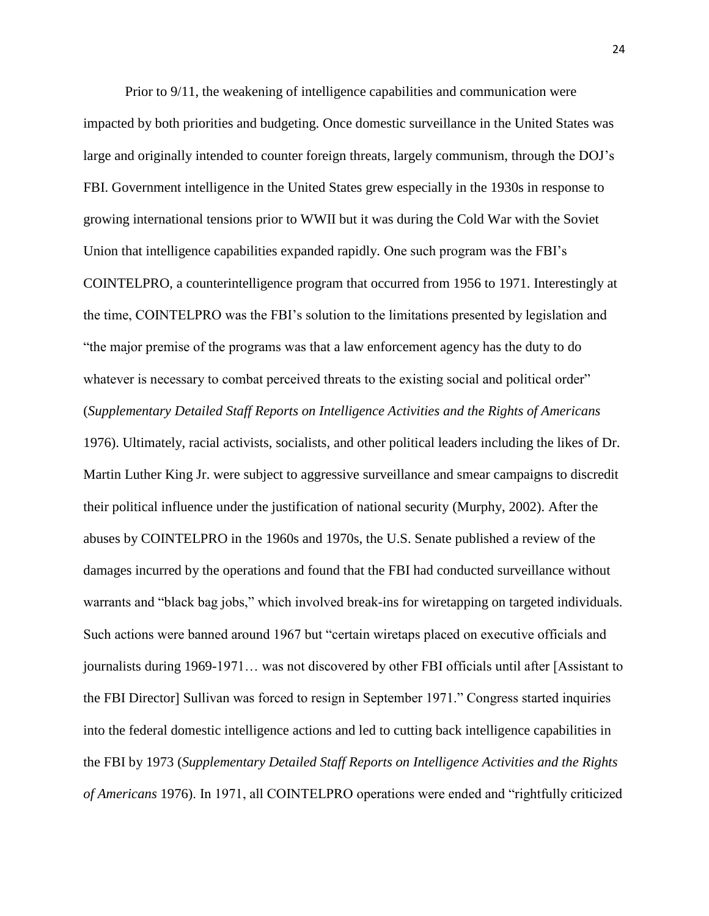Prior to 9/11, the weakening of intelligence capabilities and communication were impacted by both priorities and budgeting. Once domestic surveillance in the United States was large and originally intended to counter foreign threats, largely communism, through the DOJ's FBI. Government intelligence in the United States grew especially in the 1930s in response to growing international tensions prior to WWII but it was during the Cold War with the Soviet Union that intelligence capabilities expanded rapidly. One such program was the FBI's COINTELPRO, a counterintelligence program that occurred from 1956 to 1971. Interestingly at the time, COINTELPRO was the FBI's solution to the limitations presented by legislation and "the major premise of the programs was that a law enforcement agency has the duty to do whatever is necessary to combat perceived threats to the existing social and political order" (*Supplementary Detailed Staff Reports on Intelligence Activities and the Rights of Americans* 1976). Ultimately, racial activists, socialists, and other political leaders including the likes of Dr. Martin Luther King Jr. were subject to aggressive surveillance and smear campaigns to discredit their political influence under the justification of national security (Murphy, 2002). After the abuses by COINTELPRO in the 1960s and 1970s, the U.S. Senate published a review of the damages incurred by the operations and found that the FBI had conducted surveillance without warrants and "black bag jobs," which involved break-ins for wiretapping on targeted individuals. Such actions were banned around 1967 but "certain wiretaps placed on executive officials and journalists during 1969-1971… was not discovered by other FBI officials until after [Assistant to the FBI Director] Sullivan was forced to resign in September 1971." Congress started inquiries into the federal domestic intelligence actions and led to cutting back intelligence capabilities in the FBI by 1973 (*Supplementary Detailed Staff Reports on Intelligence Activities and the Rights of Americans* 1976). In 1971, all COINTELPRO operations were ended and "rightfully criticized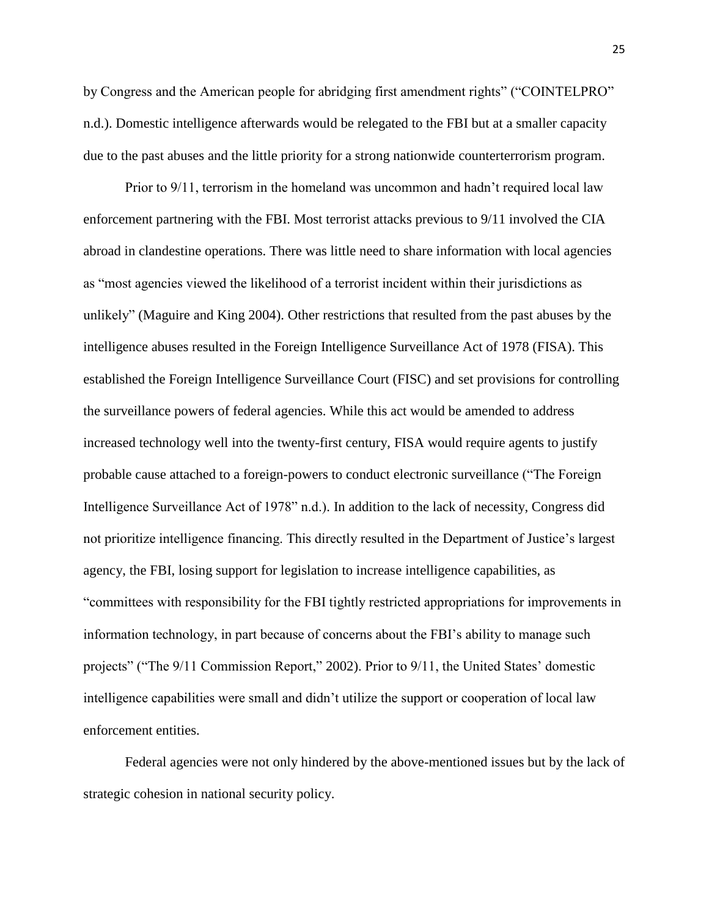by Congress and the American people for abridging first amendment rights" ("COINTELPRO" n.d.). Domestic intelligence afterwards would be relegated to the FBI but at a smaller capacity due to the past abuses and the little priority for a strong nationwide counterterrorism program.

Prior to 9/11, terrorism in the homeland was uncommon and hadn't required local law enforcement partnering with the FBI. Most terrorist attacks previous to 9/11 involved the CIA abroad in clandestine operations. There was little need to share information with local agencies as "most agencies viewed the likelihood of a terrorist incident within their jurisdictions as unlikely" (Maguire and King 2004). Other restrictions that resulted from the past abuses by the intelligence abuses resulted in the Foreign Intelligence Surveillance Act of 1978 (FISA). This established the Foreign Intelligence Surveillance Court (FISC) and set provisions for controlling the surveillance powers of federal agencies. While this act would be amended to address increased technology well into the twenty-first century, FISA would require agents to justify probable cause attached to a foreign-powers to conduct electronic surveillance ("The Foreign Intelligence Surveillance Act of 1978" n.d.). In addition to the lack of necessity, Congress did not prioritize intelligence financing. This directly resulted in the Department of Justice's largest agency, the FBI, losing support for legislation to increase intelligence capabilities, as "committees with responsibility for the FBI tightly restricted appropriations for improvements in information technology, in part because of concerns about the FBI's ability to manage such projects" ("The 9/11 Commission Report," 2002). Prior to 9/11, the United States' domestic intelligence capabilities were small and didn't utilize the support or cooperation of local law enforcement entities.

Federal agencies were not only hindered by the above-mentioned issues but by the lack of strategic cohesion in national security policy.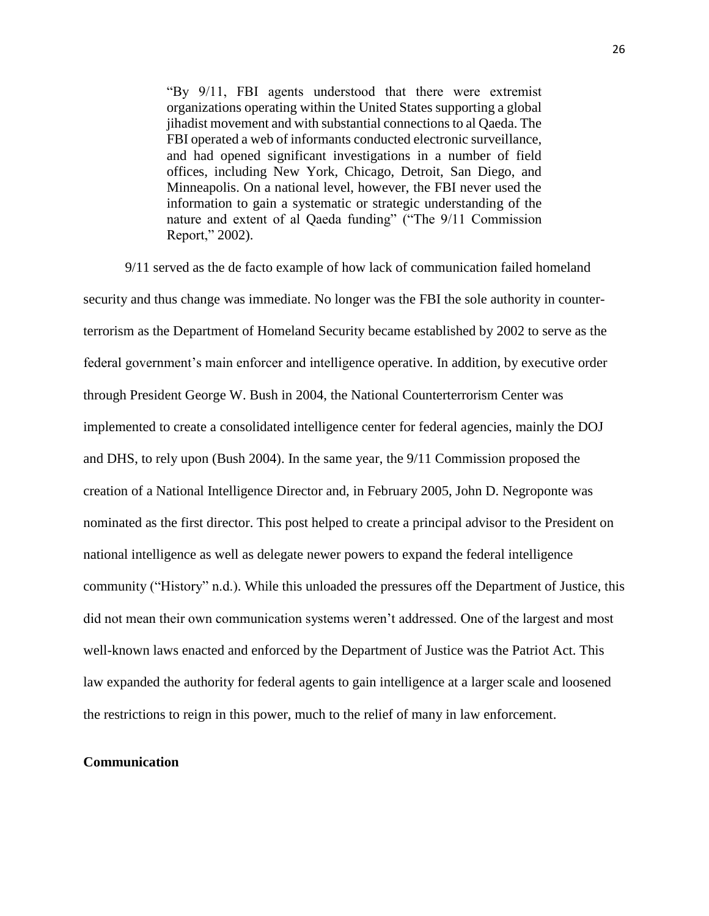"By 9/11, FBI agents understood that there were extremist organizations operating within the United States supporting a global jihadist movement and with substantial connections to al Qaeda. The FBI operated a web of informants conducted electronic surveillance, and had opened significant investigations in a number of field offices, including New York, Chicago, Detroit, San Diego, and Minneapolis. On a national level, however, the FBI never used the information to gain a systematic or strategic understanding of the nature and extent of al Qaeda funding" ("The 9/11 Commission Report," 2002).

9/11 served as the de facto example of how lack of communication failed homeland security and thus change was immediate. No longer was the FBI the sole authority in counterterrorism as the Department of Homeland Security became established by 2002 to serve as the federal government's main enforcer and intelligence operative. In addition, by executive order through President George W. Bush in 2004, the National Counterterrorism Center was implemented to create a consolidated intelligence center for federal agencies, mainly the DOJ and DHS, to rely upon (Bush 2004). In the same year, the 9/11 Commission proposed the creation of a National Intelligence Director and, in February 2005, John D. Negroponte was nominated as the first director. This post helped to create a principal advisor to the President on national intelligence as well as delegate newer powers to expand the federal intelligence community ("History" n.d.). While this unloaded the pressures off the Department of Justice, this did not mean their own communication systems weren't addressed. One of the largest and most well-known laws enacted and enforced by the Department of Justice was the Patriot Act. This law expanded the authority for federal agents to gain intelligence at a larger scale and loosened the restrictions to reign in this power, much to the relief of many in law enforcement.

### **Communication**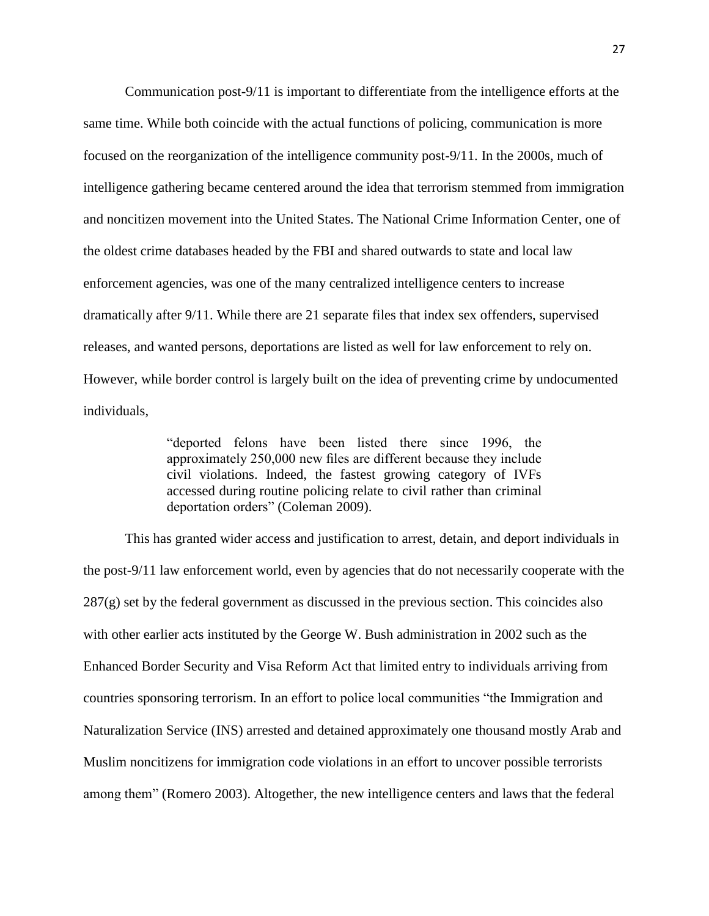Communication post-9/11 is important to differentiate from the intelligence efforts at the same time. While both coincide with the actual functions of policing, communication is more focused on the reorganization of the intelligence community post-9/11. In the 2000s, much of intelligence gathering became centered around the idea that terrorism stemmed from immigration and noncitizen movement into the United States. The National Crime Information Center, one of the oldest crime databases headed by the FBI and shared outwards to state and local law enforcement agencies, was one of the many centralized intelligence centers to increase dramatically after 9/11. While there are 21 separate files that index sex offenders, supervised releases, and wanted persons, deportations are listed as well for law enforcement to rely on. However, while border control is largely built on the idea of preventing crime by undocumented individuals,

> "deported felons have been listed there since 1996, the approximately 250,000 new files are different because they include civil violations. Indeed, the fastest growing category of IVFs accessed during routine policing relate to civil rather than criminal deportation orders" (Coleman 2009).

This has granted wider access and justification to arrest, detain, and deport individuals in the post-9/11 law enforcement world, even by agencies that do not necessarily cooperate with the 287(g) set by the federal government as discussed in the previous section. This coincides also with other earlier acts instituted by the George W. Bush administration in 2002 such as the Enhanced Border Security and Visa Reform Act that limited entry to individuals arriving from countries sponsoring terrorism. In an effort to police local communities "the Immigration and Naturalization Service (INS) arrested and detained approximately one thousand mostly Arab and Muslim noncitizens for immigration code violations in an effort to uncover possible terrorists among them" (Romero 2003). Altogether, the new intelligence centers and laws that the federal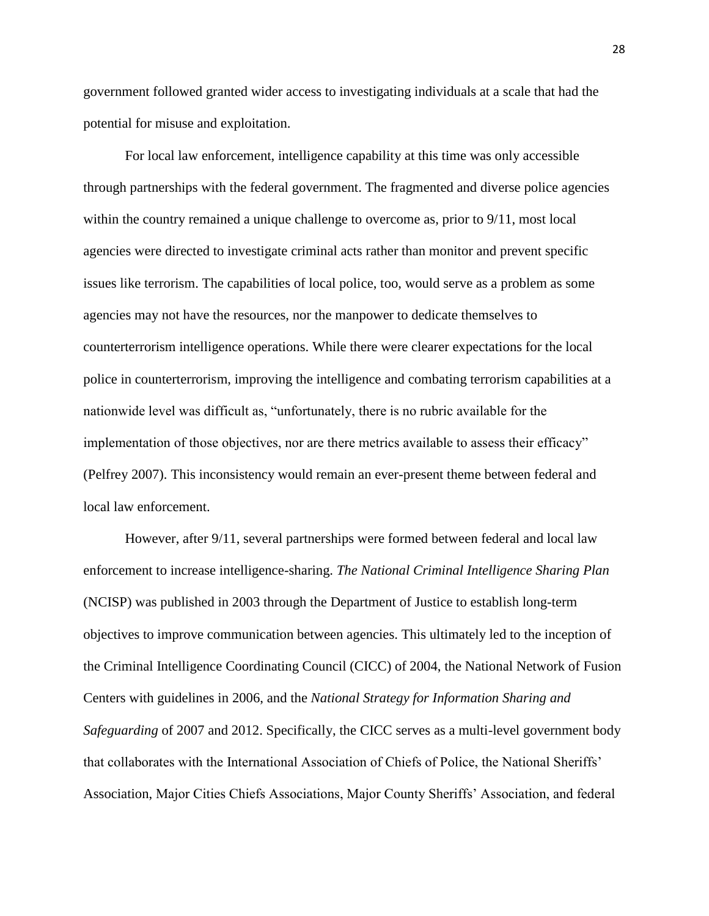government followed granted wider access to investigating individuals at a scale that had the potential for misuse and exploitation.

For local law enforcement, intelligence capability at this time was only accessible through partnerships with the federal government. The fragmented and diverse police agencies within the country remained a unique challenge to overcome as, prior to  $9/11$ , most local agencies were directed to investigate criminal acts rather than monitor and prevent specific issues like terrorism. The capabilities of local police, too, would serve as a problem as some agencies may not have the resources, nor the manpower to dedicate themselves to counterterrorism intelligence operations. While there were clearer expectations for the local police in counterterrorism, improving the intelligence and combating terrorism capabilities at a nationwide level was difficult as, "unfortunately, there is no rubric available for the implementation of those objectives, nor are there metrics available to assess their efficacy" (Pelfrey 2007). This inconsistency would remain an ever-present theme between federal and local law enforcement.

However, after 9/11, several partnerships were formed between federal and local law enforcement to increase intelligence-sharing. *The National Criminal Intelligence Sharing Plan* (NCISP) was published in 2003 through the Department of Justice to establish long-term objectives to improve communication between agencies. This ultimately led to the inception of the Criminal Intelligence Coordinating Council (CICC) of 2004, the National Network of Fusion Centers with guidelines in 2006, and the *National Strategy for Information Sharing and Safeguarding* of 2007 and 2012. Specifically, the CICC serves as a multi-level government body that collaborates with the International Association of Chiefs of Police, the National Sheriffs' Association, Major Cities Chiefs Associations, Major County Sheriffs' Association, and federal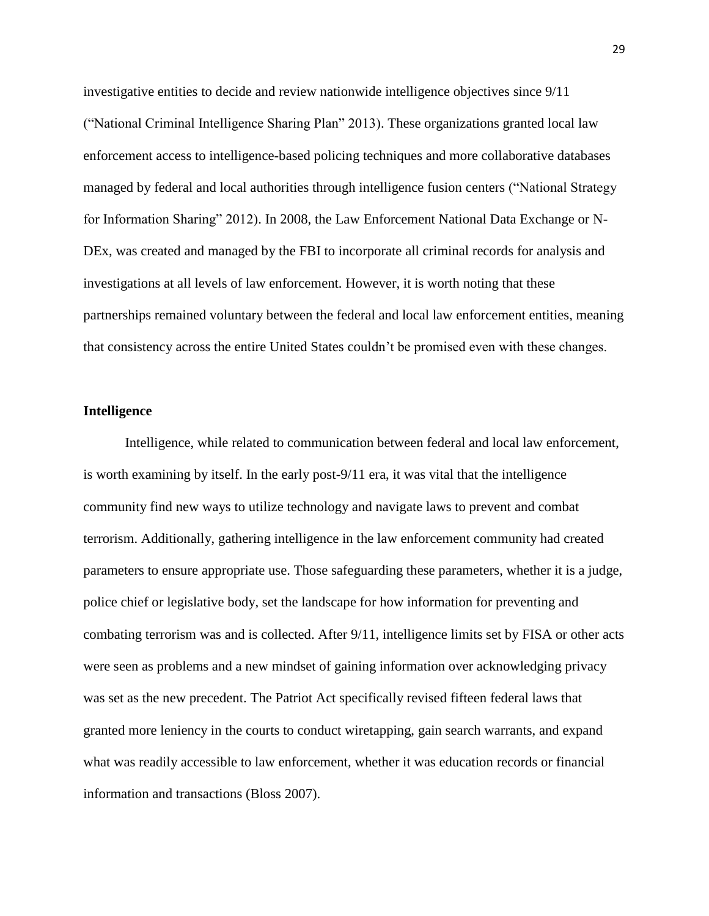investigative entities to decide and review nationwide intelligence objectives since 9/11 ("National Criminal Intelligence Sharing Plan" 2013). These organizations granted local law enforcement access to intelligence-based policing techniques and more collaborative databases managed by federal and local authorities through intelligence fusion centers ("National Strategy for Information Sharing" 2012). In 2008, the Law Enforcement National Data Exchange or N-DEx, was created and managed by the FBI to incorporate all criminal records for analysis and investigations at all levels of law enforcement. However, it is worth noting that these partnerships remained voluntary between the federal and local law enforcement entities, meaning that consistency across the entire United States couldn't be promised even with these changes.

#### **Intelligence**

Intelligence, while related to communication between federal and local law enforcement, is worth examining by itself. In the early post-9/11 era, it was vital that the intelligence community find new ways to utilize technology and navigate laws to prevent and combat terrorism. Additionally, gathering intelligence in the law enforcement community had created parameters to ensure appropriate use. Those safeguarding these parameters, whether it is a judge, police chief or legislative body, set the landscape for how information for preventing and combating terrorism was and is collected. After 9/11, intelligence limits set by FISA or other acts were seen as problems and a new mindset of gaining information over acknowledging privacy was set as the new precedent. The Patriot Act specifically revised fifteen federal laws that granted more leniency in the courts to conduct wiretapping, gain search warrants, and expand what was readily accessible to law enforcement, whether it was education records or financial information and transactions (Bloss 2007).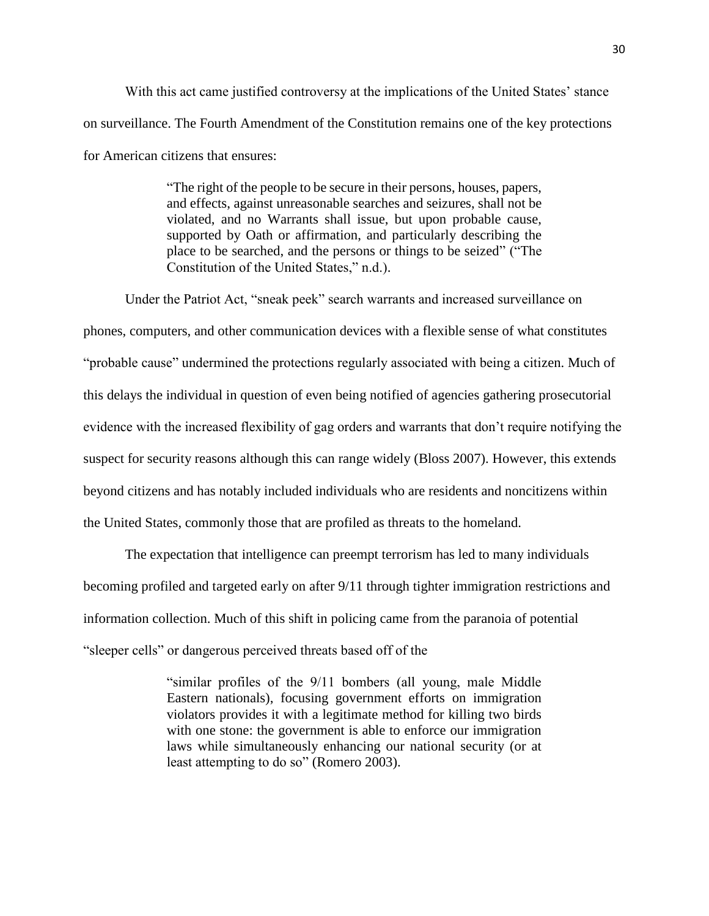With this act came justified controversy at the implications of the United States' stance on surveillance. The Fourth Amendment of the Constitution remains one of the key protections for American citizens that ensures:

> "The right of the people to be secure in their persons, houses, papers, and effects, against unreasonable searches and seizures, shall not be violated, and no Warrants shall issue, but upon probable cause, supported by Oath or affirmation, and particularly describing the place to be searched, and the persons or things to be seized" ("The Constitution of the United States," n.d.).

Under the Patriot Act, "sneak peek" search warrants and increased surveillance on phones, computers, and other communication devices with a flexible sense of what constitutes "probable cause" undermined the protections regularly associated with being a citizen. Much of this delays the individual in question of even being notified of agencies gathering prosecutorial evidence with the increased flexibility of gag orders and warrants that don't require notifying the suspect for security reasons although this can range widely (Bloss 2007). However, this extends beyond citizens and has notably included individuals who are residents and noncitizens within the United States, commonly those that are profiled as threats to the homeland.

The expectation that intelligence can preempt terrorism has led to many individuals becoming profiled and targeted early on after 9/11 through tighter immigration restrictions and information collection. Much of this shift in policing came from the paranoia of potential "sleeper cells" or dangerous perceived threats based off of the

> "similar profiles of the 9/11 bombers (all young, male Middle Eastern nationals), focusing government efforts on immigration violators provides it with a legitimate method for killing two birds with one stone: the government is able to enforce our immigration laws while simultaneously enhancing our national security (or at least attempting to do so" (Romero 2003).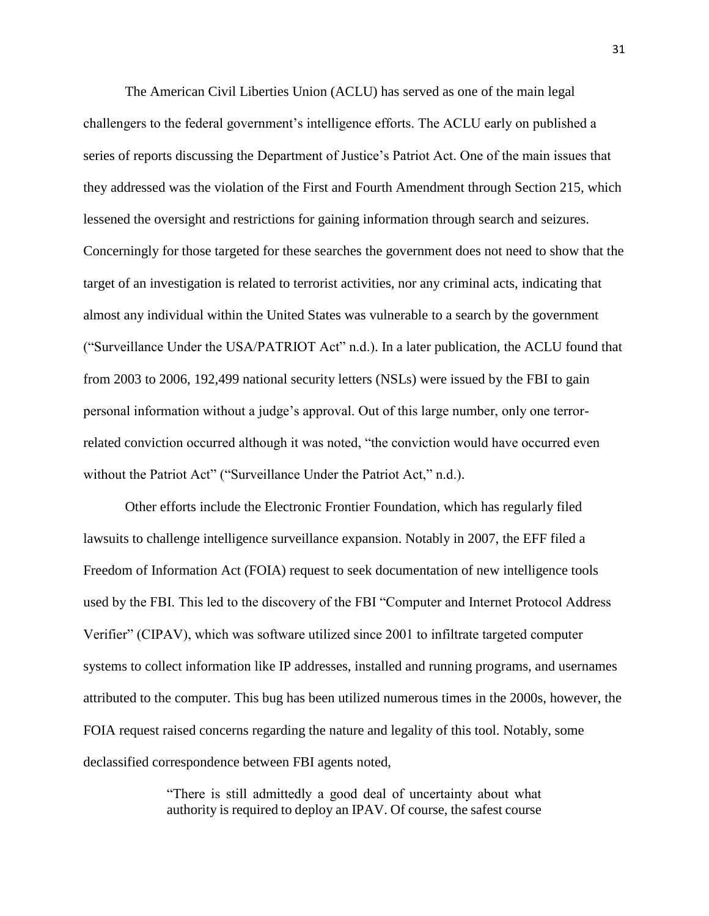The American Civil Liberties Union (ACLU) has served as one of the main legal challengers to the federal government's intelligence efforts. The ACLU early on published a series of reports discussing the Department of Justice's Patriot Act. One of the main issues that they addressed was the violation of the First and Fourth Amendment through Section 215, which lessened the oversight and restrictions for gaining information through search and seizures. Concerningly for those targeted for these searches the government does not need to show that the target of an investigation is related to terrorist activities, nor any criminal acts, indicating that almost any individual within the United States was vulnerable to a search by the government ("Surveillance Under the USA/PATRIOT Act" n.d.). In a later publication, the ACLU found that from 2003 to 2006, 192,499 national security letters (NSLs) were issued by the FBI to gain personal information without a judge's approval. Out of this large number, only one terrorrelated conviction occurred although it was noted, "the conviction would have occurred even without the Patriot Act" ("Surveillance Under the Patriot Act," n.d.).

Other efforts include the Electronic Frontier Foundation, which has regularly filed lawsuits to challenge intelligence surveillance expansion. Notably in 2007, the EFF filed a Freedom of Information Act (FOIA) request to seek documentation of new intelligence tools used by the FBI. This led to the discovery of the FBI "Computer and Internet Protocol Address Verifier" (CIPAV), which was software utilized since 2001 to infiltrate targeted computer systems to collect information like IP addresses, installed and running programs, and usernames attributed to the computer. This bug has been utilized numerous times in the 2000s, however, the FOIA request raised concerns regarding the nature and legality of this tool. Notably, some declassified correspondence between FBI agents noted,

> "There is still admittedly a good deal of uncertainty about what authority is required to deploy an IPAV. Of course, the safest course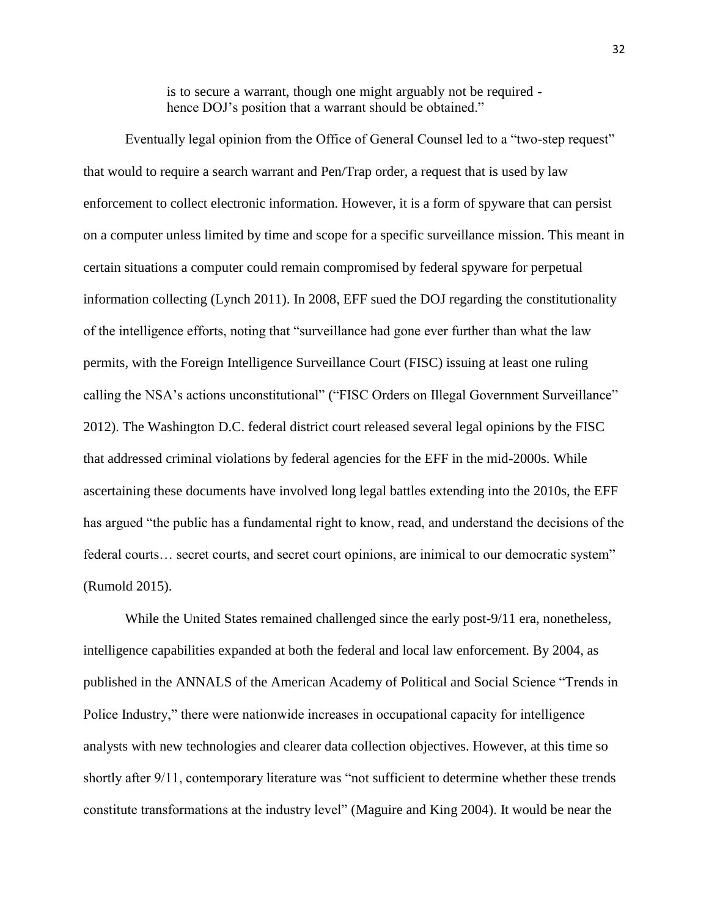is to secure a warrant, though one might arguably not be required hence DOJ's position that a warrant should be obtained."

Eventually legal opinion from the Office of General Counsel led to a "two-step request" that would to require a search warrant and Pen/Trap order, a request that is used by law enforcement to collect electronic information. However, it is a form of spyware that can persist on a computer unless limited by time and scope for a specific surveillance mission. This meant in certain situations a computer could remain compromised by federal spyware for perpetual information collecting (Lynch 2011). In 2008, EFF sued the DOJ regarding the constitutionality of the intelligence efforts, noting that "surveillance had gone ever further than what the law permits, with the Foreign Intelligence Surveillance Court (FISC) issuing at least one ruling calling the NSA's actions unconstitutional" ("FISC Orders on Illegal Government Surveillance" 2012). The Washington D.C. federal district court released several legal opinions by the FISC that addressed criminal violations by federal agencies for the EFF in the mid-2000s. While ascertaining these documents have involved long legal battles extending into the 2010s, the EFF has argued "the public has a fundamental right to know, read, and understand the decisions of the federal courts... secret courts, and secret court opinions, are inimical to our democratic system" (Rumold 2015).

While the United States remained challenged since the early post-9/11 era, nonetheless, intelligence capabilities expanded at both the federal and local law enforcement. By 2004, as published in the ANNALS of the American Academy of Political and Social Science "Trends in Police Industry," there were nationwide increases in occupational capacity for intelligence analysts with new technologies and clearer data collection objectives. However, at this time so shortly after 9/11, contemporary literature was "not sufficient to determine whether these trends constitute transformations at the industry level" (Maguire and King 2004). It would be near the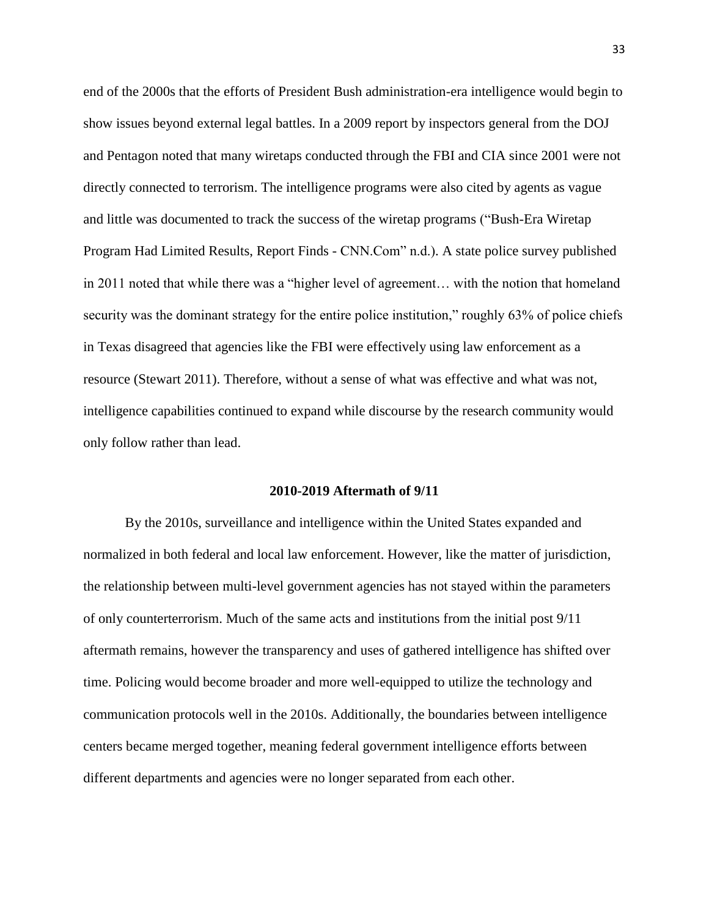end of the 2000s that the efforts of President Bush administration-era intelligence would begin to show issues beyond external legal battles. In a 2009 report by inspectors general from the DOJ and Pentagon noted that many wiretaps conducted through the FBI and CIA since 2001 were not directly connected to terrorism. The intelligence programs were also cited by agents as vague and little was documented to track the success of the wiretap programs ("Bush-Era Wiretap Program Had Limited Results, Report Finds - CNN.Com" n.d.). A state police survey published in 2011 noted that while there was a "higher level of agreement… with the notion that homeland security was the dominant strategy for the entire police institution," roughly 63% of police chiefs in Texas disagreed that agencies like the FBI were effectively using law enforcement as a resource (Stewart 2011). Therefore, without a sense of what was effective and what was not, intelligence capabilities continued to expand while discourse by the research community would only follow rather than lead.

#### **2010-2019 Aftermath of 9/11**

By the 2010s, surveillance and intelligence within the United States expanded and normalized in both federal and local law enforcement. However, like the matter of jurisdiction, the relationship between multi-level government agencies has not stayed within the parameters of only counterterrorism. Much of the same acts and institutions from the initial post 9/11 aftermath remains, however the transparency and uses of gathered intelligence has shifted over time. Policing would become broader and more well-equipped to utilize the technology and communication protocols well in the 2010s. Additionally, the boundaries between intelligence centers became merged together, meaning federal government intelligence efforts between different departments and agencies were no longer separated from each other.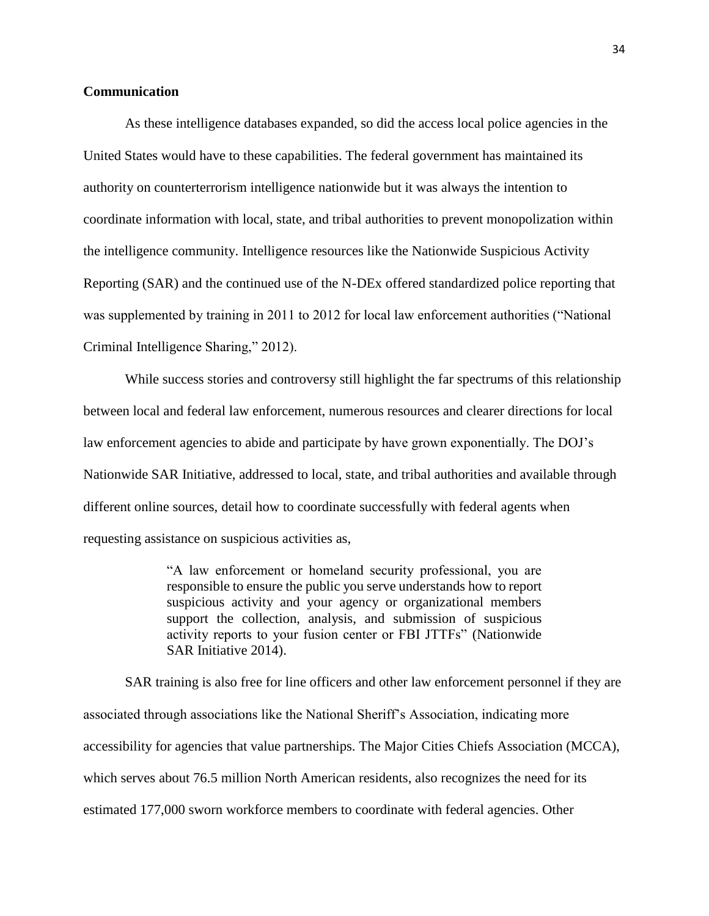#### **Communication**

As these intelligence databases expanded, so did the access local police agencies in the United States would have to these capabilities. The federal government has maintained its authority on counterterrorism intelligence nationwide but it was always the intention to coordinate information with local, state, and tribal authorities to prevent monopolization within the intelligence community. Intelligence resources like the Nationwide Suspicious Activity Reporting (SAR) and the continued use of the N-DEx offered standardized police reporting that was supplemented by training in 2011 to 2012 for local law enforcement authorities ("National Criminal Intelligence Sharing," 2012).

While success stories and controversy still highlight the far spectrums of this relationship between local and federal law enforcement, numerous resources and clearer directions for local law enforcement agencies to abide and participate by have grown exponentially. The DOJ's Nationwide SAR Initiative, addressed to local, state, and tribal authorities and available through different online sources, detail how to coordinate successfully with federal agents when requesting assistance on suspicious activities as,

> "A law enforcement or homeland security professional, you are responsible to ensure the public you serve understands how to report suspicious activity and your agency or organizational members support the collection, analysis, and submission of suspicious activity reports to your fusion center or FBI JTTFs" (Nationwide SAR Initiative 2014).

SAR training is also free for line officers and other law enforcement personnel if they are associated through associations like the National Sheriff's Association, indicating more accessibility for agencies that value partnerships. The Major Cities Chiefs Association (MCCA), which serves about 76.5 million North American residents, also recognizes the need for its estimated 177,000 sworn workforce members to coordinate with federal agencies. Other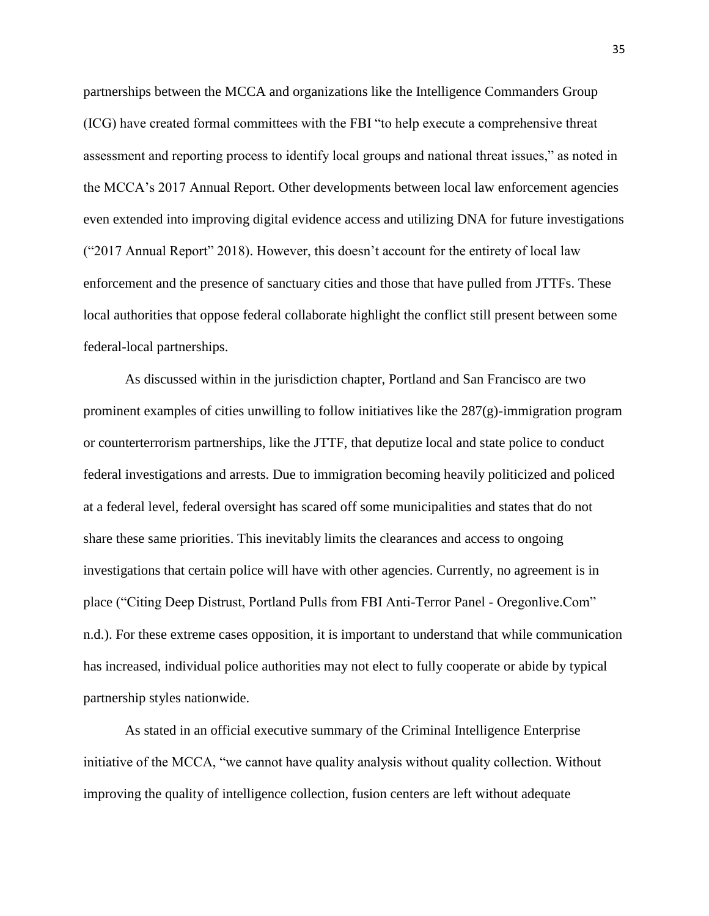partnerships between the MCCA and organizations like the Intelligence Commanders Group (ICG) have created formal committees with the FBI "to help execute a comprehensive threat assessment and reporting process to identify local groups and national threat issues," as noted in the MCCA's 2017 Annual Report. Other developments between local law enforcement agencies even extended into improving digital evidence access and utilizing DNA for future investigations ("2017 Annual Report" 2018). However, this doesn't account for the entirety of local law enforcement and the presence of sanctuary cities and those that have pulled from JTTFs. These local authorities that oppose federal collaborate highlight the conflict still present between some federal-local partnerships.

As discussed within in the jurisdiction chapter, Portland and San Francisco are two prominent examples of cities unwilling to follow initiatives like the 287(g)-immigration program or counterterrorism partnerships, like the JTTF, that deputize local and state police to conduct federal investigations and arrests. Due to immigration becoming heavily politicized and policed at a federal level, federal oversight has scared off some municipalities and states that do not share these same priorities. This inevitably limits the clearances and access to ongoing investigations that certain police will have with other agencies. Currently, no agreement is in place ("Citing Deep Distrust, Portland Pulls from FBI Anti-Terror Panel - Oregonlive.Com" n.d.). For these extreme cases opposition, it is important to understand that while communication has increased, individual police authorities may not elect to fully cooperate or abide by typical partnership styles nationwide.

As stated in an official executive summary of the Criminal Intelligence Enterprise initiative of the MCCA, "we cannot have quality analysis without quality collection. Without improving the quality of intelligence collection, fusion centers are left without adequate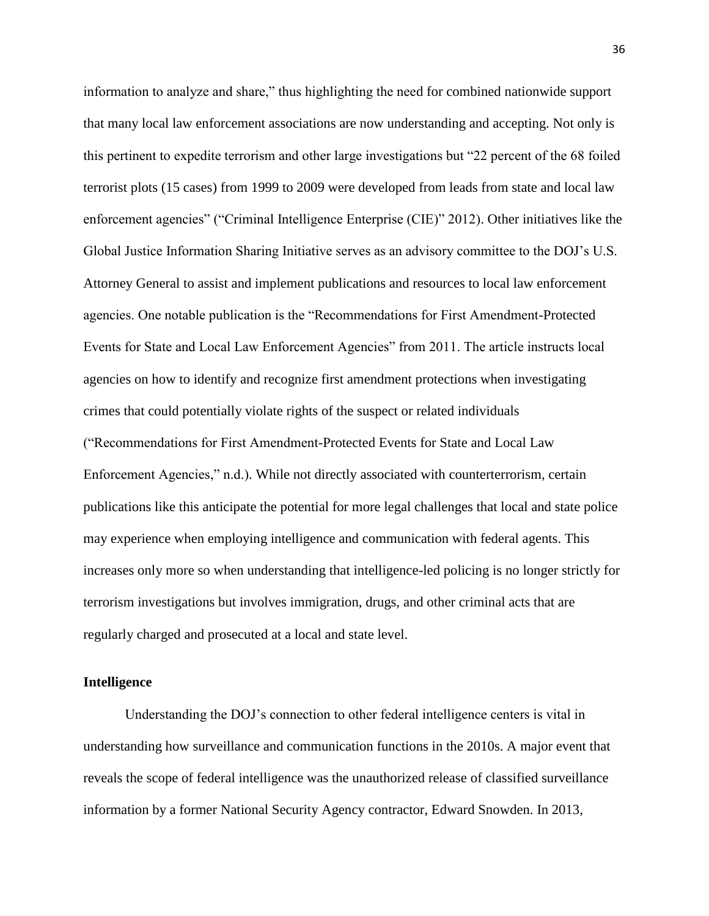information to analyze and share," thus highlighting the need for combined nationwide support that many local law enforcement associations are now understanding and accepting. Not only is this pertinent to expedite terrorism and other large investigations but "22 percent of the 68 foiled terrorist plots (15 cases) from 1999 to 2009 were developed from leads from state and local law enforcement agencies" ("Criminal Intelligence Enterprise (CIE)" 2012). Other initiatives like the Global Justice Information Sharing Initiative serves as an advisory committee to the DOJ's U.S. Attorney General to assist and implement publications and resources to local law enforcement agencies. One notable publication is the "Recommendations for First Amendment-Protected Events for State and Local Law Enforcement Agencies" from 2011. The article instructs local agencies on how to identify and recognize first amendment protections when investigating crimes that could potentially violate rights of the suspect or related individuals ("Recommendations for First Amendment-Protected Events for State and Local Law Enforcement Agencies," n.d.). While not directly associated with counterterrorism, certain publications like this anticipate the potential for more legal challenges that local and state police may experience when employing intelligence and communication with federal agents. This increases only more so when understanding that intelligence-led policing is no longer strictly for terrorism investigations but involves immigration, drugs, and other criminal acts that are regularly charged and prosecuted at a local and state level.

#### **Intelligence**

Understanding the DOJ's connection to other federal intelligence centers is vital in understanding how surveillance and communication functions in the 2010s. A major event that reveals the scope of federal intelligence was the unauthorized release of classified surveillance information by a former National Security Agency contractor, Edward Snowden. In 2013,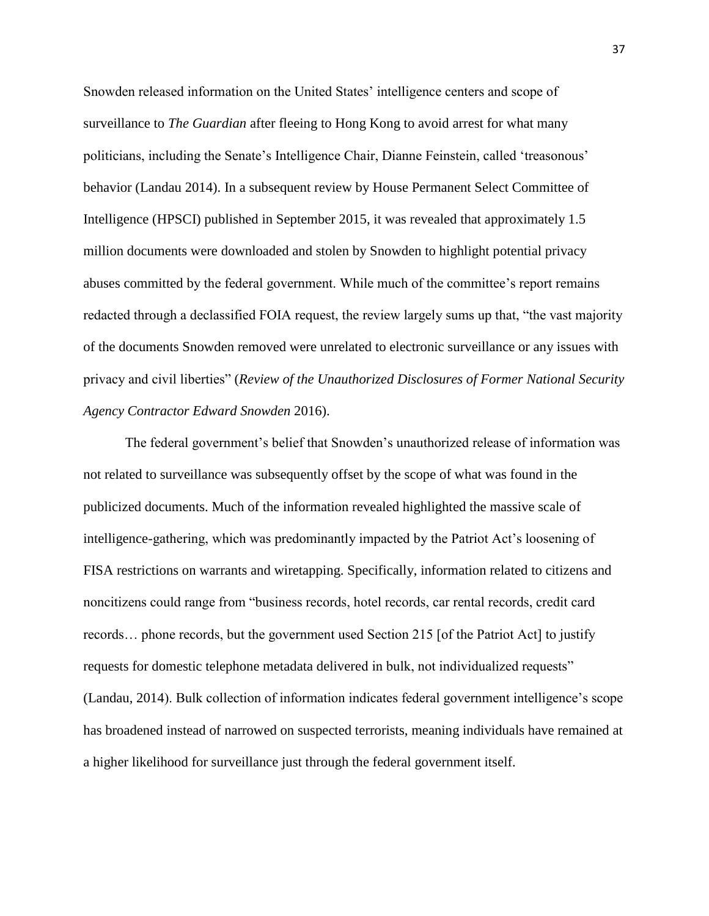Snowden released information on the United States' intelligence centers and scope of surveillance to *The Guardian* after fleeing to Hong Kong to avoid arrest for what many politicians, including the Senate's Intelligence Chair, Dianne Feinstein, called 'treasonous' behavior (Landau 2014). In a subsequent review by House Permanent Select Committee of Intelligence (HPSCI) published in September 2015, it was revealed that approximately 1.5 million documents were downloaded and stolen by Snowden to highlight potential privacy abuses committed by the federal government. While much of the committee's report remains redacted through a declassified FOIA request, the review largely sums up that, "the vast majority of the documents Snowden removed were unrelated to electronic surveillance or any issues with privacy and civil liberties" (*Review of the Unauthorized Disclosures of Former National Security Agency Contractor Edward Snowden* 2016).

The federal government's belief that Snowden's unauthorized release of information was not related to surveillance was subsequently offset by the scope of what was found in the publicized documents. Much of the information revealed highlighted the massive scale of intelligence-gathering, which was predominantly impacted by the Patriot Act's loosening of FISA restrictions on warrants and wiretapping. Specifically, information related to citizens and noncitizens could range from "business records, hotel records, car rental records, credit card records… phone records, but the government used Section 215 [of the Patriot Act] to justify requests for domestic telephone metadata delivered in bulk, not individualized requests" (Landau, 2014). Bulk collection of information indicates federal government intelligence's scope has broadened instead of narrowed on suspected terrorists, meaning individuals have remained at a higher likelihood for surveillance just through the federal government itself.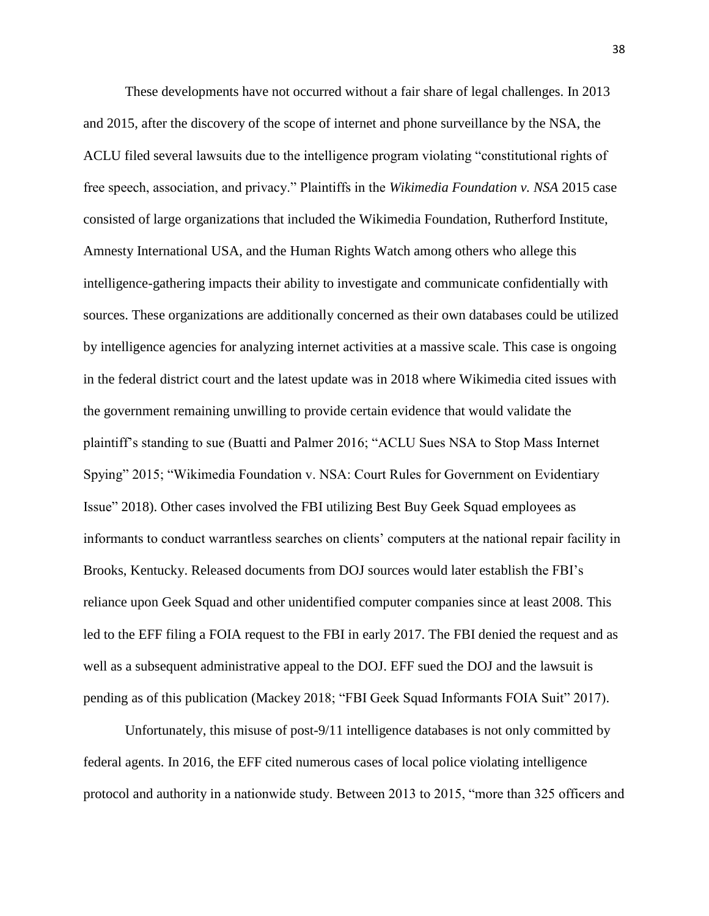These developments have not occurred without a fair share of legal challenges. In 2013 and 2015, after the discovery of the scope of internet and phone surveillance by the NSA, the ACLU filed several lawsuits due to the intelligence program violating "constitutional rights of free speech, association, and privacy." Plaintiffs in the *Wikimedia Foundation v. NSA* 2015 case consisted of large organizations that included the Wikimedia Foundation, Rutherford Institute, Amnesty International USA, and the Human Rights Watch among others who allege this intelligence-gathering impacts their ability to investigate and communicate confidentially with sources. These organizations are additionally concerned as their own databases could be utilized by intelligence agencies for analyzing internet activities at a massive scale. This case is ongoing in the federal district court and the latest update was in 2018 where Wikimedia cited issues with the government remaining unwilling to provide certain evidence that would validate the plaintiff's standing to sue (Buatti and Palmer 2016; "ACLU Sues NSA to Stop Mass Internet Spying" 2015; "Wikimedia Foundation v. NSA: Court Rules for Government on Evidentiary Issue" 2018). Other cases involved the FBI utilizing Best Buy Geek Squad employees as informants to conduct warrantless searches on clients' computers at the national repair facility in Brooks, Kentucky. Released documents from DOJ sources would later establish the FBI's reliance upon Geek Squad and other unidentified computer companies since at least 2008. This led to the EFF filing a FOIA request to the FBI in early 2017. The FBI denied the request and as well as a subsequent administrative appeal to the DOJ. EFF sued the DOJ and the lawsuit is pending as of this publication (Mackey 2018; "FBI Geek Squad Informants FOIA Suit" 2017).

Unfortunately, this misuse of post-9/11 intelligence databases is not only committed by federal agents. In 2016, the EFF cited numerous cases of local police violating intelligence protocol and authority in a nationwide study. Between 2013 to 2015, "more than 325 officers and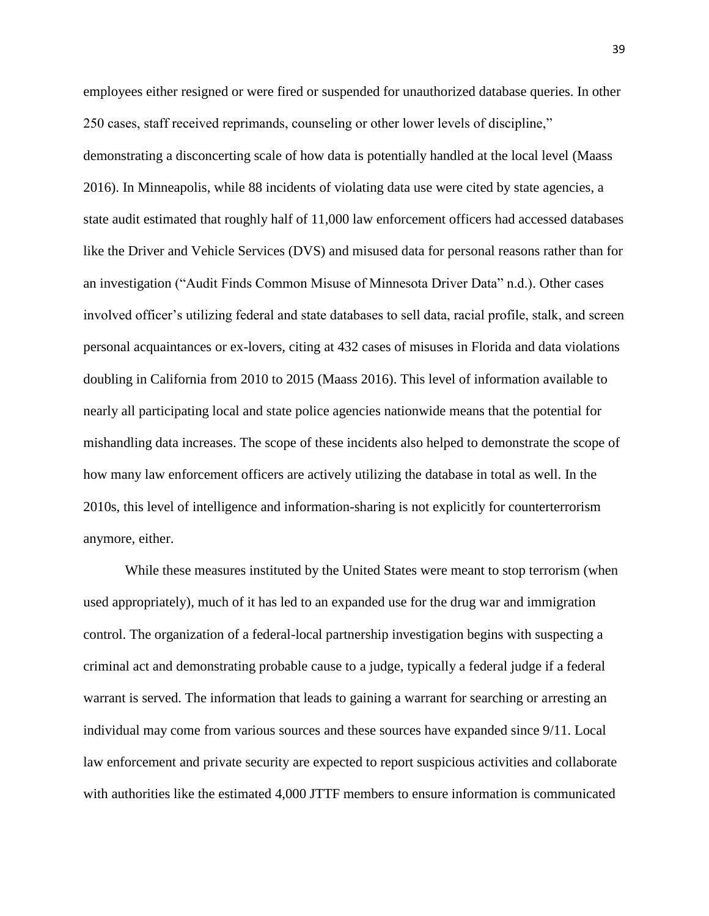employees either resigned or were fired or suspended for unauthorized database queries. In other 250 cases, staff received reprimands, counseling or other lower levels of discipline," demonstrating a disconcerting scale of how data is potentially handled at the local level (Maass 2016). In Minneapolis, while 88 incidents of violating data use were cited by state agencies, a state audit estimated that roughly half of 11,000 law enforcement officers had accessed databases like the Driver and Vehicle Services (DVS) and misused data for personal reasons rather than for an investigation ("Audit Finds Common Misuse of Minnesota Driver Data" n.d.). Other cases involved officer's utilizing federal and state databases to sell data, racial profile, stalk, and screen personal acquaintances or ex-lovers, citing at 432 cases of misuses in Florida and data violations doubling in California from 2010 to 2015 (Maass 2016). This level of information available to nearly all participating local and state police agencies nationwide means that the potential for mishandling data increases. The scope of these incidents also helped to demonstrate the scope of how many law enforcement officers are actively utilizing the database in total as well. In the 2010s, this level of intelligence and information-sharing is not explicitly for counterterrorism anymore, either.

While these measures instituted by the United States were meant to stop terrorism (when used appropriately), much of it has led to an expanded use for the drug war and immigration control. The organization of a federal-local partnership investigation begins with suspecting a criminal act and demonstrating probable cause to a judge, typically a federal judge if a federal warrant is served. The information that leads to gaining a warrant for searching or arresting an individual may come from various sources and these sources have expanded since 9/11. Local law enforcement and private security are expected to report suspicious activities and collaborate with authorities like the estimated 4,000 JTTF members to ensure information is communicated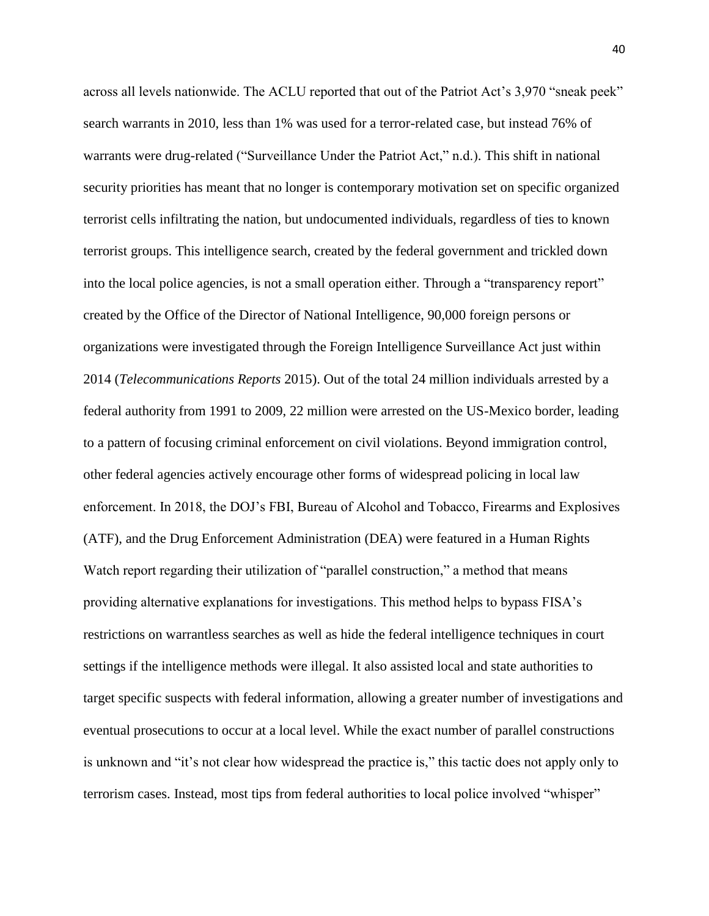across all levels nationwide. The ACLU reported that out of the Patriot Act's 3,970 "sneak peek" search warrants in 2010, less than 1% was used for a terror-related case, but instead 76% of warrants were drug-related ("Surveillance Under the Patriot Act," n.d.). This shift in national security priorities has meant that no longer is contemporary motivation set on specific organized terrorist cells infiltrating the nation, but undocumented individuals, regardless of ties to known terrorist groups. This intelligence search, created by the federal government and trickled down into the local police agencies, is not a small operation either. Through a "transparency report" created by the Office of the Director of National Intelligence, 90,000 foreign persons or organizations were investigated through the Foreign Intelligence Surveillance Act just within 2014 (*Telecommunications Reports* 2015). Out of the total 24 million individuals arrested by a federal authority from 1991 to 2009, 22 million were arrested on the US-Mexico border, leading to a pattern of focusing criminal enforcement on civil violations. Beyond immigration control, other federal agencies actively encourage other forms of widespread policing in local law enforcement. In 2018, the DOJ's FBI, Bureau of Alcohol and Tobacco, Firearms and Explosives (ATF), and the Drug Enforcement Administration (DEA) were featured in a Human Rights Watch report regarding their utilization of "parallel construction," a method that means providing alternative explanations for investigations. This method helps to bypass FISA's restrictions on warrantless searches as well as hide the federal intelligence techniques in court settings if the intelligence methods were illegal. It also assisted local and state authorities to target specific suspects with federal information, allowing a greater number of investigations and eventual prosecutions to occur at a local level. While the exact number of parallel constructions is unknown and "it's not clear how widespread the practice is," this tactic does not apply only to terrorism cases. Instead, most tips from federal authorities to local police involved "whisper"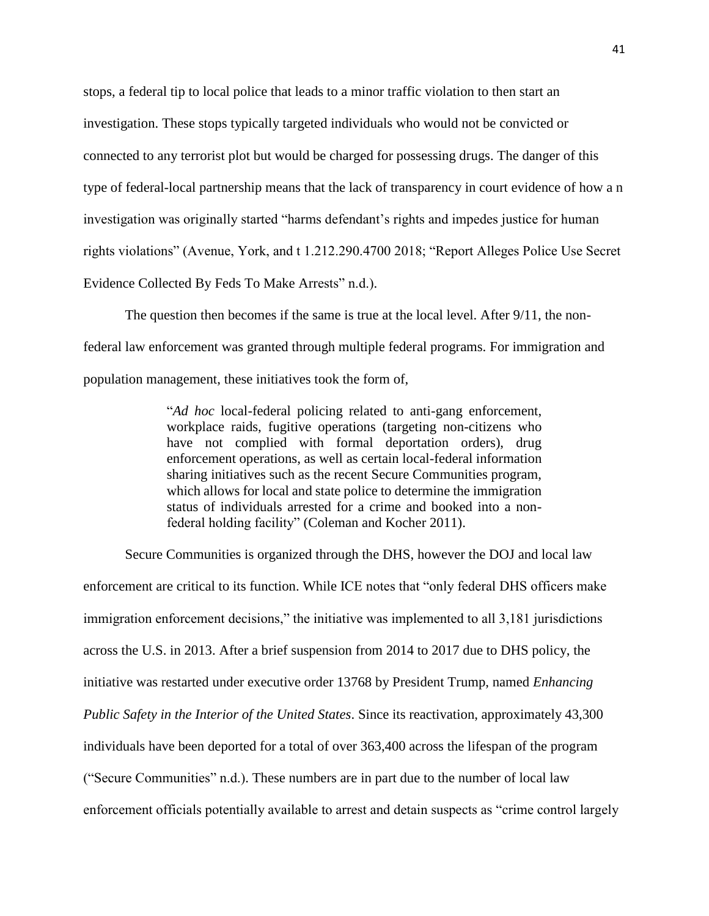stops, a federal tip to local police that leads to a minor traffic violation to then start an investigation. These stops typically targeted individuals who would not be convicted or connected to any terrorist plot but would be charged for possessing drugs. The danger of this type of federal-local partnership means that the lack of transparency in court evidence of how a n investigation was originally started "harms defendant's rights and impedes justice for human rights violations" (Avenue, York, and t 1.212.290.4700 2018; "Report Alleges Police Use Secret Evidence Collected By Feds To Make Arrests" n.d.).

The question then becomes if the same is true at the local level. After 9/11, the nonfederal law enforcement was granted through multiple federal programs. For immigration and population management, these initiatives took the form of,

> "*Ad hoc* local-federal policing related to anti-gang enforcement, workplace raids, fugitive operations (targeting non-citizens who have not complied with formal deportation orders), drug enforcement operations, as well as certain local-federal information sharing initiatives such as the recent Secure Communities program, which allows for local and state police to determine the immigration status of individuals arrested for a crime and booked into a nonfederal holding facility" (Coleman and Kocher 2011).

Secure Communities is organized through the DHS, however the DOJ and local law enforcement are critical to its function. While ICE notes that "only federal DHS officers make immigration enforcement decisions," the initiative was implemented to all 3,181 jurisdictions across the U.S. in 2013. After a brief suspension from 2014 to 2017 due to DHS policy, the initiative was restarted under executive order 13768 by President Trump, named *Enhancing Public Safety in the Interior of the United States*. Since its reactivation, approximately 43,300 individuals have been deported for a total of over 363,400 across the lifespan of the program ("Secure Communities" n.d.). These numbers are in part due to the number of local law enforcement officials potentially available to arrest and detain suspects as "crime control largely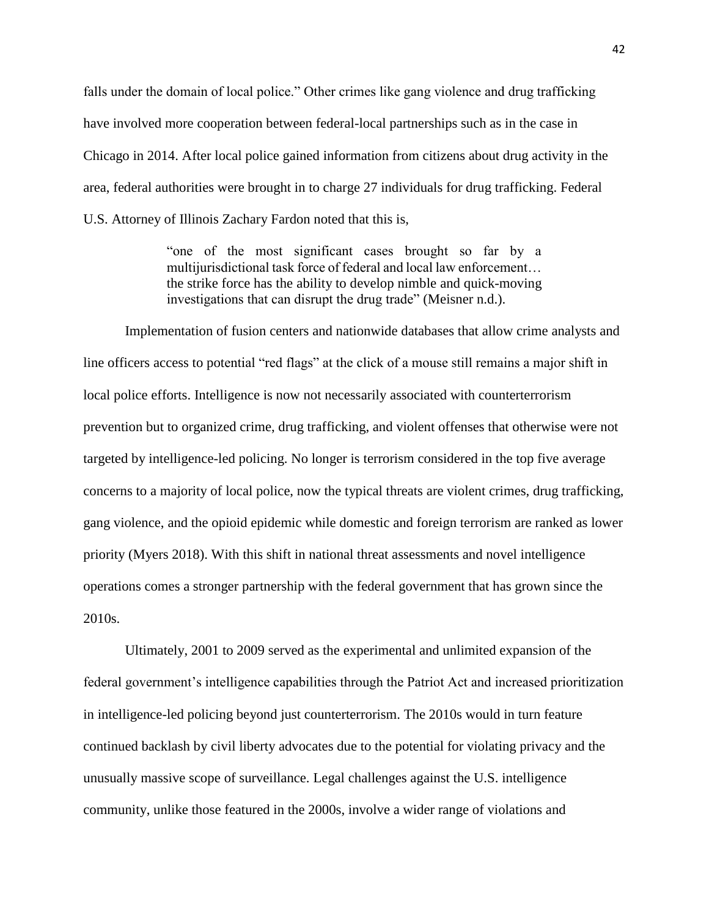falls under the domain of local police." Other crimes like gang violence and drug trafficking have involved more cooperation between federal-local partnerships such as in the case in Chicago in 2014. After local police gained information from citizens about drug activity in the area, federal authorities were brought in to charge 27 individuals for drug trafficking. Federal U.S. Attorney of Illinois Zachary Fardon noted that this is,

> "one of the most significant cases brought so far by a multijurisdictional task force of federal and local law enforcement… the strike force has the ability to develop nimble and quick-moving investigations that can disrupt the drug trade" (Meisner n.d.).

Implementation of fusion centers and nationwide databases that allow crime analysts and line officers access to potential "red flags" at the click of a mouse still remains a major shift in local police efforts. Intelligence is now not necessarily associated with counterterrorism prevention but to organized crime, drug trafficking, and violent offenses that otherwise were not targeted by intelligence-led policing. No longer is terrorism considered in the top five average concerns to a majority of local police, now the typical threats are violent crimes, drug trafficking, gang violence, and the opioid epidemic while domestic and foreign terrorism are ranked as lower priority (Myers 2018). With this shift in national threat assessments and novel intelligence operations comes a stronger partnership with the federal government that has grown since the 2010s.

Ultimately, 2001 to 2009 served as the experimental and unlimited expansion of the federal government's intelligence capabilities through the Patriot Act and increased prioritization in intelligence-led policing beyond just counterterrorism. The 2010s would in turn feature continued backlash by civil liberty advocates due to the potential for violating privacy and the unusually massive scope of surveillance. Legal challenges against the U.S. intelligence community, unlike those featured in the 2000s, involve a wider range of violations and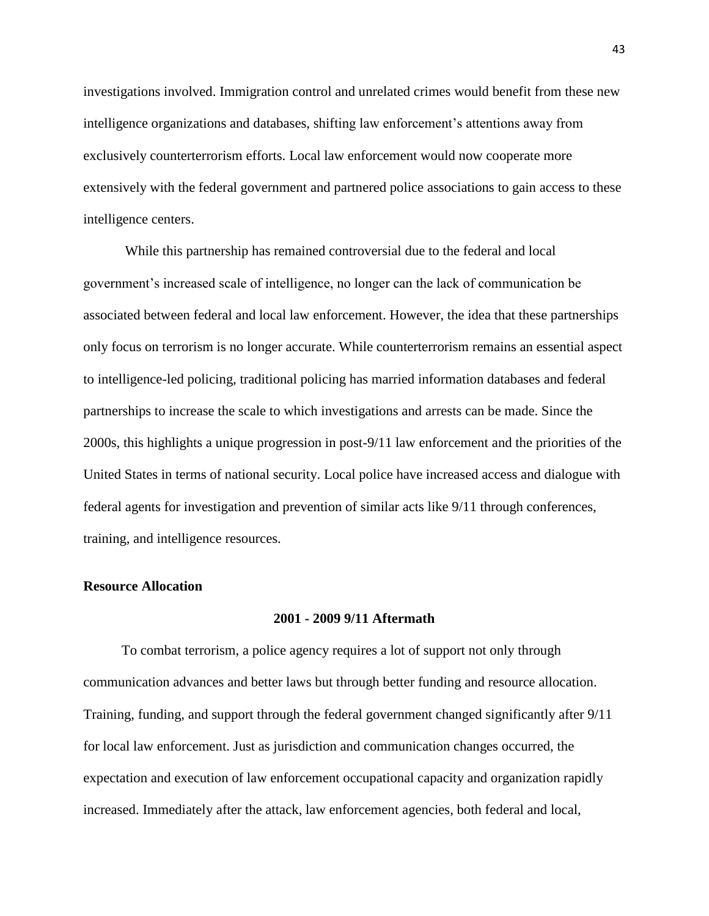investigations involved. Immigration control and unrelated crimes would benefit from these new intelligence organizations and databases, shifting law enforcement's attentions away from exclusively counterterrorism efforts. Local law enforcement would now cooperate more extensively with the federal government and partnered police associations to gain access to these intelligence centers.

While this partnership has remained controversial due to the federal and local government's increased scale of intelligence, no longer can the lack of communication be associated between federal and local law enforcement. However, the idea that these partnerships only focus on terrorism is no longer accurate. While counterterrorism remains an essential aspect to intelligence-led policing, traditional policing has married information databases and federal partnerships to increase the scale to which investigations and arrests can be made. Since the 2000s, this highlights a unique progression in post-9/11 law enforcement and the priorities of the United States in terms of national security. Local police have increased access and dialogue with federal agents for investigation and prevention of similar acts like 9/11 through conferences, training, and intelligence resources.

#### **Resource Allocation**

### **2001 - 2009 9/11 Aftermath**

 To combat terrorism, a police agency requires a lot of support not only through communication advances and better laws but through better funding and resource allocation. Training, funding, and support through the federal government changed significantly after 9/11 for local law enforcement. Just as jurisdiction and communication changes occurred, the expectation and execution of law enforcement occupational capacity and organization rapidly increased. Immediately after the attack, law enforcement agencies, both federal and local,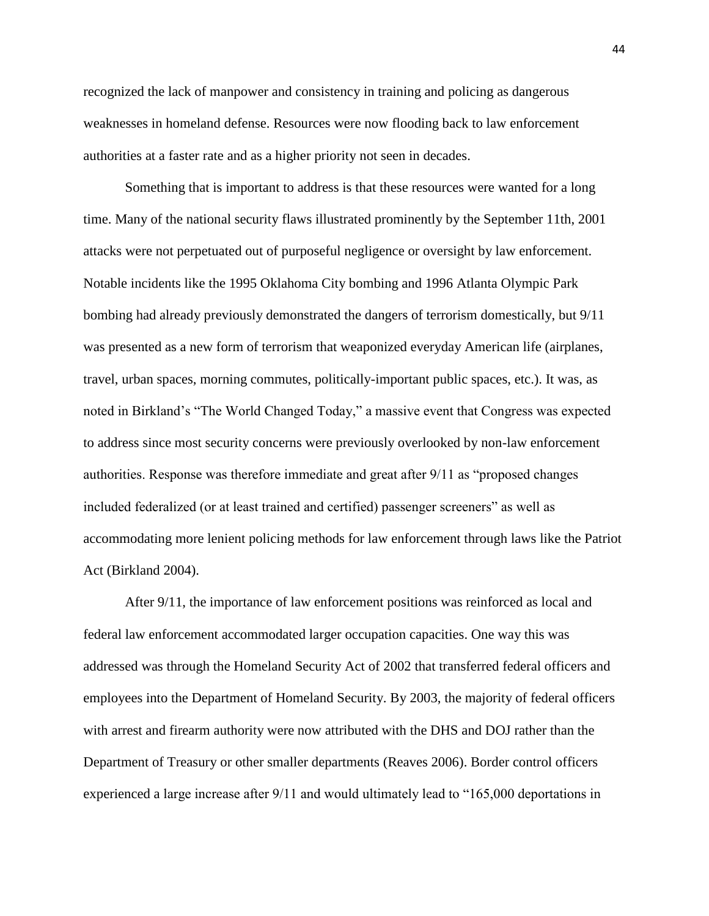recognized the lack of manpower and consistency in training and policing as dangerous weaknesses in homeland defense. Resources were now flooding back to law enforcement authorities at a faster rate and as a higher priority not seen in decades.

Something that is important to address is that these resources were wanted for a long time. Many of the national security flaws illustrated prominently by the September 11th, 2001 attacks were not perpetuated out of purposeful negligence or oversight by law enforcement. Notable incidents like the 1995 Oklahoma City bombing and 1996 Atlanta Olympic Park bombing had already previously demonstrated the dangers of terrorism domestically, but 9/11 was presented as a new form of terrorism that weaponized everyday American life (airplanes, travel, urban spaces, morning commutes, politically-important public spaces, etc.). It was, as noted in Birkland's "The World Changed Today," a massive event that Congress was expected to address since most security concerns were previously overlooked by non-law enforcement authorities. Response was therefore immediate and great after 9/11 as "proposed changes included federalized (or at least trained and certified) passenger screeners" as well as accommodating more lenient policing methods for law enforcement through laws like the Patriot Act (Birkland 2004).

After 9/11, the importance of law enforcement positions was reinforced as local and federal law enforcement accommodated larger occupation capacities. One way this was addressed was through the Homeland Security Act of 2002 that transferred federal officers and employees into the Department of Homeland Security. By 2003, the majority of federal officers with arrest and firearm authority were now attributed with the DHS and DOJ rather than the Department of Treasury or other smaller departments (Reaves 2006). Border control officers experienced a large increase after 9/11 and would ultimately lead to "165,000 deportations in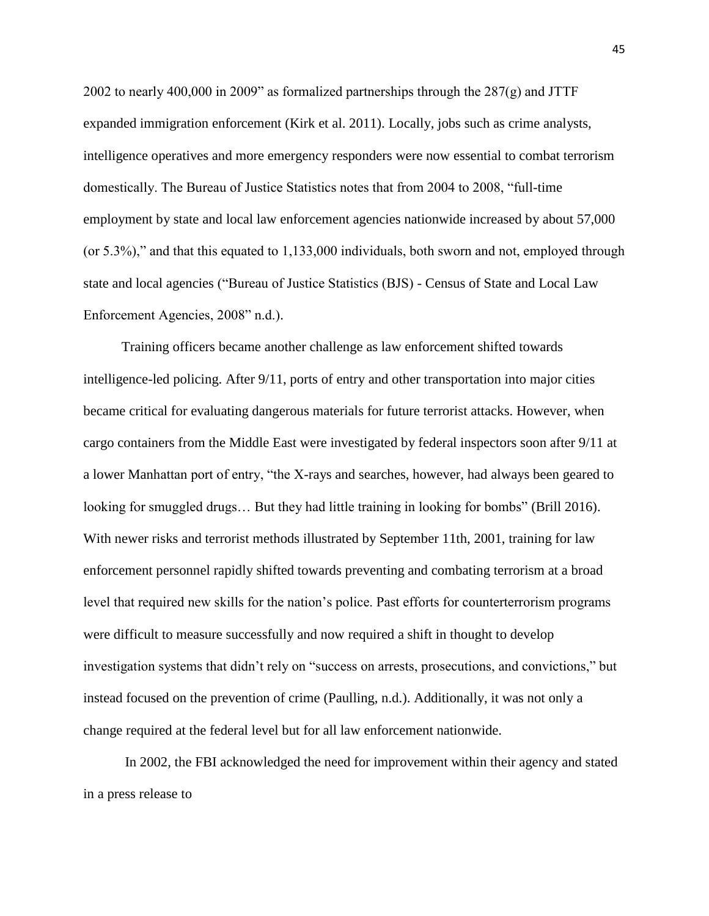2002 to nearly 400,000 in 2009" as formalized partnerships through the  $287(g)$  and JTTF expanded immigration enforcement (Kirk et al. 2011). Locally, jobs such as crime analysts, intelligence operatives and more emergency responders were now essential to combat terrorism domestically. The Bureau of Justice Statistics notes that from 2004 to 2008, "full-time employment by state and local law enforcement agencies nationwide increased by about 57,000 (or 5.3%)," and that this equated to 1,133,000 individuals, both sworn and not, employed through state and local agencies ("Bureau of Justice Statistics (BJS) - Census of State and Local Law Enforcement Agencies, 2008" n.d.).

 Training officers became another challenge as law enforcement shifted towards intelligence-led policing. After 9/11, ports of entry and other transportation into major cities became critical for evaluating dangerous materials for future terrorist attacks. However, when cargo containers from the Middle East were investigated by federal inspectors soon after 9/11 at a lower Manhattan port of entry, "the X-rays and searches, however, had always been geared to looking for smuggled drugs… But they had little training in looking for bombs" (Brill 2016). With newer risks and terrorist methods illustrated by September 11th, 2001, training for law enforcement personnel rapidly shifted towards preventing and combating terrorism at a broad level that required new skills for the nation's police. Past efforts for counterterrorism programs were difficult to measure successfully and now required a shift in thought to develop investigation systems that didn't rely on "success on arrests, prosecutions, and convictions," but instead focused on the prevention of crime (Paulling, n.d.). Additionally, it was not only a change required at the federal level but for all law enforcement nationwide.

In 2002, the FBI acknowledged the need for improvement within their agency and stated in a press release to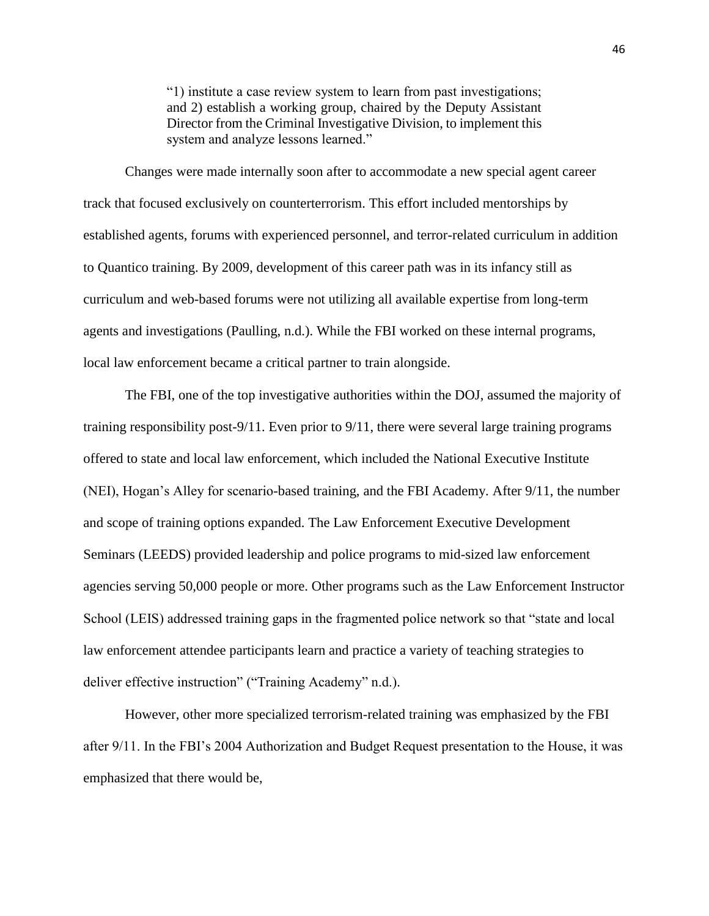"1) institute a case review system to learn from past investigations; and 2) establish a working group, chaired by the Deputy Assistant Director from the Criminal Investigative Division, to implement this system and analyze lessons learned."

Changes were made internally soon after to accommodate a new special agent career track that focused exclusively on counterterrorism. This effort included mentorships by established agents, forums with experienced personnel, and terror-related curriculum in addition to Quantico training. By 2009, development of this career path was in its infancy still as curriculum and web-based forums were not utilizing all available expertise from long-term agents and investigations (Paulling, n.d.). While the FBI worked on these internal programs, local law enforcement became a critical partner to train alongside.

The FBI, one of the top investigative authorities within the DOJ, assumed the majority of training responsibility post-9/11. Even prior to 9/11, there were several large training programs offered to state and local law enforcement, which included the National Executive Institute (NEI), Hogan's Alley for scenario-based training, and the FBI Academy. After 9/11, the number and scope of training options expanded. The Law Enforcement Executive Development Seminars (LEEDS) provided leadership and police programs to mid-sized law enforcement agencies serving 50,000 people or more. Other programs such as the Law Enforcement Instructor School (LEIS) addressed training gaps in the fragmented police network so that "state and local law enforcement attendee participants learn and practice a variety of teaching strategies to deliver effective instruction" ("Training Academy" n.d.).

However, other more specialized terrorism-related training was emphasized by the FBI after 9/11. In the FBI's 2004 Authorization and Budget Request presentation to the House, it was emphasized that there would be,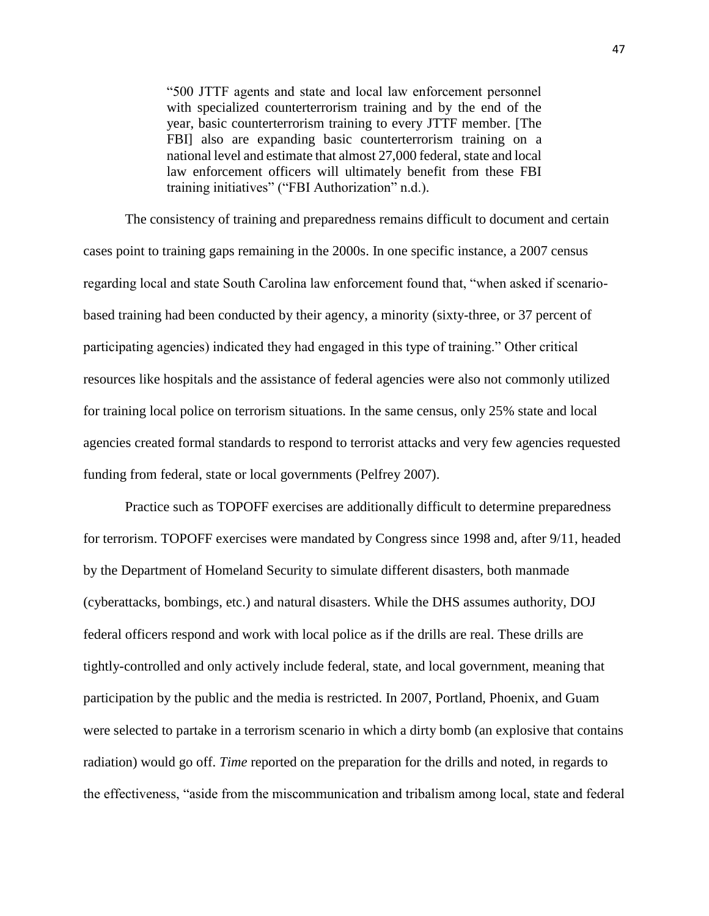"500 JTTF agents and state and local law enforcement personnel with specialized counterterrorism training and by the end of the year, basic counterterrorism training to every JTTF member. [The FBI] also are expanding basic counterterrorism training on a national level and estimate that almost 27,000 federal, state and local law enforcement officers will ultimately benefit from these FBI training initiatives" ("FBI Authorization" n.d.).

The consistency of training and preparedness remains difficult to document and certain cases point to training gaps remaining in the 2000s. In one specific instance, a 2007 census regarding local and state South Carolina law enforcement found that, "when asked if scenariobased training had been conducted by their agency, a minority (sixty-three, or 37 percent of participating agencies) indicated they had engaged in this type of training." Other critical resources like hospitals and the assistance of federal agencies were also not commonly utilized for training local police on terrorism situations. In the same census, only 25% state and local agencies created formal standards to respond to terrorist attacks and very few agencies requested funding from federal, state or local governments (Pelfrey 2007).

Practice such as TOPOFF exercises are additionally difficult to determine preparedness for terrorism. TOPOFF exercises were mandated by Congress since 1998 and, after 9/11, headed by the Department of Homeland Security to simulate different disasters, both manmade (cyberattacks, bombings, etc.) and natural disasters. While the DHS assumes authority, DOJ federal officers respond and work with local police as if the drills are real. These drills are tightly-controlled and only actively include federal, state, and local government, meaning that participation by the public and the media is restricted. In 2007, Portland, Phoenix, and Guam were selected to partake in a terrorism scenario in which a dirty bomb (an explosive that contains radiation) would go off. *Time* reported on the preparation for the drills and noted, in regards to the effectiveness, "aside from the miscommunication and tribalism among local, state and federal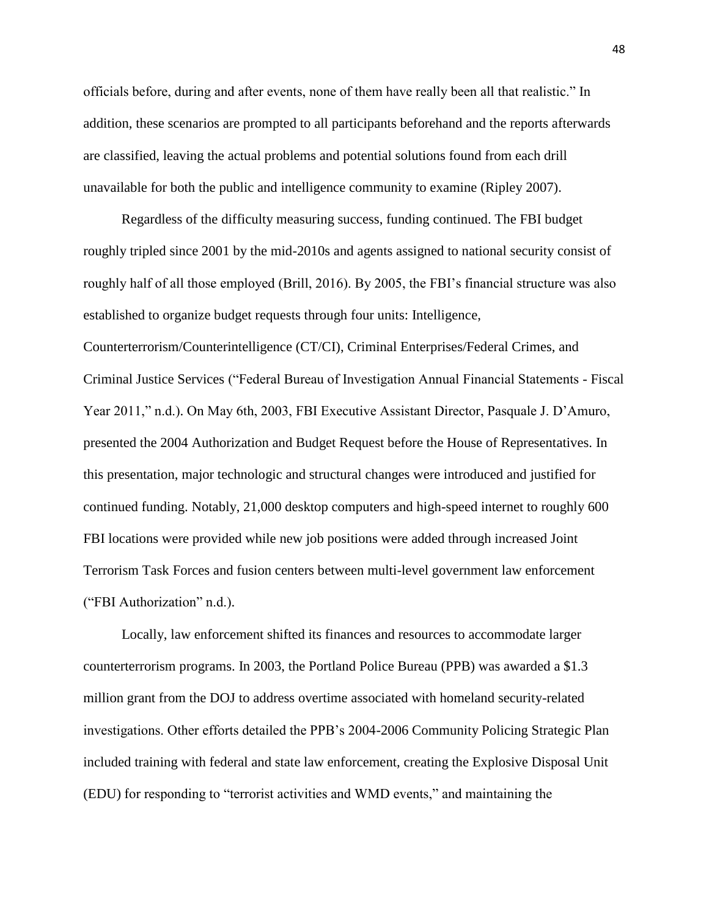officials before, during and after events, none of them have really been all that realistic." In addition, these scenarios are prompted to all participants beforehand and the reports afterwards are classified, leaving the actual problems and potential solutions found from each drill unavailable for both the public and intelligence community to examine (Ripley 2007).

 Regardless of the difficulty measuring success, funding continued. The FBI budget roughly tripled since 2001 by the mid-2010s and agents assigned to national security consist of roughly half of all those employed (Brill, 2016). By 2005, the FBI's financial structure was also established to organize budget requests through four units: Intelligence, Counterterrorism/Counterintelligence (CT/CI), Criminal Enterprises/Federal Crimes, and Criminal Justice Services ("Federal Bureau of Investigation Annual Financial Statements - Fiscal Year 2011," n.d.). On May 6th, 2003, FBI Executive Assistant Director, Pasquale J. D'Amuro, presented the 2004 Authorization and Budget Request before the House of Representatives. In this presentation, major technologic and structural changes were introduced and justified for continued funding. Notably, 21,000 desktop computers and high-speed internet to roughly 600 FBI locations were provided while new job positions were added through increased Joint Terrorism Task Forces and fusion centers between multi-level government law enforcement ("FBI Authorization" n.d.).

 Locally, law enforcement shifted its finances and resources to accommodate larger counterterrorism programs. In 2003, the Portland Police Bureau (PPB) was awarded a \$1.3 million grant from the DOJ to address overtime associated with homeland security-related investigations. Other efforts detailed the PPB's 2004-2006 Community Policing Strategic Plan included training with federal and state law enforcement, creating the Explosive Disposal Unit (EDU) for responding to "terrorist activities and WMD events," and maintaining the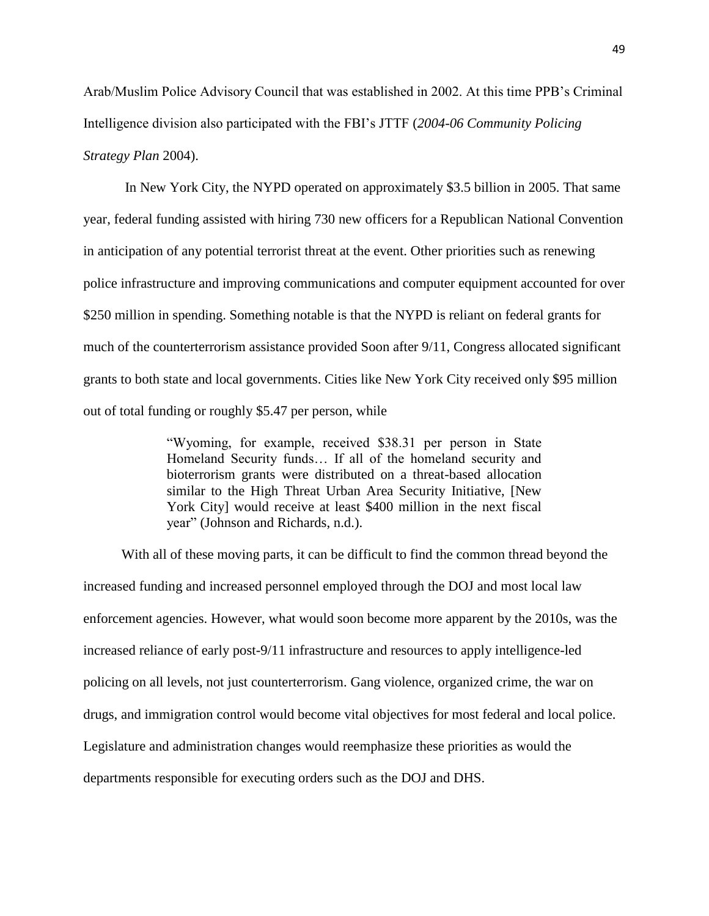Arab/Muslim Police Advisory Council that was established in 2002. At this time PPB's Criminal Intelligence division also participated with the FBI's JTTF (*2004-06 Community Policing Strategy Plan* 2004).

In New York City, the NYPD operated on approximately \$3.5 billion in 2005. That same year, federal funding assisted with hiring 730 new officers for a Republican National Convention in anticipation of any potential terrorist threat at the event. Other priorities such as renewing police infrastructure and improving communications and computer equipment accounted for over \$250 million in spending. Something notable is that the NYPD is reliant on federal grants for much of the counterterrorism assistance provided Soon after 9/11, Congress allocated significant grants to both state and local governments. Cities like New York City received only \$95 million out of total funding or roughly \$5.47 per person, while

> "Wyoming, for example, received \$38.31 per person in State Homeland Security funds… If all of the homeland security and bioterrorism grants were distributed on a threat-based allocation similar to the High Threat Urban Area Security Initiative, [New York City] would receive at least \$400 million in the next fiscal year" (Johnson and Richards, n.d.).

 With all of these moving parts, it can be difficult to find the common thread beyond the increased funding and increased personnel employed through the DOJ and most local law enforcement agencies. However, what would soon become more apparent by the 2010s, was the increased reliance of early post-9/11 infrastructure and resources to apply intelligence-led policing on all levels, not just counterterrorism. Gang violence, organized crime, the war on drugs, and immigration control would become vital objectives for most federal and local police. Legislature and administration changes would reemphasize these priorities as would the departments responsible for executing orders such as the DOJ and DHS.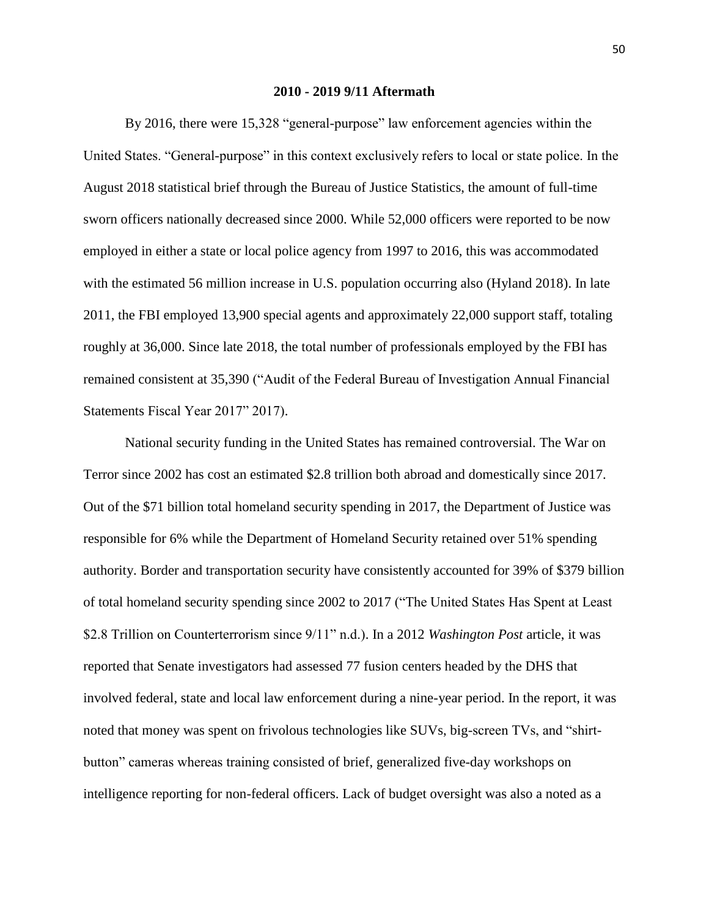#### **2010 - 2019 9/11 Aftermath**

By 2016, there were 15,328 "general-purpose" law enforcement agencies within the United States. "General-purpose" in this context exclusively refers to local or state police. In the August 2018 statistical brief through the Bureau of Justice Statistics, the amount of full-time sworn officers nationally decreased since 2000. While 52,000 officers were reported to be now employed in either a state or local police agency from 1997 to 2016, this was accommodated with the estimated 56 million increase in U.S. population occurring also (Hyland 2018). In late 2011, the FBI employed 13,900 special agents and approximately 22,000 support staff, totaling roughly at 36,000. Since late 2018, the total number of professionals employed by the FBI has remained consistent at 35,390 ("Audit of the Federal Bureau of Investigation Annual Financial Statements Fiscal Year 2017" 2017).

National security funding in the United States has remained controversial. The War on Terror since 2002 has cost an estimated \$2.8 trillion both abroad and domestically since 2017. Out of the \$71 billion total homeland security spending in 2017, the Department of Justice was responsible for 6% while the Department of Homeland Security retained over 51% spending authority. Border and transportation security have consistently accounted for 39% of \$379 billion of total homeland security spending since 2002 to 2017 ("The United States Has Spent at Least \$2.8 Trillion on Counterterrorism since 9/11" n.d.). In a 2012 *Washington Post* article, it was reported that Senate investigators had assessed 77 fusion centers headed by the DHS that involved federal, state and local law enforcement during a nine-year period. In the report, it was noted that money was spent on frivolous technologies like SUVs, big-screen TVs, and "shirtbutton" cameras whereas training consisted of brief, generalized five-day workshops on intelligence reporting for non-federal officers. Lack of budget oversight was also a noted as a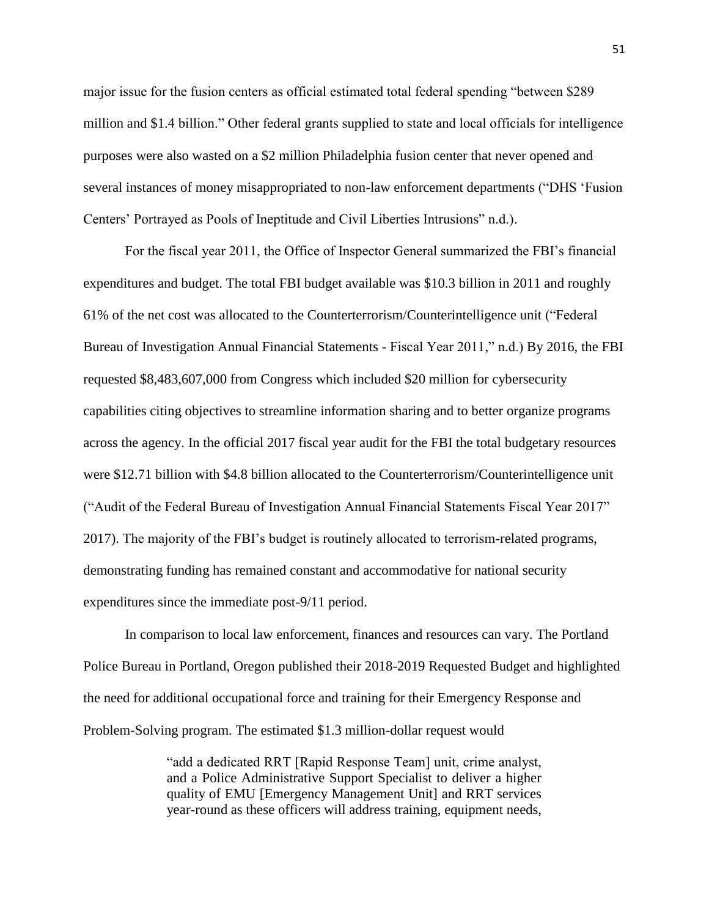major issue for the fusion centers as official estimated total federal spending "between \$289 million and \$1.4 billion." Other federal grants supplied to state and local officials for intelligence purposes were also wasted on a \$2 million Philadelphia fusion center that never opened and several instances of money misappropriated to non-law enforcement departments ("DHS 'Fusion Centers' Portrayed as Pools of Ineptitude and Civil Liberties Intrusions" n.d.).

For the fiscal year 2011, the Office of Inspector General summarized the FBI's financial expenditures and budget. The total FBI budget available was \$10.3 billion in 2011 and roughly 61% of the net cost was allocated to the Counterterrorism/Counterintelligence unit ("Federal Bureau of Investigation Annual Financial Statements - Fiscal Year 2011," n.d.) By 2016, the FBI requested \$8,483,607,000 from Congress which included \$20 million for cybersecurity capabilities citing objectives to streamline information sharing and to better organize programs across the agency. In the official 2017 fiscal year audit for the FBI the total budgetary resources were \$12.71 billion with \$4.8 billion allocated to the Counterterrorism/Counterintelligence unit ("Audit of the Federal Bureau of Investigation Annual Financial Statements Fiscal Year 2017" 2017). The majority of the FBI's budget is routinely allocated to terrorism-related programs, demonstrating funding has remained constant and accommodative for national security expenditures since the immediate post-9/11 period.

In comparison to local law enforcement, finances and resources can vary. The Portland Police Bureau in Portland, Oregon published their 2018-2019 Requested Budget and highlighted the need for additional occupational force and training for their Emergency Response and Problem-Solving program. The estimated \$1.3 million-dollar request would

> "add a dedicated RRT [Rapid Response Team] unit, crime analyst, and a Police Administrative Support Specialist to deliver a higher quality of EMU [Emergency Management Unit] and RRT services year-round as these officers will address training, equipment needs,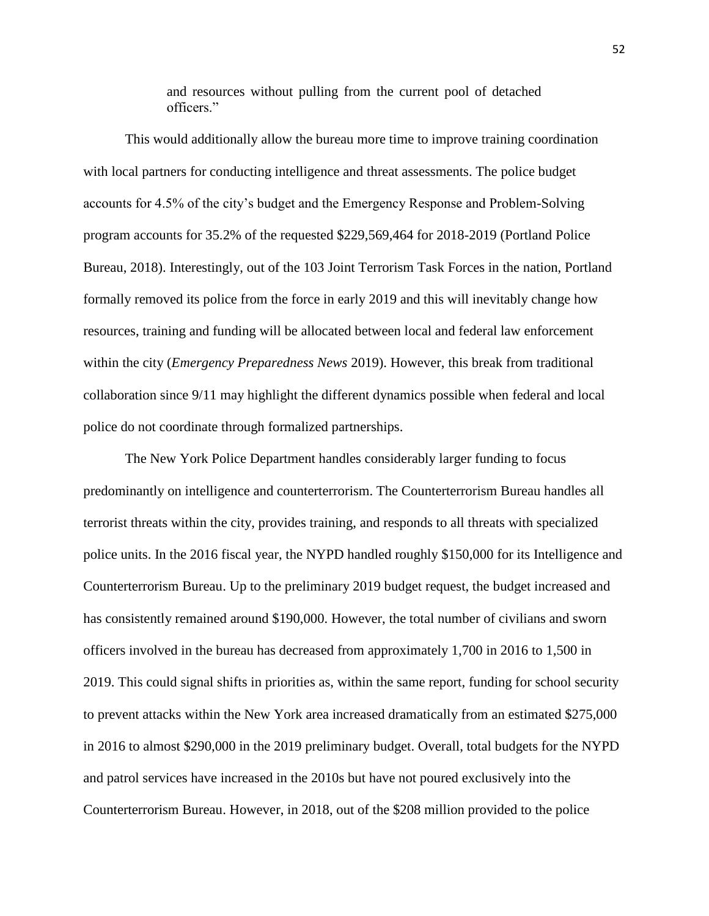and resources without pulling from the current pool of detached officers."

This would additionally allow the bureau more time to improve training coordination with local partners for conducting intelligence and threat assessments. The police budget accounts for 4.5% of the city's budget and the Emergency Response and Problem-Solving program accounts for 35.2% of the requested \$229,569,464 for 2018-2019 (Portland Police Bureau, 2018). Interestingly, out of the 103 Joint Terrorism Task Forces in the nation, Portland formally removed its police from the force in early 2019 and this will inevitably change how resources, training and funding will be allocated between local and federal law enforcement within the city (*Emergency Preparedness News* 2019). However, this break from traditional collaboration since 9/11 may highlight the different dynamics possible when federal and local police do not coordinate through formalized partnerships.

The New York Police Department handles considerably larger funding to focus predominantly on intelligence and counterterrorism. The Counterterrorism Bureau handles all terrorist threats within the city, provides training, and responds to all threats with specialized police units. In the 2016 fiscal year, the NYPD handled roughly \$150,000 for its Intelligence and Counterterrorism Bureau. Up to the preliminary 2019 budget request, the budget increased and has consistently remained around \$190,000. However, the total number of civilians and sworn officers involved in the bureau has decreased from approximately 1,700 in 2016 to 1,500 in 2019. This could signal shifts in priorities as, within the same report, funding for school security to prevent attacks within the New York area increased dramatically from an estimated \$275,000 in 2016 to almost \$290,000 in the 2019 preliminary budget. Overall, total budgets for the NYPD and patrol services have increased in the 2010s but have not poured exclusively into the Counterterrorism Bureau. However, in 2018, out of the \$208 million provided to the police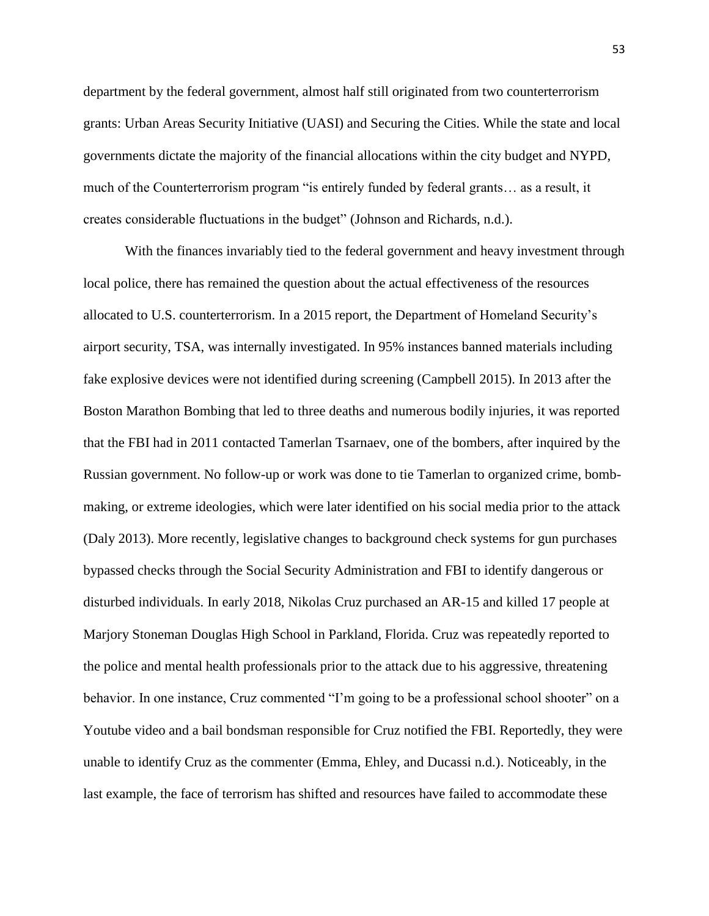department by the federal government, almost half still originated from two counterterrorism grants: Urban Areas Security Initiative (UASI) and Securing the Cities. While the state and local governments dictate the majority of the financial allocations within the city budget and NYPD, much of the Counterterrorism program "is entirely funded by federal grants… as a result, it creates considerable fluctuations in the budget" (Johnson and Richards, n.d.).

With the finances invariably tied to the federal government and heavy investment through local police, there has remained the question about the actual effectiveness of the resources allocated to U.S. counterterrorism. In a 2015 report, the Department of Homeland Security's airport security, TSA, was internally investigated. In 95% instances banned materials including fake explosive devices were not identified during screening (Campbell 2015). In 2013 after the Boston Marathon Bombing that led to three deaths and numerous bodily injuries, it was reported that the FBI had in 2011 contacted Tamerlan Tsarnaev, one of the bombers, after inquired by the Russian government. No follow-up or work was done to tie Tamerlan to organized crime, bombmaking, or extreme ideologies, which were later identified on his social media prior to the attack (Daly 2013). More recently, legislative changes to background check systems for gun purchases bypassed checks through the Social Security Administration and FBI to identify dangerous or disturbed individuals. In early 2018, Nikolas Cruz purchased an AR-15 and killed 17 people at Marjory Stoneman Douglas High School in Parkland, Florida. Cruz was repeatedly reported to the police and mental health professionals prior to the attack due to his aggressive, threatening behavior. In one instance, Cruz commented "I'm going to be a professional school shooter" on a Youtube video and a bail bondsman responsible for Cruz notified the FBI. Reportedly, they were unable to identify Cruz as the commenter (Emma, Ehley, and Ducassi n.d.). Noticeably, in the last example, the face of terrorism has shifted and resources have failed to accommodate these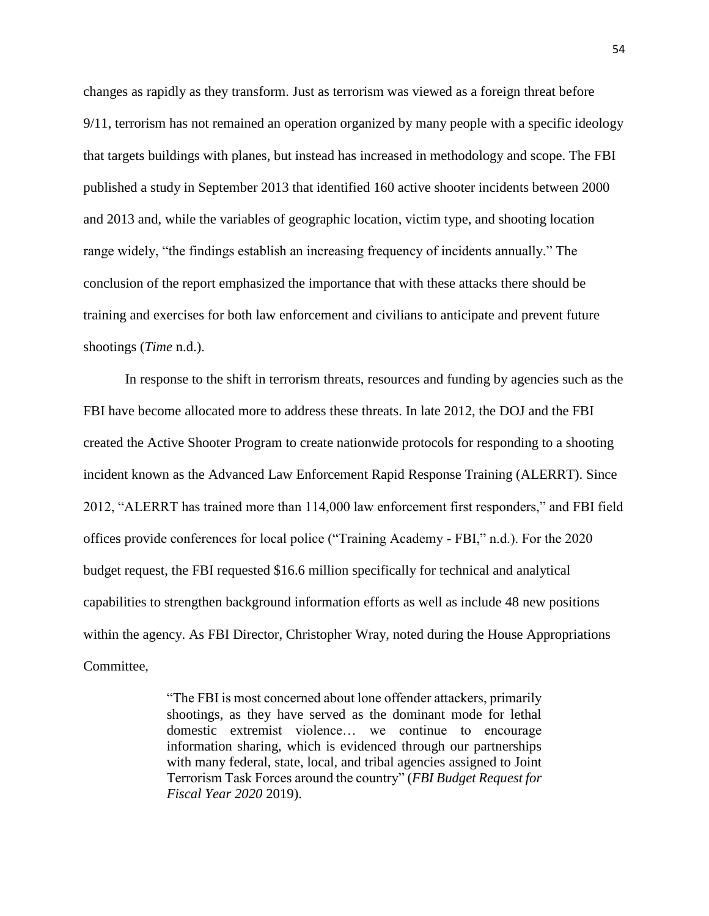changes as rapidly as they transform. Just as terrorism was viewed as a foreign threat before 9/11, terrorism has not remained an operation organized by many people with a specific ideology that targets buildings with planes, but instead has increased in methodology and scope. The FBI published a study in September 2013 that identified 160 active shooter incidents between 2000 and 2013 and, while the variables of geographic location, victim type, and shooting location range widely, "the findings establish an increasing frequency of incidents annually." The conclusion of the report emphasized the importance that with these attacks there should be training and exercises for both law enforcement and civilians to anticipate and prevent future shootings (*Time* n.d.).

In response to the shift in terrorism threats, resources and funding by agencies such as the FBI have become allocated more to address these threats. In late 2012, the DOJ and the FBI created the Active Shooter Program to create nationwide protocols for responding to a shooting incident known as the Advanced Law Enforcement Rapid Response Training (ALERRT). Since 2012, "ALERRT has trained more than 114,000 law enforcement first responders," and FBI field offices provide conferences for local police ("Training Academy - FBI," n.d.). For the 2020 budget request, the FBI requested \$16.6 million specifically for technical and analytical capabilities to strengthen background information efforts as well as include 48 new positions within the agency. As FBI Director, Christopher Wray, noted during the House Appropriations Committee,

> "The FBI is most concerned about lone offender attackers, primarily shootings, as they have served as the dominant mode for lethal domestic extremist violence… we continue to encourage information sharing, which is evidenced through our partnerships with many federal, state, local, and tribal agencies assigned to Joint Terrorism Task Forces around the country" (*FBI Budget Request for Fiscal Year 2020* 2019).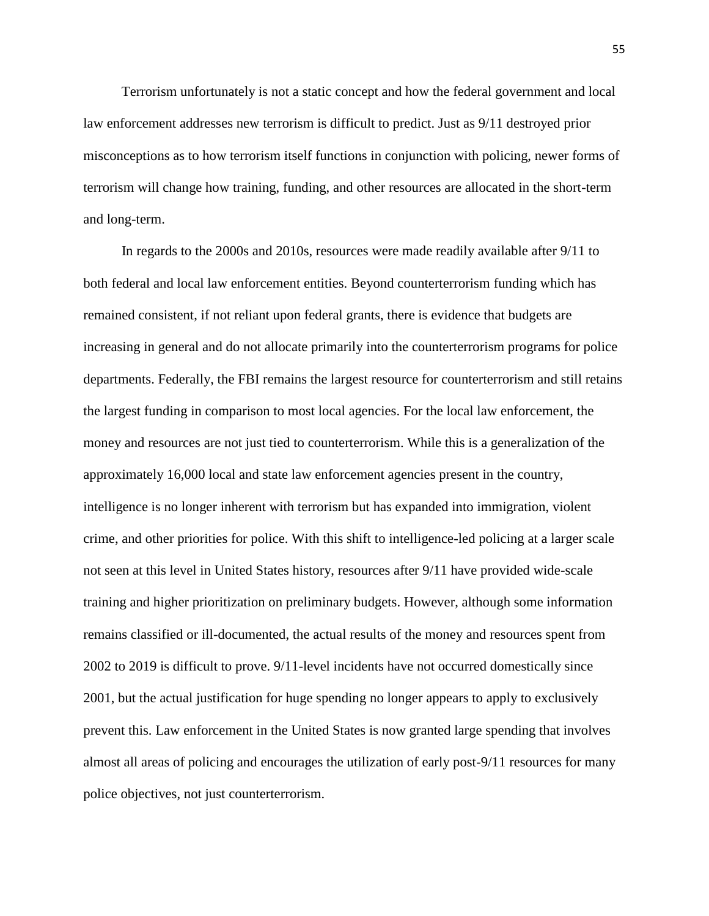Terrorism unfortunately is not a static concept and how the federal government and local law enforcement addresses new terrorism is difficult to predict. Just as 9/11 destroyed prior misconceptions as to how terrorism itself functions in conjunction with policing, newer forms of terrorism will change how training, funding, and other resources are allocated in the short-term and long-term.

 In regards to the 2000s and 2010s, resources were made readily available after 9/11 to both federal and local law enforcement entities. Beyond counterterrorism funding which has remained consistent, if not reliant upon federal grants, there is evidence that budgets are increasing in general and do not allocate primarily into the counterterrorism programs for police departments. Federally, the FBI remains the largest resource for counterterrorism and still retains the largest funding in comparison to most local agencies. For the local law enforcement, the money and resources are not just tied to counterterrorism. While this is a generalization of the approximately 16,000 local and state law enforcement agencies present in the country, intelligence is no longer inherent with terrorism but has expanded into immigration, violent crime, and other priorities for police. With this shift to intelligence-led policing at a larger scale not seen at this level in United States history, resources after 9/11 have provided wide-scale training and higher prioritization on preliminary budgets. However, although some information remains classified or ill-documented, the actual results of the money and resources spent from 2002 to 2019 is difficult to prove. 9/11-level incidents have not occurred domestically since 2001, but the actual justification for huge spending no longer appears to apply to exclusively prevent this. Law enforcement in the United States is now granted large spending that involves almost all areas of policing and encourages the utilization of early post-9/11 resources for many police objectives, not just counterterrorism.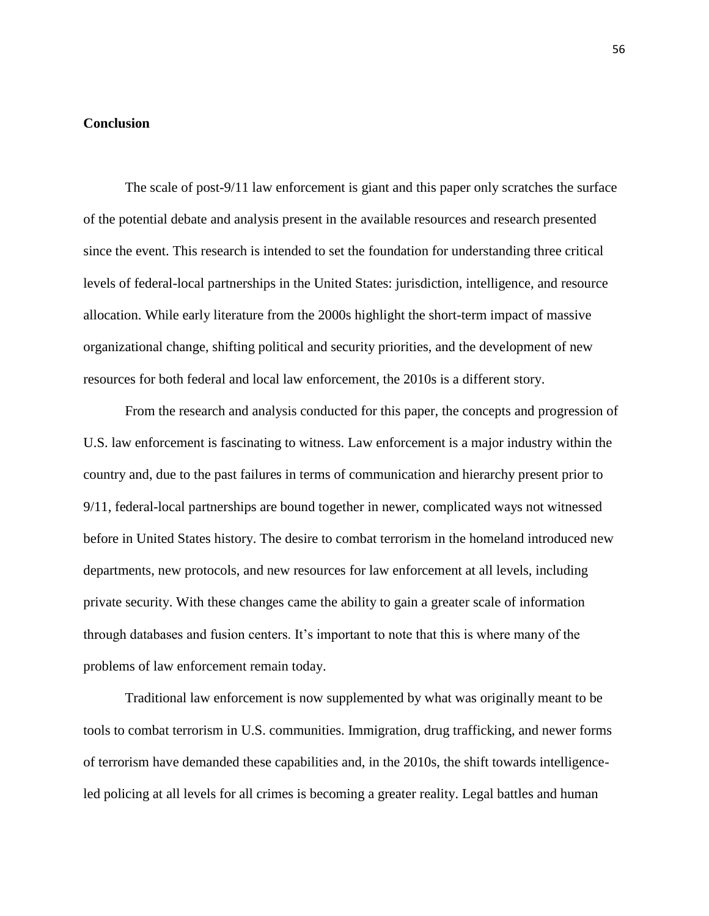### **Conclusion**

The scale of post-9/11 law enforcement is giant and this paper only scratches the surface of the potential debate and analysis present in the available resources and research presented since the event. This research is intended to set the foundation for understanding three critical levels of federal-local partnerships in the United States: jurisdiction, intelligence, and resource allocation. While early literature from the 2000s highlight the short-term impact of massive organizational change, shifting political and security priorities, and the development of new resources for both federal and local law enforcement, the 2010s is a different story.

From the research and analysis conducted for this paper, the concepts and progression of U.S. law enforcement is fascinating to witness. Law enforcement is a major industry within the country and, due to the past failures in terms of communication and hierarchy present prior to 9/11, federal-local partnerships are bound together in newer, complicated ways not witnessed before in United States history. The desire to combat terrorism in the homeland introduced new departments, new protocols, and new resources for law enforcement at all levels, including private security. With these changes came the ability to gain a greater scale of information through databases and fusion centers. It's important to note that this is where many of the problems of law enforcement remain today.

Traditional law enforcement is now supplemented by what was originally meant to be tools to combat terrorism in U.S. communities. Immigration, drug trafficking, and newer forms of terrorism have demanded these capabilities and, in the 2010s, the shift towards intelligenceled policing at all levels for all crimes is becoming a greater reality. Legal battles and human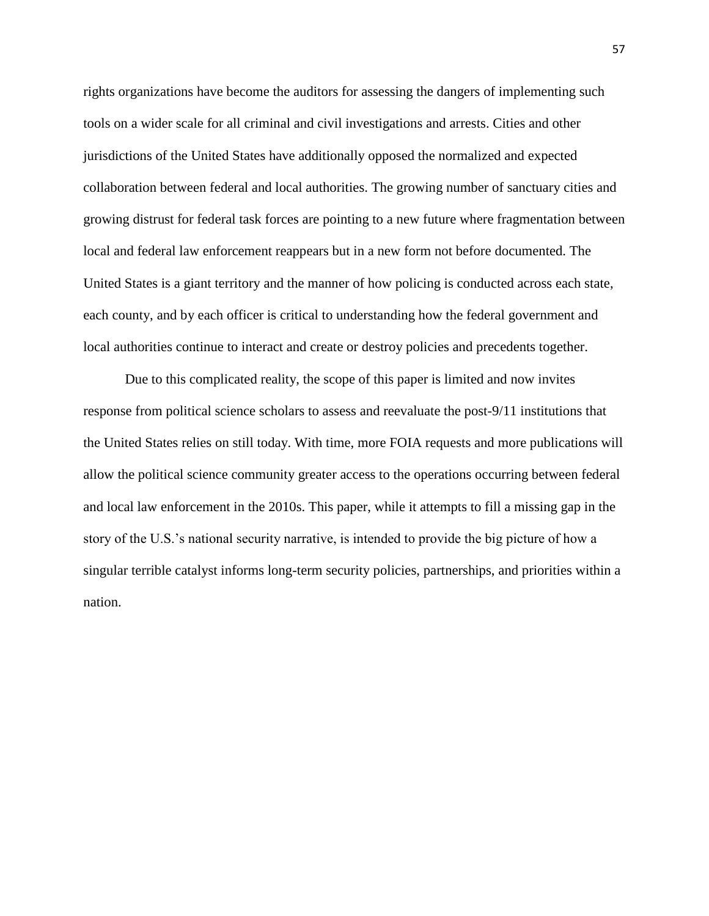rights organizations have become the auditors for assessing the dangers of implementing such tools on a wider scale for all criminal and civil investigations and arrests. Cities and other jurisdictions of the United States have additionally opposed the normalized and expected collaboration between federal and local authorities. The growing number of sanctuary cities and growing distrust for federal task forces are pointing to a new future where fragmentation between local and federal law enforcement reappears but in a new form not before documented. The United States is a giant territory and the manner of how policing is conducted across each state, each county, and by each officer is critical to understanding how the federal government and local authorities continue to interact and create or destroy policies and precedents together.

Due to this complicated reality, the scope of this paper is limited and now invites response from political science scholars to assess and reevaluate the post-9/11 institutions that the United States relies on still today. With time, more FOIA requests and more publications will allow the political science community greater access to the operations occurring between federal and local law enforcement in the 2010s. This paper, while it attempts to fill a missing gap in the story of the U.S.'s national security narrative, is intended to provide the big picture of how a singular terrible catalyst informs long-term security policies, partnerships, and priorities within a nation.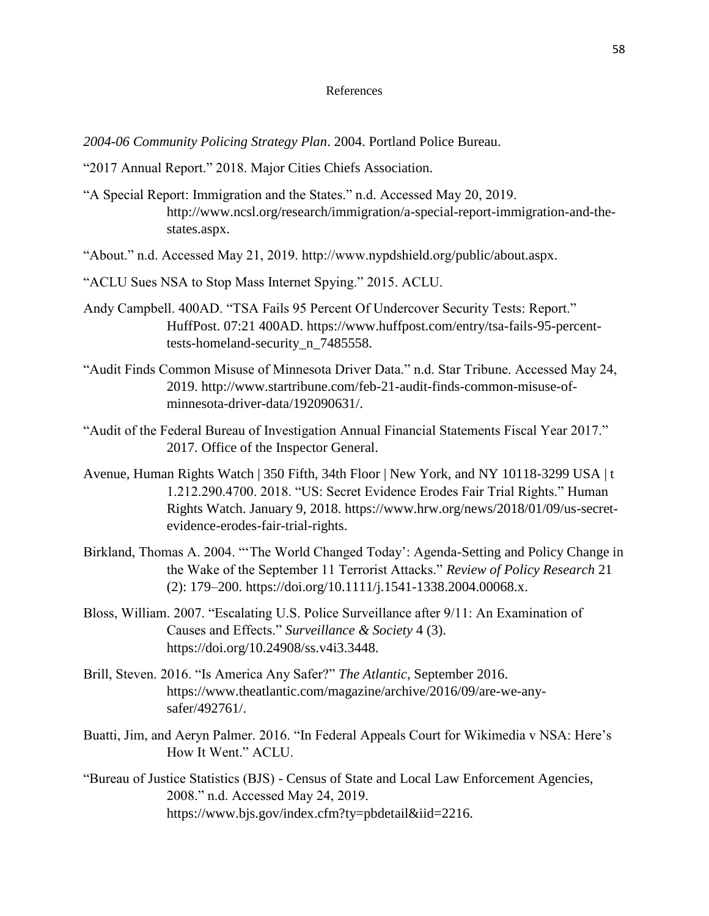#### References

*2004-06 Community Policing Strategy Plan*. 2004. Portland Police Bureau.

- "2017 Annual Report." 2018. Major Cities Chiefs Association.
- "A Special Report: Immigration and the States." n.d. Accessed May 20, 2019. http://www.ncsl.org/research/immigration/a-special-report-immigration-and-thestates.aspx.

"About." n.d. Accessed May 21, 2019. http://www.nypdshield.org/public/about.aspx.

- "ACLU Sues NSA to Stop Mass Internet Spying." 2015. ACLU.
- Andy Campbell. 400AD. "TSA Fails 95 Percent Of Undercover Security Tests: Report." HuffPost. 07:21 400AD. https://www.huffpost.com/entry/tsa-fails-95-percenttests-homeland-security\_n\_7485558.
- "Audit Finds Common Misuse of Minnesota Driver Data." n.d. Star Tribune. Accessed May 24, 2019. http://www.startribune.com/feb-21-audit-finds-common-misuse-ofminnesota-driver-data/192090631/.
- "Audit of the Federal Bureau of Investigation Annual Financial Statements Fiscal Year 2017." 2017. Office of the Inspector General.
- Avenue, Human Rights Watch | 350 Fifth, 34th Floor | New York, and NY 10118-3299 USA | t 1.212.290.4700. 2018. "US: Secret Evidence Erodes Fair Trial Rights." Human Rights Watch. January 9, 2018. https://www.hrw.org/news/2018/01/09/us-secretevidence-erodes-fair-trial-rights.
- Birkland, Thomas A. 2004. "'The World Changed Today': Agenda-Setting and Policy Change in the Wake of the September 11 Terrorist Attacks." *Review of Policy Research* 21 (2): 179–200. https://doi.org/10.1111/j.1541-1338.2004.00068.x.
- Bloss, William. 2007. "Escalating U.S. Police Surveillance after 9/11: An Examination of Causes and Effects." *Surveillance & Society* 4 (3). https://doi.org/10.24908/ss.v4i3.3448.
- Brill, Steven. 2016. "Is America Any Safer?" *The Atlantic*, September 2016. https://www.theatlantic.com/magazine/archive/2016/09/are-we-anysafer/492761/.
- Buatti, Jim, and Aeryn Palmer. 2016. "In Federal Appeals Court for Wikimedia v NSA: Here's How It Went." ACLU.
- "Bureau of Justice Statistics (BJS) Census of State and Local Law Enforcement Agencies, 2008." n.d. Accessed May 24, 2019. https://www.bjs.gov/index.cfm?ty=pbdetail&iid=2216.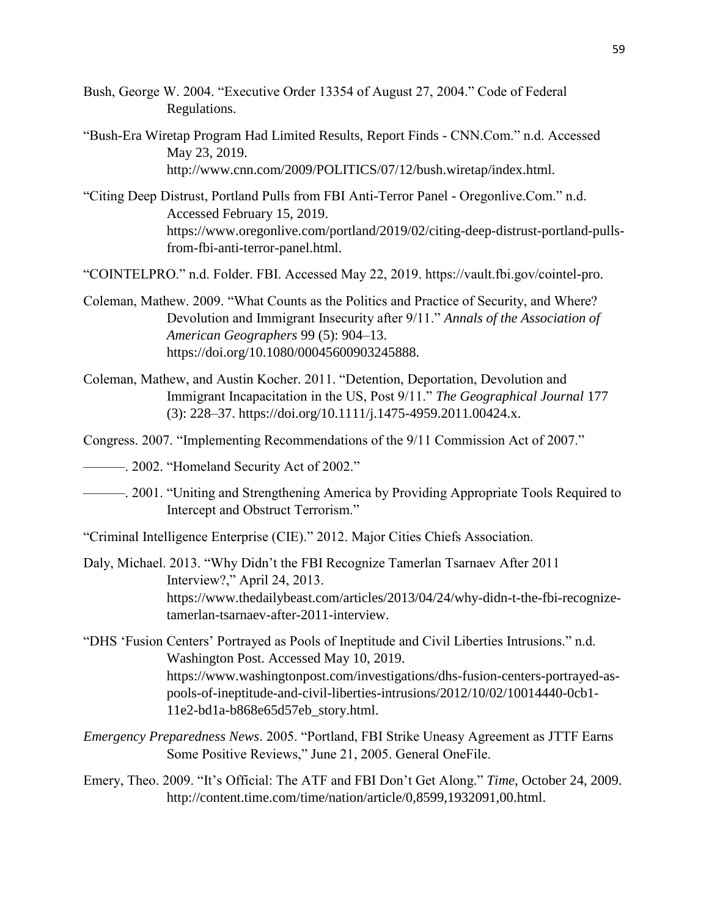- Bush, George W. 2004. "Executive Order 13354 of August 27, 2004." Code of Federal Regulations.
- "Bush-Era Wiretap Program Had Limited Results, Report Finds CNN.Com." n.d. Accessed May 23, 2019. http://www.cnn.com/2009/POLITICS/07/12/bush.wiretap/index.html.
- "Citing Deep Distrust, Portland Pulls from FBI Anti-Terror Panel Oregonlive.Com." n.d. Accessed February 15, 2019. https://www.oregonlive.com/portland/2019/02/citing-deep-distrust-portland-pullsfrom-fbi-anti-terror-panel.html.
- "COINTELPRO." n.d. Folder. FBI. Accessed May 22, 2019. https://vault.fbi.gov/cointel-pro.
- Coleman, Mathew. 2009. "What Counts as the Politics and Practice of Security, and Where? Devolution and Immigrant Insecurity after 9/11." *Annals of the Association of American Geographers* 99 (5): 904–13. https://doi.org/10.1080/00045600903245888.
- Coleman, Mathew, and Austin Kocher. 2011. "Detention, Deportation, Devolution and Immigrant Incapacitation in the US, Post 9/11." *The Geographical Journal* 177 (3): 228–37. https://doi.org/10.1111/j.1475-4959.2011.00424.x.
- Congress. 2007. "Implementing Recommendations of the 9/11 Commission Act of 2007."
- ———. 2002. "Homeland Security Act of 2002."
- ———. 2001. "Uniting and Strengthening America by Providing Appropriate Tools Required to Intercept and Obstruct Terrorism."

"Criminal Intelligence Enterprise (CIE)." 2012. Major Cities Chiefs Association.

- Daly, Michael. 2013. "Why Didn't the FBI Recognize Tamerlan Tsarnaev After 2011 Interview?," April 24, 2013. https://www.thedailybeast.com/articles/2013/04/24/why-didn-t-the-fbi-recognizetamerlan-tsarnaev-after-2011-interview.
- "DHS 'Fusion Centers' Portrayed as Pools of Ineptitude and Civil Liberties Intrusions." n.d. Washington Post. Accessed May 10, 2019. https://www.washingtonpost.com/investigations/dhs-fusion-centers-portrayed-aspools-of-ineptitude-and-civil-liberties-intrusions/2012/10/02/10014440-0cb1- 11e2-bd1a-b868e65d57eb\_story.html.
- *Emergency Preparedness News*. 2005. "Portland, FBI Strike Uneasy Agreement as JTTF Earns Some Positive Reviews," June 21, 2005. General OneFile.
- Emery, Theo. 2009. "It's Official: The ATF and FBI Don't Get Along." *Time*, October 24, 2009. http://content.time.com/time/nation/article/0,8599,1932091,00.html.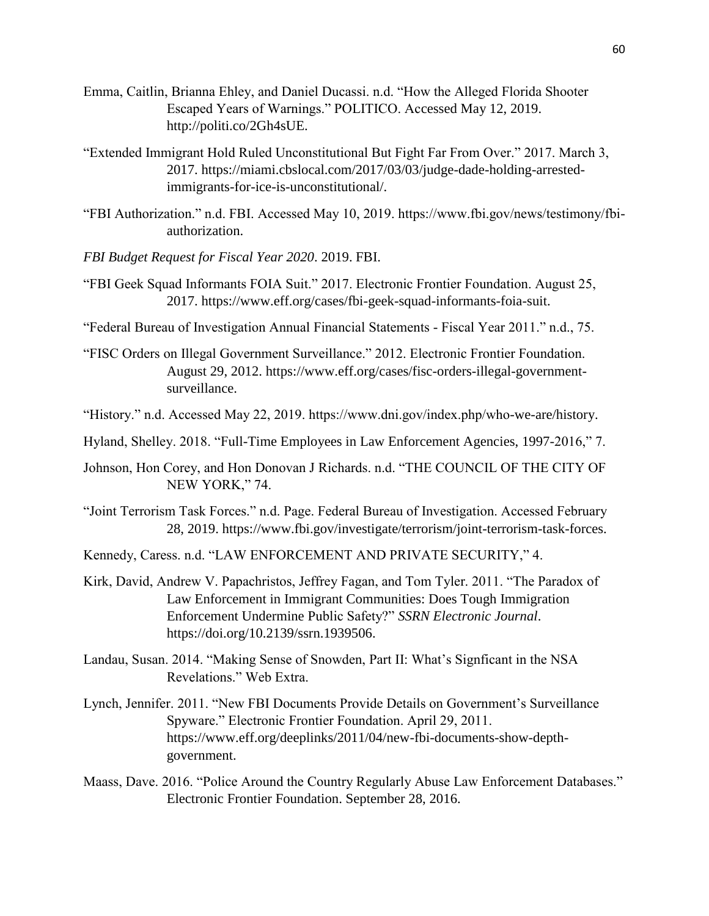- Emma, Caitlin, Brianna Ehley, and Daniel Ducassi. n.d. "How the Alleged Florida Shooter Escaped Years of Warnings." POLITICO. Accessed May 12, 2019. http://politi.co/2Gh4sUE.
- "Extended Immigrant Hold Ruled Unconstitutional But Fight Far From Over." 2017. March 3, 2017. https://miami.cbslocal.com/2017/03/03/judge-dade-holding-arrestedimmigrants-for-ice-is-unconstitutional/.
- "FBI Authorization." n.d. FBI. Accessed May 10, 2019. https://www.fbi.gov/news/testimony/fbiauthorization.
- *FBI Budget Request for Fiscal Year 2020*. 2019. FBI.
- "FBI Geek Squad Informants FOIA Suit." 2017. Electronic Frontier Foundation. August 25, 2017. https://www.eff.org/cases/fbi-geek-squad-informants-foia-suit.

"Federal Bureau of Investigation Annual Financial Statements - Fiscal Year 2011." n.d., 75.

- "FISC Orders on Illegal Government Surveillance." 2012. Electronic Frontier Foundation. August 29, 2012. https://www.eff.org/cases/fisc-orders-illegal-governmentsurveillance.
- "History." n.d. Accessed May 22, 2019. https://www.dni.gov/index.php/who-we-are/history.
- Hyland, Shelley. 2018. "Full-Time Employees in Law Enforcement Agencies, 1997-2016," 7.
- Johnson, Hon Corey, and Hon Donovan J Richards. n.d. "THE COUNCIL OF THE CITY OF NEW YORK," 74.
- "Joint Terrorism Task Forces." n.d. Page. Federal Bureau of Investigation. Accessed February 28, 2019. https://www.fbi.gov/investigate/terrorism/joint-terrorism-task-forces.
- Kennedy, Caress. n.d. "LAW ENFORCEMENT AND PRIVATE SECURITY," 4.
- Kirk, David, Andrew V. Papachristos, Jeffrey Fagan, and Tom Tyler. 2011. "The Paradox of Law Enforcement in Immigrant Communities: Does Tough Immigration Enforcement Undermine Public Safety?" *SSRN Electronic Journal*. https://doi.org/10.2139/ssrn.1939506.
- Landau, Susan. 2014. "Making Sense of Snowden, Part II: What's Signficant in the NSA Revelations." Web Extra.
- Lynch, Jennifer. 2011. "New FBI Documents Provide Details on Government's Surveillance Spyware." Electronic Frontier Foundation. April 29, 2011. https://www.eff.org/deeplinks/2011/04/new-fbi-documents-show-depthgovernment.
- Maass, Dave. 2016. "Police Around the Country Regularly Abuse Law Enforcement Databases." Electronic Frontier Foundation. September 28, 2016.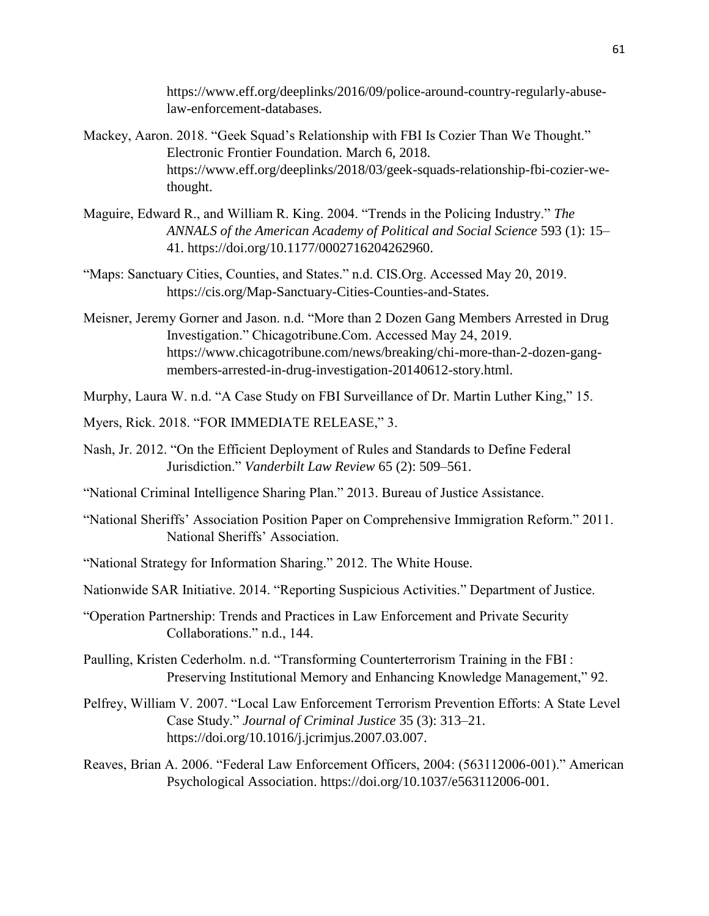https://www.eff.org/deeplinks/2016/09/police-around-country-regularly-abuselaw-enforcement-databases.

- Mackey, Aaron. 2018. "Geek Squad's Relationship with FBI Is Cozier Than We Thought." Electronic Frontier Foundation. March 6, 2018. https://www.eff.org/deeplinks/2018/03/geek-squads-relationship-fbi-cozier-wethought.
- Maguire, Edward R., and William R. King. 2004. "Trends in the Policing Industry." *The ANNALS of the American Academy of Political and Social Science* 593 (1): 15– 41. https://doi.org/10.1177/0002716204262960.
- "Maps: Sanctuary Cities, Counties, and States." n.d. CIS.Org. Accessed May 20, 2019. https://cis.org/Map-Sanctuary-Cities-Counties-and-States.
- Meisner, Jeremy Gorner and Jason. n.d. "More than 2 Dozen Gang Members Arrested in Drug Investigation." Chicagotribune.Com. Accessed May 24, 2019. https://www.chicagotribune.com/news/breaking/chi-more-than-2-dozen-gangmembers-arrested-in-drug-investigation-20140612-story.html.
- Murphy, Laura W. n.d. "A Case Study on FBI Surveillance of Dr. Martin Luther King," 15.
- Myers, Rick. 2018. "FOR IMMEDIATE RELEASE," 3.
- Nash, Jr. 2012. "On the Efficient Deployment of Rules and Standards to Define Federal Jurisdiction." *Vanderbilt Law Review* 65 (2): 509–561.
- "National Criminal Intelligence Sharing Plan." 2013. Bureau of Justice Assistance.
- "National Sheriffs' Association Position Paper on Comprehensive Immigration Reform." 2011. National Sheriffs' Association.
- "National Strategy for Information Sharing." 2012. The White House.
- Nationwide SAR Initiative. 2014. "Reporting Suspicious Activities." Department of Justice.
- "Operation Partnership: Trends and Practices in Law Enforcement and Private Security Collaborations." n.d., 144.
- Paulling, Kristen Cederholm. n.d. "Transforming Counterterrorism Training in the FBI : Preserving Institutional Memory and Enhancing Knowledge Management," 92.
- Pelfrey, William V. 2007. "Local Law Enforcement Terrorism Prevention Efforts: A State Level Case Study." *Journal of Criminal Justice* 35 (3): 313–21. https://doi.org/10.1016/j.jcrimjus.2007.03.007.
- Reaves, Brian A. 2006. "Federal Law Enforcement Officers, 2004: (563112006-001)." American Psychological Association. https://doi.org/10.1037/e563112006-001.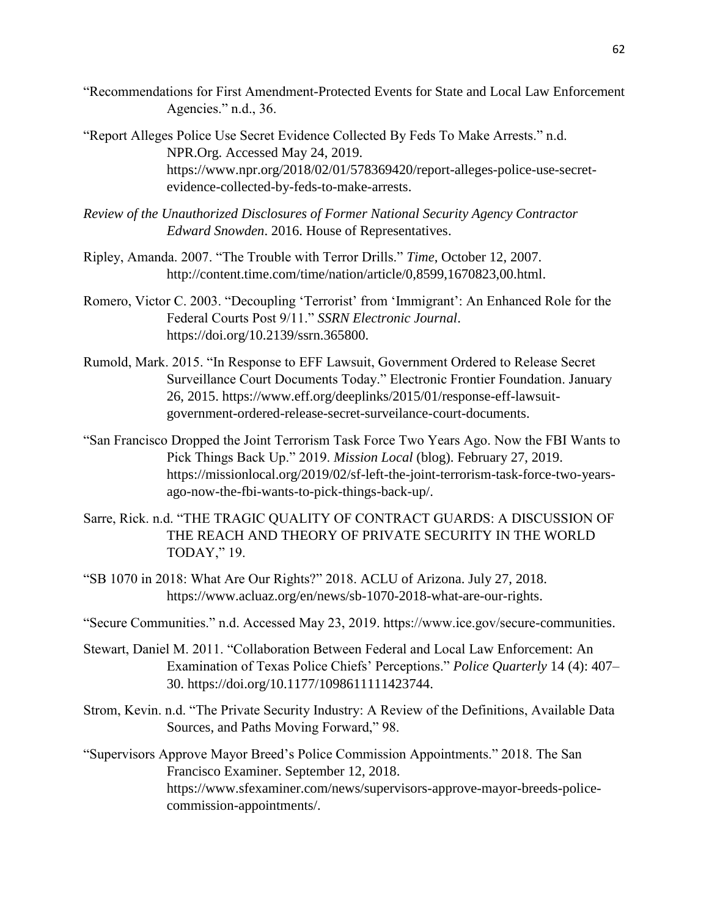- "Recommendations for First Amendment-Protected Events for State and Local Law Enforcement Agencies." n.d., 36.
- "Report Alleges Police Use Secret Evidence Collected By Feds To Make Arrests." n.d. NPR.Org. Accessed May 24, 2019. https://www.npr.org/2018/02/01/578369420/report-alleges-police-use-secretevidence-collected-by-feds-to-make-arrests.
- *Review of the Unauthorized Disclosures of Former National Security Agency Contractor Edward Snowden*. 2016. House of Representatives.
- Ripley, Amanda. 2007. "The Trouble with Terror Drills." *Time*, October 12, 2007. http://content.time.com/time/nation/article/0,8599,1670823,00.html.
- Romero, Victor C. 2003. "Decoupling 'Terrorist' from 'Immigrant': An Enhanced Role for the Federal Courts Post 9/11." *SSRN Electronic Journal*. https://doi.org/10.2139/ssrn.365800.
- Rumold, Mark. 2015. "In Response to EFF Lawsuit, Government Ordered to Release Secret Surveillance Court Documents Today." Electronic Frontier Foundation. January 26, 2015. https://www.eff.org/deeplinks/2015/01/response-eff-lawsuitgovernment-ordered-release-secret-surveilance-court-documents.
- "San Francisco Dropped the Joint Terrorism Task Force Two Years Ago. Now the FBI Wants to Pick Things Back Up." 2019. *Mission Local* (blog). February 27, 2019. https://missionlocal.org/2019/02/sf-left-the-joint-terrorism-task-force-two-yearsago-now-the-fbi-wants-to-pick-things-back-up/.
- Sarre, Rick. n.d. "THE TRAGIC QUALITY OF CONTRACT GUARDS: A DISCUSSION OF THE REACH AND THEORY OF PRIVATE SECURITY IN THE WORLD TODAY," 19.
- "SB 1070 in 2018: What Are Our Rights?" 2018. ACLU of Arizona. July 27, 2018. https://www.acluaz.org/en/news/sb-1070-2018-what-are-our-rights.
- "Secure Communities." n.d. Accessed May 23, 2019. https://www.ice.gov/secure-communities.
- Stewart, Daniel M. 2011. "Collaboration Between Federal and Local Law Enforcement: An Examination of Texas Police Chiefs' Perceptions." *Police Quarterly* 14 (4): 407– 30. https://doi.org/10.1177/1098611111423744.
- Strom, Kevin. n.d. "The Private Security Industry: A Review of the Definitions, Available Data Sources, and Paths Moving Forward," 98.
- "Supervisors Approve Mayor Breed's Police Commission Appointments." 2018. The San Francisco Examiner. September 12, 2018. https://www.sfexaminer.com/news/supervisors-approve-mayor-breeds-policecommission-appointments/.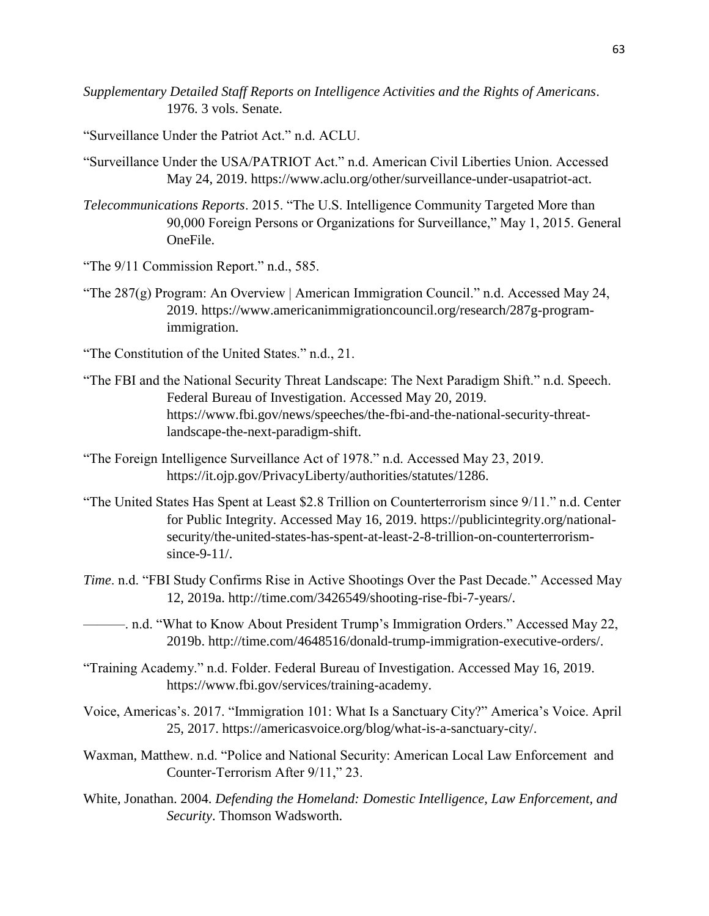- *Supplementary Detailed Staff Reports on Intelligence Activities and the Rights of Americans*. 1976. 3 vols. Senate.
- "Surveillance Under the Patriot Act." n.d. ACLU.
- "Surveillance Under the USA/PATRIOT Act." n.d. American Civil Liberties Union. Accessed May 24, 2019. https://www.aclu.org/other/surveillance-under-usapatriot-act.
- *Telecommunications Reports*. 2015. "The U.S. Intelligence Community Targeted More than 90,000 Foreign Persons or Organizations for Surveillance," May 1, 2015. General OneFile.
- "The  $9/11$  Commission Report." n.d., 585.
- "The 287(g) Program: An Overview | American Immigration Council." n.d. Accessed May 24, 2019. https://www.americanimmigrationcouncil.org/research/287g-programimmigration.
- "The Constitution of the United States." n.d., 21.
- "The FBI and the National Security Threat Landscape: The Next Paradigm Shift." n.d. Speech. Federal Bureau of Investigation. Accessed May 20, 2019. https://www.fbi.gov/news/speeches/the-fbi-and-the-national-security-threatlandscape-the-next-paradigm-shift.
- "The Foreign Intelligence Surveillance Act of 1978." n.d. Accessed May 23, 2019. https://it.ojp.gov/PrivacyLiberty/authorities/statutes/1286.
- "The United States Has Spent at Least \$2.8 Trillion on Counterterrorism since 9/11." n.d. Center for Public Integrity. Accessed May 16, 2019. https://publicintegrity.org/nationalsecurity/the-united-states-has-spent-at-least-2-8-trillion-on-counterterrorismsince-9-11/.
- *Time*. n.d. "FBI Study Confirms Rise in Active Shootings Over the Past Decade." Accessed May 12, 2019a. http://time.com/3426549/shooting-rise-fbi-7-years/.
- ———. n.d. "What to Know About President Trump's Immigration Orders." Accessed May 22, 2019b. http://time.com/4648516/donald-trump-immigration-executive-orders/.
- "Training Academy." n.d. Folder. Federal Bureau of Investigation. Accessed May 16, 2019. https://www.fbi.gov/services/training-academy.
- Voice, Americas's. 2017. "Immigration 101: What Is a Sanctuary City?" America's Voice. April 25, 2017. https://americasvoice.org/blog/what-is-a-sanctuary-city/.
- Waxman, Matthew. n.d. "Police and National Security: American Local Law Enforcement and Counter-Terrorism After 9/11," 23.
- White, Jonathan. 2004. *Defending the Homeland: Domestic Intelligence, Law Enforcement, and Security*. Thomson Wadsworth.